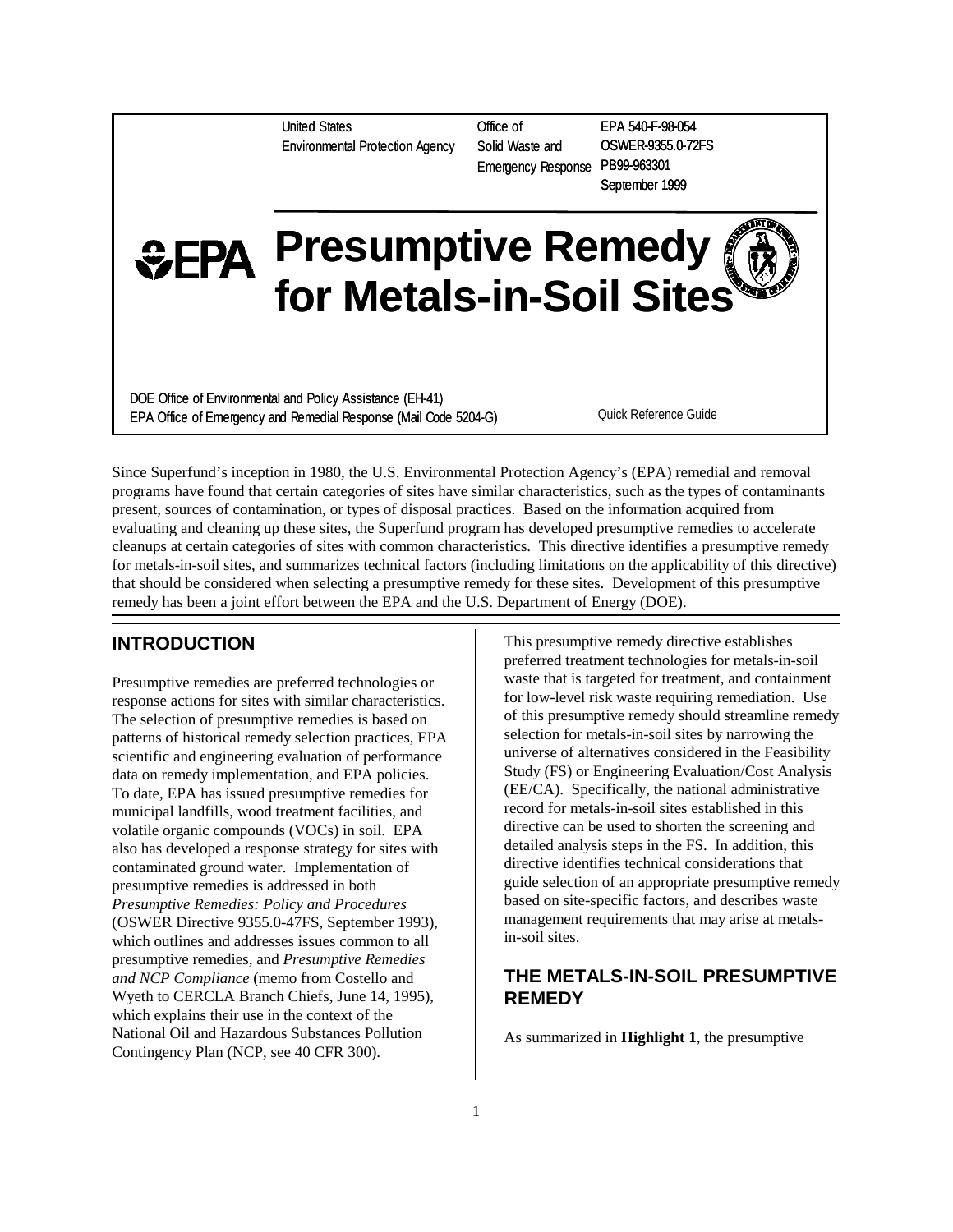United States Environmental Protection Agency Office of Solid Waste and Emergency Response PB99-963301

EPA 540-F-98-054 OSWER-9355.0-72FS September 1999

# **Presumptive Remedy for Metals-in-Soil Sites**

DOE Office of Environmental and Policy Assistance (EH-41) EPA Office of Emergency and Remedial Response (Mail Code 5204-G)

Quick Reference Guide

Since Superfund's inception in 1980, the U.S. Environmental Protection Agency's (EPA) remedial and removal programs have found that certain categories of sites have similar characteristics, such as the types of contaminants present, sources of contamination, or types of disposal practices. Based on the information acquired from evaluating and cleaning up these sites, the Superfund program has developed presumptive remedies to accelerate cleanups at certain categories of sites with common characteristics. This directive identifies a presumptive remedy for metals-in-soil sites, and summarizes technical factors (including limitations on the applicability of this directive) that should be considered when selecting a presumptive remedy for these sites. Development of this presumptive remedy has been a joint effort between the EPA and the U.S. Department of Energy (DOE).

# **INTRODUCTION**

Presumptive remedies are preferred technologies or response actions for sites with similar characteristics. The selection of presumptive remedies is based on patterns of historical remedy selection practices, EPA scientific and engineering evaluation of performance data on remedy implementation, and EPA policies. To date, EPA has issued presumptive remedies for municipal landfills, wood treatment facilities, and volatile organic compounds (VOCs) in soil. EPA also has developed a response strategy for sites with contaminated ground water. Implementation of presumptive remedies is addressed in both *Presumptive Remedies: Policy and Procedures* (OSWER Directive 9355.0-47FS, September 1993), which outlines and addresses issues common to all presumptive remedies, and *Presumptive Remedies and NCP Compliance* (memo from Costello and Wyeth to CERCLA Branch Chiefs, June 14, 1995), which explains their use in the context of the National Oil and Hazardous Substances Pollution Contingency Plan (NCP, see 40 CFR 300).

This presumptive remedy directive establishes preferred treatment technologies for metals-in-soil waste that is targeted for treatment, and containment for low-level risk waste requiring remediation. Use of this presumptive remedy should streamline remedy selection for metals-in-soil sites by narrowing the universe of alternatives considered in the Feasibility Study (FS) or Engineering Evaluation/Cost Analysis (EE/CA). Specifically, the national administrative record for metals-in-soil sites established in this directive can be used to shorten the screening and detailed analysis steps in the FS. In addition, this directive identifies technical considerations that guide selection of an appropriate presumptive remedy based on site-specific factors, and describes waste management requirements that may arise at metalsin-soil sites.

# **THE METALS-IN-SOIL PRESUMPTIVE REMEDY**

As summarized in **Highlight 1**, the presumptive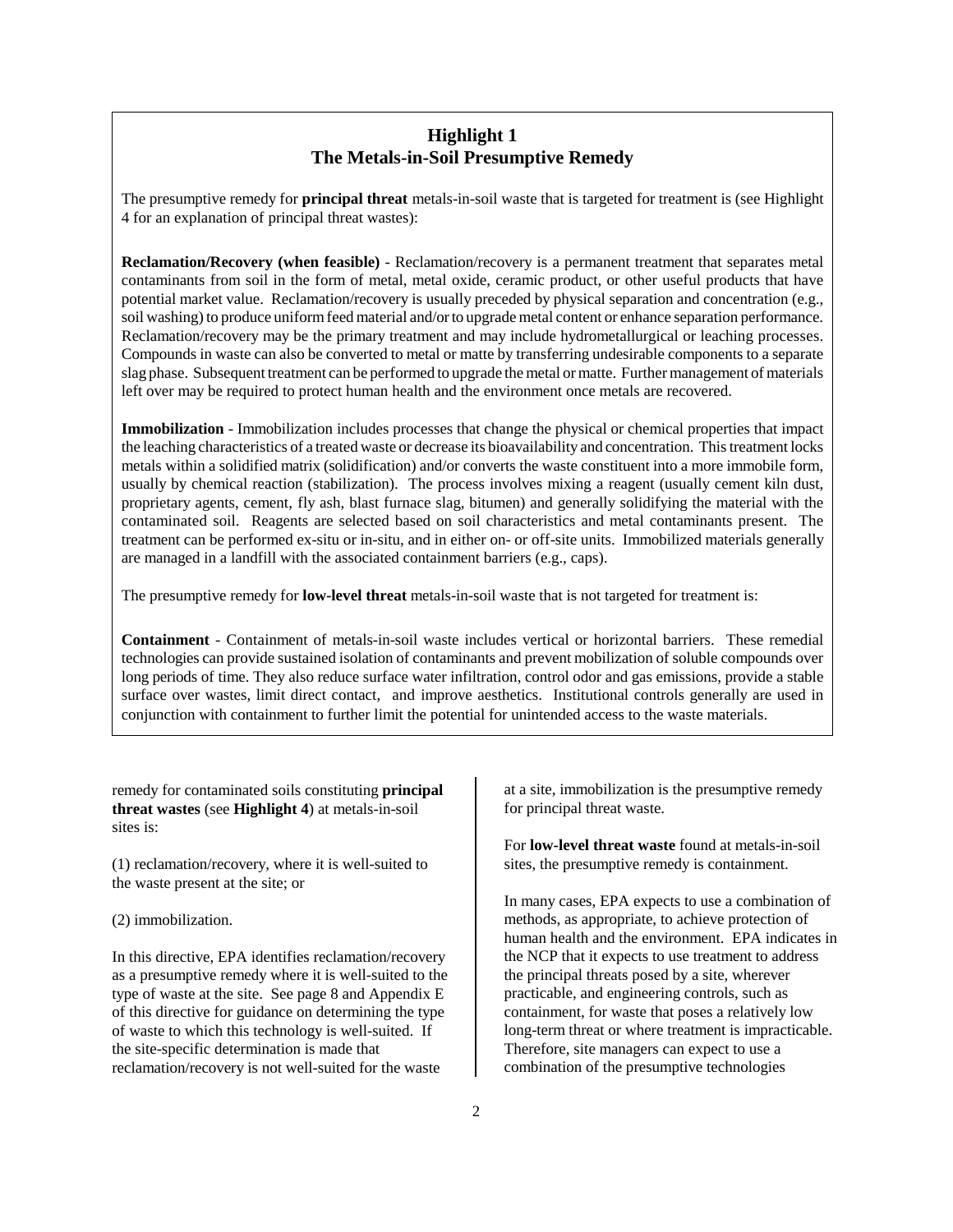# **Highlight 1 The Metals-in-Soil Presumptive Remedy**

The presumptive remedy for **principal threat** metals-in-soil waste that is targeted for treatment is (see Highlight 4 for an explanation of principal threat wastes):

**Reclamation/Recovery (when feasible)** - Reclamation/recovery is a permanent treatment that separates metal contaminants from soil in the form of metal, metal oxide, ceramic product, or other useful products that have potential market value. Reclamation/recovery is usually preceded by physical separation and concentration (e.g., soil washing) to produce uniform feed material and/or to upgrade metal content or enhance separation performance. Reclamation/recovery may be the primary treatment and may include hydrometallurgical or leaching processes. Compounds in waste can also be converted to metal or matte by transferring undesirable components to a separate slag phase. Subsequent treatment can be performed to upgrade the metal or matte. Further management of materials left over may be required to protect human health and the environment once metals are recovered.

**Immobilization** - Immobilization includes processes that change the physical or chemical properties that impact the leaching characteristics of a treated waste or decrease its bioavailability and concentration. This treatment locks metals within a solidified matrix (solidification) and/or converts the waste constituent into a more immobile form, usually by chemical reaction (stabilization). The process involves mixing a reagent (usually cement kiln dust, proprietary agents, cement, fly ash, blast furnace slag, bitumen) and generally solidifying the material with the contaminated soil. Reagents are selected based on soil characteristics and metal contaminants present. The treatment can be performed ex-situ or in-situ, and in either on- or off-site units. Immobilized materials generally are managed in a landfill with the associated containment barriers (e.g., caps).

The presumptive remedy for **low-level threat** metals-in-soil waste that is not targeted for treatment is:

**Containment** - Containment of metals-in-soil waste includes vertical or horizontal barriers. These remedial technologies can provide sustained isolation of contaminants and prevent mobilization of soluble compounds over long periods of time. They also reduce surface water infiltration, control odor and gas emissions, provide a stable surface over wastes, limit direct contact, and improve aesthetics. Institutional controls generally are used in conjunction with containment to further limit the potential for unintended access to the waste materials.

remedy for contaminated soils constituting **principal threat wastes** (see **Highlight 4**) at metals-in-soil sites is:

(1) reclamation/recovery, where it is well-suited to the waste present at the site; or

#### (2) immobilization.

In this directive, EPA identifies reclamation/recovery as a presumptive remedy where it is well-suited to the type of waste at the site. See page 8 and Appendix E of this directive for guidance on determining the type of waste to which this technology is well-suited. If the site-specific determination is made that reclamation/recovery is not well-suited for the waste

at a site, immobilization is the presumptive remedy for principal threat waste.

For **low-level threat waste** found at metals-in-soil sites, the presumptive remedy is containment.

In many cases, EPA expects to use a combination of methods, as appropriate, to achieve protection of human health and the environment. EPA indicates in the NCP that it expects to use treatment to address the principal threats posed by a site, wherever practicable, and engineering controls, such as containment, for waste that poses a relatively low long-term threat or where treatment is impracticable. Therefore, site managers can expect to use a combination of the presumptive technologies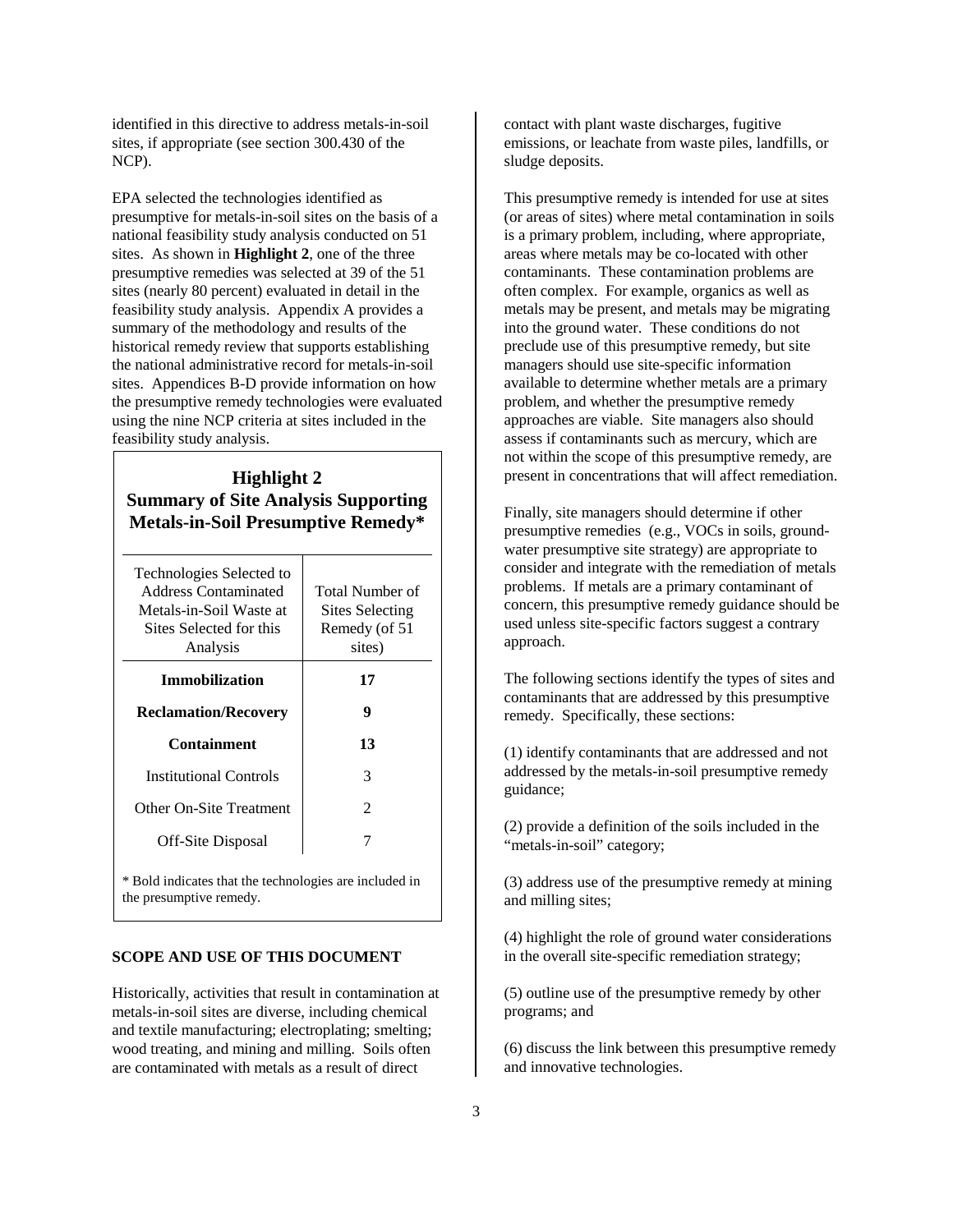identified in this directive to address metals-in-soil sites, if appropriate (see section 300.430 of the NCP).

EPA selected the technologies identified as presumptive for metals-in-soil sites on the basis of a national feasibility study analysis conducted on 51 sites. As shown in **Highlight 2**, one of the three presumptive remedies was selected at 39 of the 51 sites (nearly 80 percent) evaluated in detail in the feasibility study analysis. Appendix A provides a summary of the methodology and results of the historical remedy review that supports establishing the national administrative record for metals-in-soil sites. Appendices B-D provide information on how the presumptive remedy technologies were evaluated using the nine NCP criteria at sites included in the feasibility study analysis.

# **Highlight 2 Summary of Site Analysis Supporting Metals-in-Soil Presumptive Remedy\***

| Technologies Selected to<br>Address Contaminated<br>Metals-in-Soil Waste at<br>Sites Selected for this<br>Analysis | Total Number of<br><b>Sites Selecting</b><br>Remedy (of 51<br>sites) |  |  |  |  |  |  |
|--------------------------------------------------------------------------------------------------------------------|----------------------------------------------------------------------|--|--|--|--|--|--|
| <b>Immobilization</b>                                                                                              | 17                                                                   |  |  |  |  |  |  |
| <b>Reclamation/Recovery</b>                                                                                        | 9                                                                    |  |  |  |  |  |  |
| <b>Containment</b>                                                                                                 | 13                                                                   |  |  |  |  |  |  |
| <b>Institutional Controls</b>                                                                                      | 3                                                                    |  |  |  |  |  |  |
| Other On-Site Treatment                                                                                            | 2                                                                    |  |  |  |  |  |  |
| Off-Site Disposal                                                                                                  | 7                                                                    |  |  |  |  |  |  |
| * Bold indicates that the technologies are included in<br>the presumptive remedy.                                  |                                                                      |  |  |  |  |  |  |

#### **SCOPE AND USE OF THIS DOCUMENT**

Historically, activities that result in contamination at metals-in-soil sites are diverse, including chemical and textile manufacturing; electroplating; smelting; wood treating, and mining and milling. Soils often are contaminated with metals as a result of direct

contact with plant waste discharges, fugitive emissions, or leachate from waste piles, landfills, or sludge deposits.

This presumptive remedy is intended for use at sites (or areas of sites) where metal contamination in soils is a primary problem, including, where appropriate, areas where metals may be co-located with other contaminants. These contamination problems are often complex. For example, organics as well as metals may be present, and metals may be migrating into the ground water. These conditions do not preclude use of this presumptive remedy, but site managers should use site-specific information available to determine whether metals are a primary problem, and whether the presumptive remedy approaches are viable. Site managers also should assess if contaminants such as mercury, which are not within the scope of this presumptive remedy, are present in concentrations that will affect remediation.

Finally, site managers should determine if other presumptive remedies (e.g., VOCs in soils, groundwater presumptive site strategy) are appropriate to consider and integrate with the remediation of metals problems. If metals are a primary contaminant of concern, this presumptive remedy guidance should be used unless site-specific factors suggest a contrary approach.

The following sections identify the types of sites and contaminants that are addressed by this presumptive remedy. Specifically, these sections:

(1) identify contaminants that are addressed and not addressed by the metals-in-soil presumptive remedy guidance;

(2) provide a definition of the soils included in the "metals-in-soil" category;

(3) address use of the presumptive remedy at mining and milling sites;

(4) highlight the role of ground water considerations in the overall site-specific remediation strategy;

(5) outline use of the presumptive remedy by other programs; and

(6) discuss the link between this presumptive remedy and innovative technologies.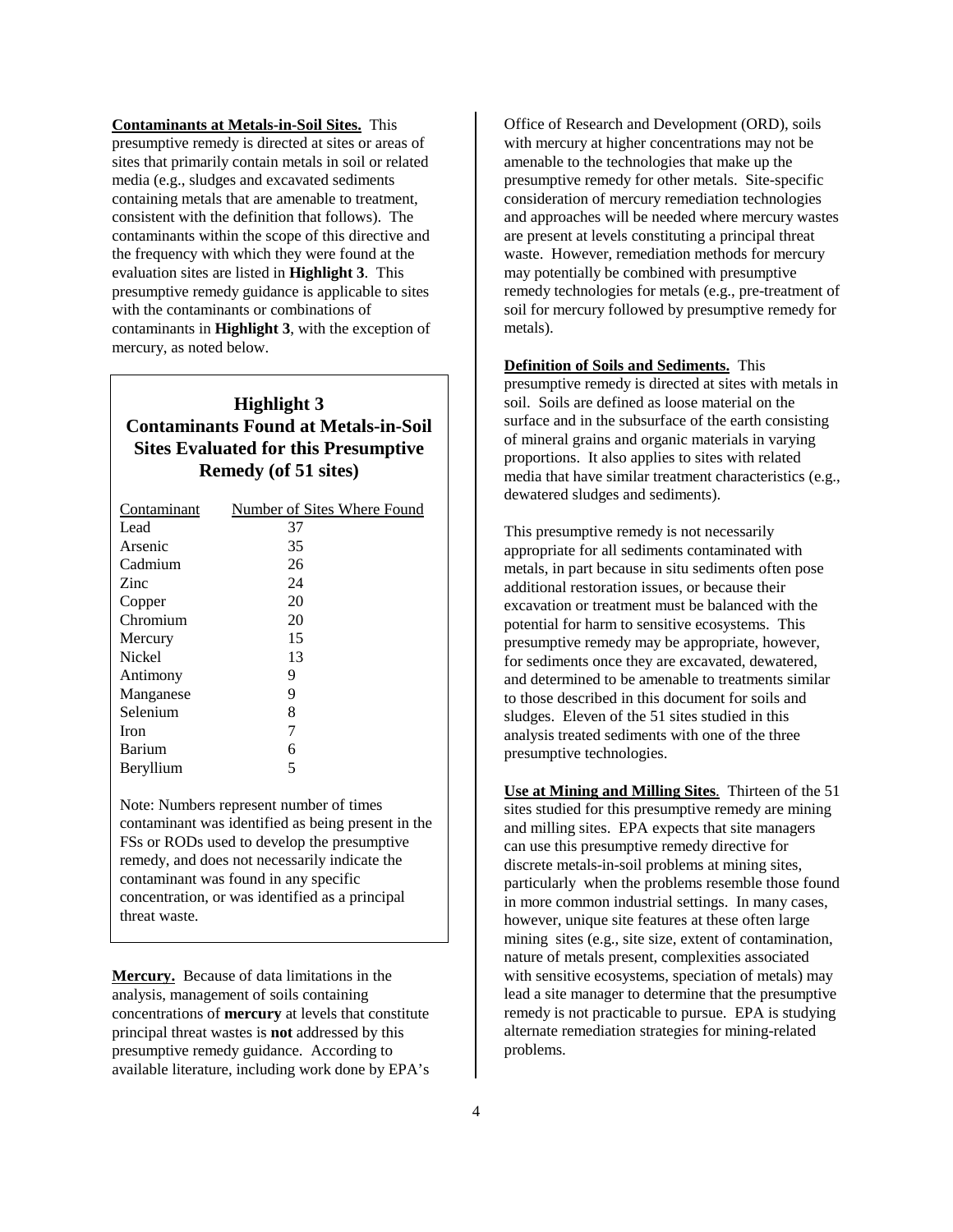**Contaminants at Metals-in-Soil Sites.** This presumptive remedy is directed at sites or areas of sites that primarily contain metals in soil or related media (e.g., sludges and excavated sediments containing metals that are amenable to treatment, consistent with the definition that follows). The contaminants within the scope of this directive and the frequency with which they were found at the evaluation sites are listed in **Highlight 3**. This presumptive remedy guidance is applicable to sites with the contaminants or combinations of contaminants in **Highlight 3**, with the exception of mercury, as noted below.

# **Highlight 3 Contaminants Found at Metals-in-Soil Sites Evaluated for this Presumptive Remedy (of 51 sites)**

| Contaminant | Number of Sites Where Found |
|-------------|-----------------------------|
| Lead        | 37                          |
| Arsenic     | 35                          |
| Cadmium     | 26                          |
| Zinc        | 24                          |
| Copper      | 20                          |
| Chromium    | 20                          |
| Mercury     | 15                          |
| Nickel      | 13                          |
| Antimony    | 9                           |
| Manganese   | 9                           |
| Selenium    | 8                           |
| Iron        | 7                           |
| Barium      | 6                           |
| Beryllium   | 5                           |

Note: Numbers represent number of times contaminant was identified as being present in the FSs or RODs used to develop the presumptive remedy, and does not necessarily indicate the contaminant was found in any specific concentration, or was identified as a principal threat waste.

**Mercury.** Because of data limitations in the analysis, management of soils containing concentrations of **mercury** at levels that constitute principal threat wastes is **not** addressed by this presumptive remedy guidance. According to available literature, including work done by EPA's

Office of Research and Development (ORD), soils with mercury at higher concentrations may not be amenable to the technologies that make up the presumptive remedy for other metals. Site-specific consideration of mercury remediation technologies and approaches will be needed where mercury wastes are present at levels constituting a principal threat waste. However, remediation methods for mercury may potentially be combined with presumptive remedy technologies for metals (e.g., pre-treatment of soil for mercury followed by presumptive remedy for metals).

**Definition of Soils and Sediments.** This presumptive remedy is directed at sites with metals in soil. Soils are defined as loose material on the surface and in the subsurface of the earth consisting of mineral grains and organic materials in varying proportions. It also applies to sites with related media that have similar treatment characteristics (e.g., dewatered sludges and sediments).

This presumptive remedy is not necessarily appropriate for all sediments contaminated with metals, in part because in situ sediments often pose additional restoration issues, or because their excavation or treatment must be balanced with the potential for harm to sensitive ecosystems. This presumptive remedy may be appropriate, however, for sediments once they are excavated, dewatered, and determined to be amenable to treatments similar to those described in this document for soils and sludges. Eleven of the 51 sites studied in this analysis treated sediments with one of the three presumptive technologies.

**Use at Mining and Milling Sites**. Thirteen of the 51 sites studied for this presumptive remedy are mining and milling sites. EPA expects that site managers can use this presumptive remedy directive for discrete metals-in-soil problems at mining sites, particularly when the problems resemble those found in more common industrial settings. In many cases, however, unique site features at these often large mining sites (e.g., site size, extent of contamination, nature of metals present, complexities associated with sensitive ecosystems, speciation of metals) may lead a site manager to determine that the presumptive remedy is not practicable to pursue. EPA is studying alternate remediation strategies for mining-related problems.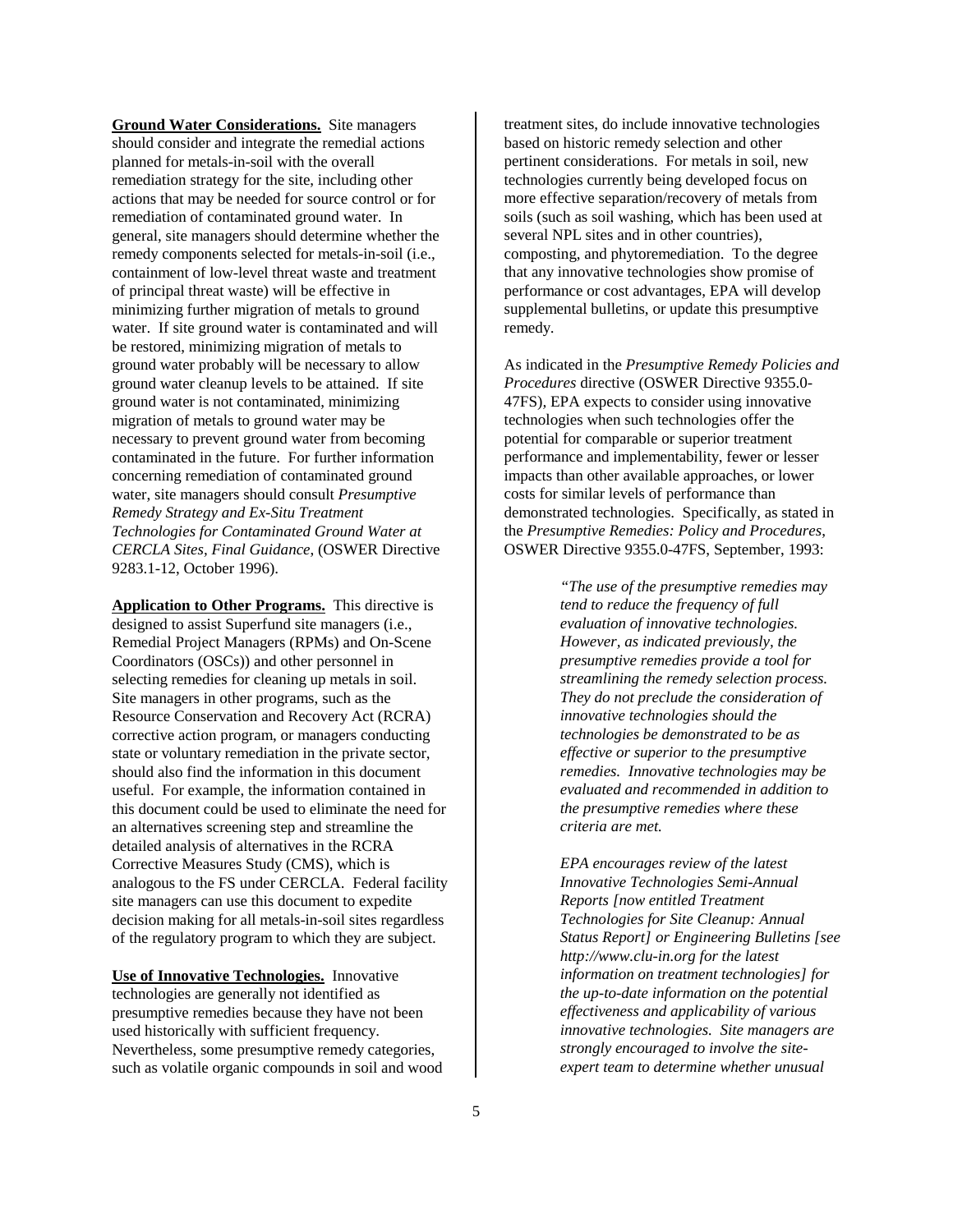**Ground Water Considerations.** Site managers should consider and integrate the remedial actions planned for metals-in-soil with the overall remediation strategy for the site, including other actions that may be needed for source control or for remediation of contaminated ground water. In general, site managers should determine whether the remedy components selected for metals-in-soil (i.e., containment of low-level threat waste and treatment of principal threat waste) will be effective in minimizing further migration of metals to ground water. If site ground water is contaminated and will be restored, minimizing migration of metals to ground water probably will be necessary to allow ground water cleanup levels to be attained. If site ground water is not contaminated, minimizing migration of metals to ground water may be necessary to prevent ground water from becoming contaminated in the future. For further information concerning remediation of contaminated ground water, site managers should consult *Presumptive Remedy Strategy and Ex-Situ Treatment Technologies for Contaminated Ground Water at CERCLA Sites, Final Guidance*, (OSWER Directive 9283.1-12, October 1996).

**Application to Other Programs.** This directive is designed to assist Superfund site managers (i.e., Remedial Project Managers (RPMs) and On-Scene Coordinators (OSCs)) and other personnel in selecting remedies for cleaning up metals in soil. Site managers in other programs, such as the Resource Conservation and Recovery Act (RCRA) corrective action program, or managers conducting state or voluntary remediation in the private sector, should also find the information in this document useful. For example, the information contained in this document could be used to eliminate the need for an alternatives screening step and streamline the detailed analysis of alternatives in the RCRA Corrective Measures Study (CMS), which is analogous to the FS under CERCLA. Federal facility site managers can use this document to expedite decision making for all metals-in-soil sites regardless of the regulatory program to which they are subject.

**Use of Innovative Technologies.** Innovative technologies are generally not identified as presumptive remedies because they have not been used historically with sufficient frequency. Nevertheless, some presumptive remedy categories, such as volatile organic compounds in soil and wood treatment sites, do include innovative technologies based on historic remedy selection and other pertinent considerations. For metals in soil, new technologies currently being developed focus on more effective separation/recovery of metals from soils (such as soil washing, which has been used at several NPL sites and in other countries), composting, and phytoremediation. To the degree that any innovative technologies show promise of performance or cost advantages, EPA will develop supplemental bulletins, or update this presumptive remedy.

As indicated in the *Presumptive Remedy Policies and Procedures* directive (OSWER Directive 9355.0- 47FS)*,* EPA expects to consider using innovative technologies when such technologies offer the potential for comparable or superior treatment performance and implementability, fewer or lesser impacts than other available approaches, or lower costs for similar levels of performance than demonstrated technologies. Specifically, as stated in the *Presumptive Remedies: Policy and Procedures*, OSWER Directive 9355.0-47FS, September, 1993:

> *"The use of the presumptive remedies may tend to reduce the frequency of full evaluation of innovative technologies. However, as indicated previously, the presumptive remedies provide a tool for streamlining the remedy selection process. They do not preclude the consideration of innovative technologies should the technologies be demonstrated to be as effective or superior to the presumptive remedies. Innovative technologies may be evaluated and recommended in addition to the presumptive remedies where these criteria are met.*

*EPA encourages review of the latest Innovative Technologies Semi-Annual Reports [now entitled Treatment Technologies for Site Cleanup: Annual Status Report] or Engineering Bulletins [see http://www.clu-in.org for the latest information on treatment technologies] for the up-to-date information on the potential effectiveness and applicability of various innovative technologies. Site managers are strongly encouraged to involve the siteexpert team to determine whether unusual*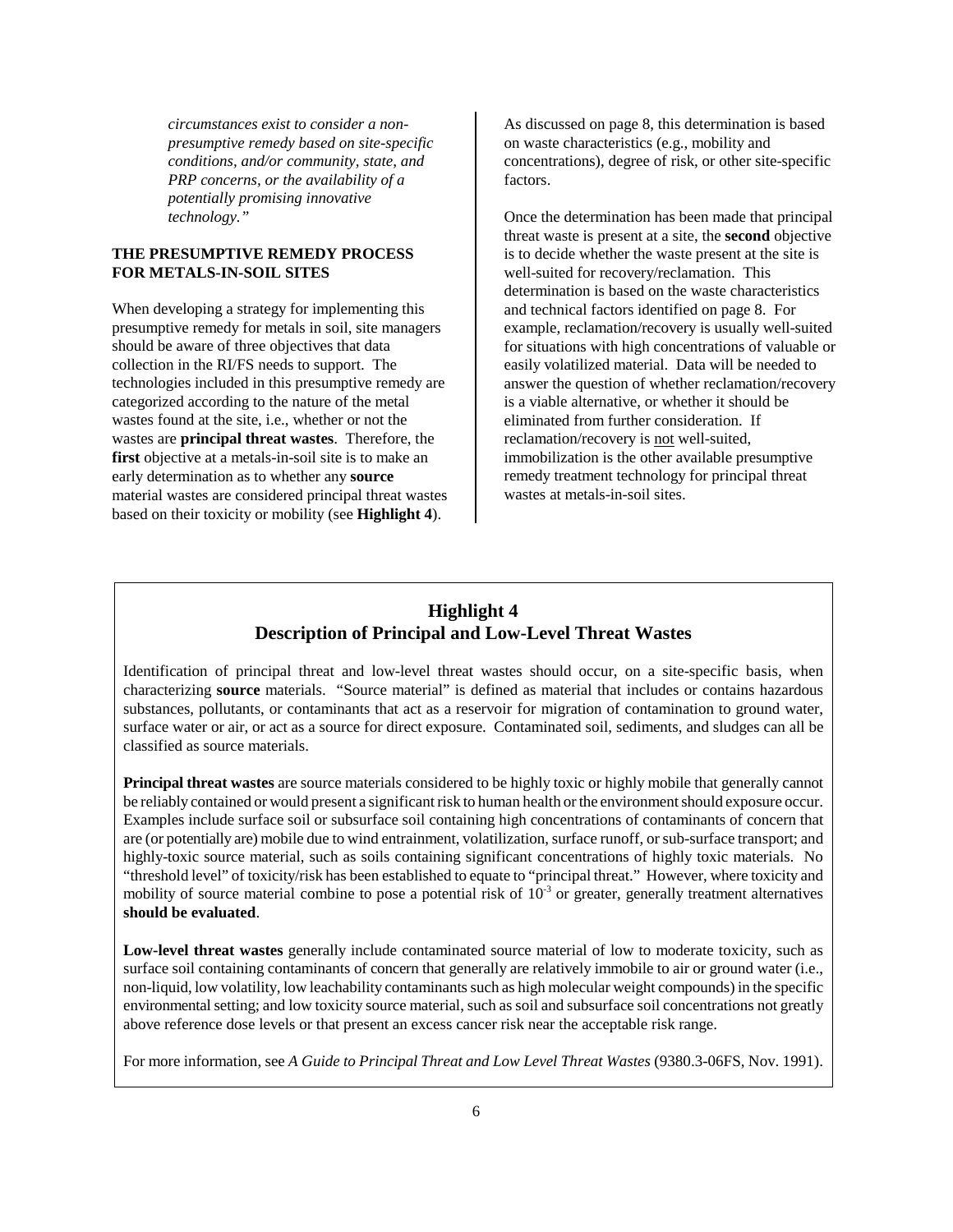*circumstances exist to consider a nonpresumptive remedy based on site-specific conditions, and/or community, state, and PRP concerns, or the availability of a potentially promising innovative technology."*

#### **THE PRESUMPTIVE REMEDY PROCESS FOR METALS-IN-SOIL SITES**

When developing a strategy for implementing this presumptive remedy for metals in soil, site managers should be aware of three objectives that data collection in the RI/FS needs to support. The technologies included in this presumptive remedy are categorized according to the nature of the metal wastes found at the site, i.e., whether or not the wastes are **principal threat wastes**. Therefore, the first objective at a metals-in-soil site is to make an early determination as to whether any **source** material wastes are considered principal threat wastes based on their toxicity or mobility (see **Highlight 4**).

As discussed on page 8, this determination is based on waste characteristics (e.g., mobility and concentrations), degree of risk, or other site-specific factors.

Once the determination has been made that principal threat waste is present at a site, the **second** objective is to decide whether the waste present at the site is well-suited for recovery/reclamation. This determination is based on the waste characteristics and technical factors identified on page 8. For example, reclamation/recovery is usually well-suited for situations with high concentrations of valuable or easily volatilized material. Data will be needed to answer the question of whether reclamation/recovery is a viable alternative, or whether it should be eliminated from further consideration. If reclamation/recovery is not well-suited, immobilization is the other available presumptive remedy treatment technology for principal threat wastes at metals-in-soil sites.

# **Highlight 4 Description of Principal and Low-Level Threat Wastes**

Identification of principal threat and low-level threat wastes should occur, on a site-specific basis, when characterizing **source** materials. "Source material" is defined as material that includes or contains hazardous substances, pollutants, or contaminants that act as a reservoir for migration of contamination to ground water, surface water or air, or act as a source for direct exposure. Contaminated soil, sediments, and sludges can all be classified as source materials.

**Principal threat wastes** are source materials considered to be highly toxic or highly mobile that generally cannot be reliably contained or would present a significant risk to human health or the environment should exposure occur. Examples include surface soil or subsurface soil containing high concentrations of contaminants of concern that are (or potentially are) mobile due to wind entrainment, volatilization, surface runoff, or sub-surface transport; and highly-toxic source material, such as soils containing significant concentrations of highly toxic materials. No "threshold level" of toxicity/risk has been established to equate to "principal threat." However, where toxicity and mobility of source material combine to pose a potential risk of  $10^{-3}$  or greater, generally treatment alternatives **should be evaluated**.

**Low-level threat wastes** generally include contaminated source material of low to moderate toxicity, such as surface soil containing contaminants of concern that generally are relatively immobile to air or ground water (i.e., non-liquid, low volatility, low leachability contaminants such as high molecular weight compounds) in the specific environmental setting; and low toxicity source material, such as soil and subsurface soil concentrations not greatly above reference dose levels or that present an excess cancer risk near the acceptable risk range.

For more information, see *A Guide to Principal Threat and Low Level Threat Wastes* (9380.3-06FS, Nov. 1991).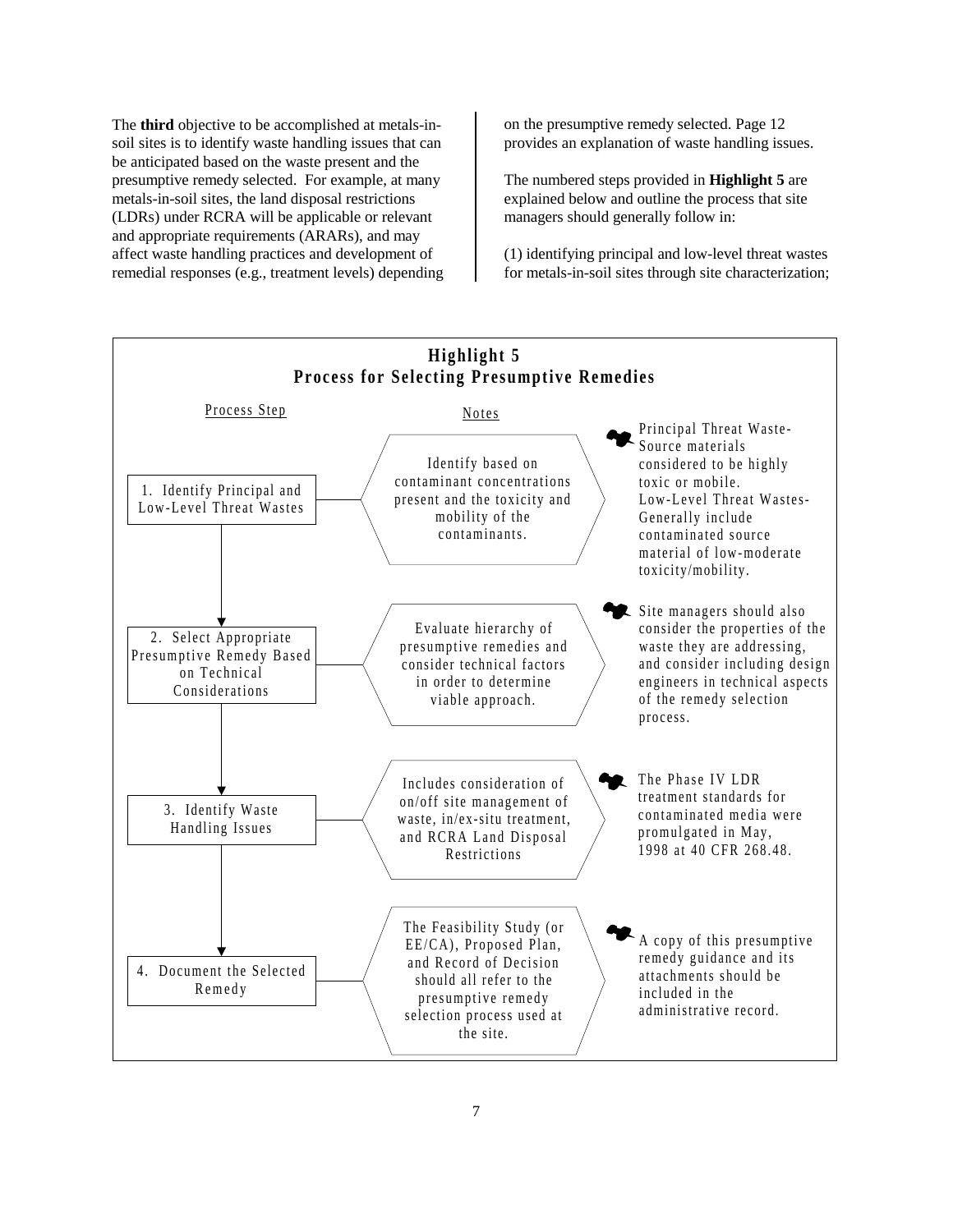The **third** objective to be accomplished at metals-insoil sites is to identify waste handling issues that can be anticipated based on the waste present and the presumptive remedy selected. For example, at many metals-in-soil sites, the land disposal restrictions (LDRs) under RCRA will be applicable or relevant and appropriate requirements (ARARs), and may affect waste handling practices and development of remedial responses (e.g., treatment levels) depending on the presumptive remedy selected. Page 12 provides an explanation of waste handling issues.

The numbered steps provided in **Highlight 5** are explained below and outline the process that site managers should generally follow in:

(1) identifying principal and low-level threat wastes for metals-in-soil sites through site characterization;

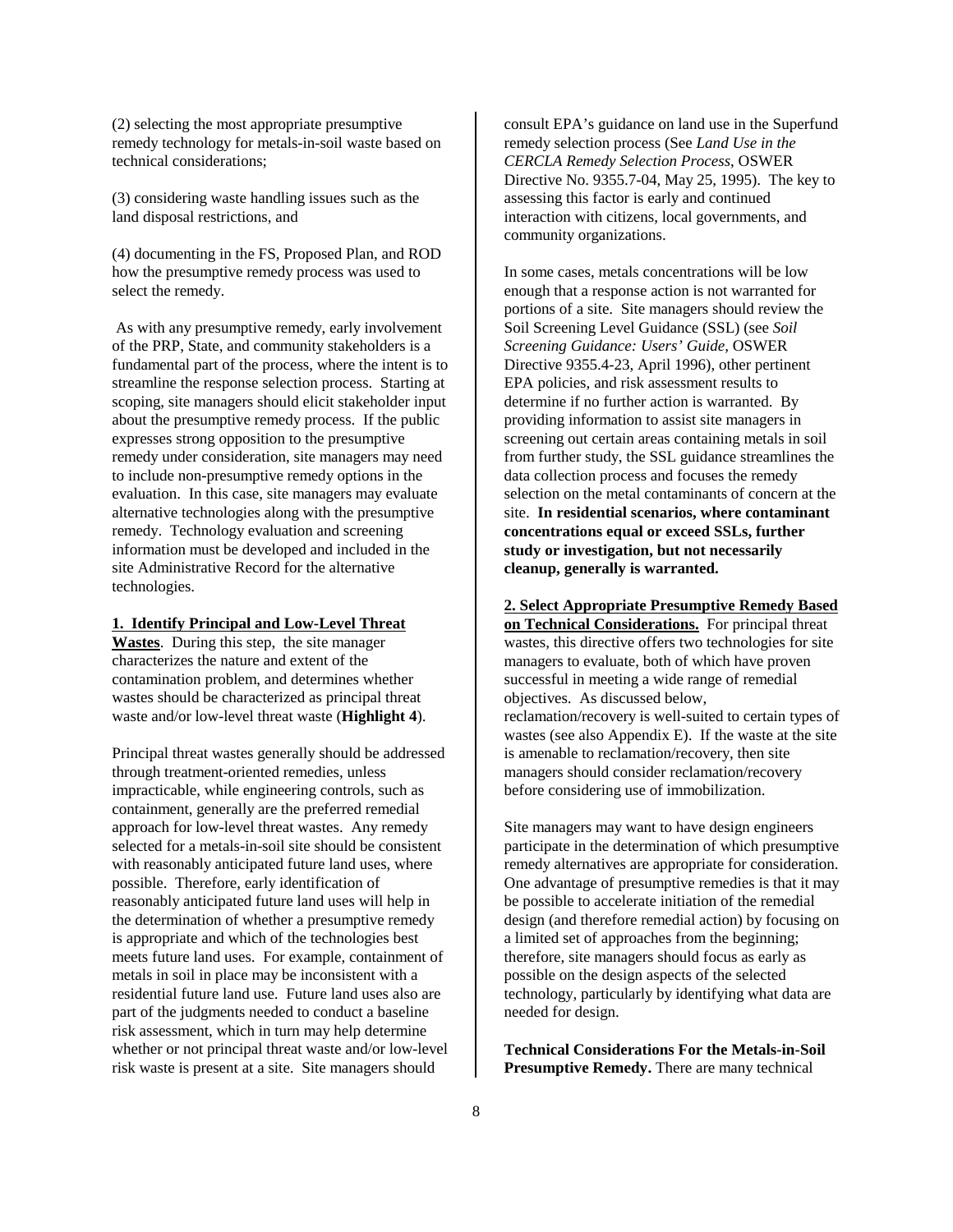(2) selecting the most appropriate presumptive remedy technology for metals-in-soil waste based on technical considerations;

(3) considering waste handling issues such as the land disposal restrictions, and

(4) documenting in the FS, Proposed Plan, and ROD how the presumptive remedy process was used to select the remedy.

 As with any presumptive remedy, early involvement of the PRP, State, and community stakeholders is a fundamental part of the process, where the intent is to streamline the response selection process. Starting at scoping, site managers should elicit stakeholder input about the presumptive remedy process. If the public expresses strong opposition to the presumptive remedy under consideration, site managers may need to include non-presumptive remedy options in the evaluation. In this case, site managers may evaluate alternative technologies along with the presumptive remedy. Technology evaluation and screening information must be developed and included in the site Administrative Record for the alternative technologies.

#### **1. Identify Principal and Low-Level Threat**

**Wastes**. During this step, the site manager characterizes the nature and extent of the contamination problem, and determines whether wastes should be characterized as principal threat waste and/or low-level threat waste (**Highlight 4**).

Principal threat wastes generally should be addressed through treatment-oriented remedies, unless impracticable, while engineering controls, such as containment, generally are the preferred remedial approach for low-level threat wastes. Any remedy selected for a metals-in-soil site should be consistent with reasonably anticipated future land uses, where possible. Therefore, early identification of reasonably anticipated future land uses will help in the determination of whether a presumptive remedy is appropriate and which of the technologies best meets future land uses. For example, containment of metals in soil in place may be inconsistent with a residential future land use. Future land uses also are part of the judgments needed to conduct a baseline risk assessment, which in turn may help determine whether or not principal threat waste and/or low-level risk waste is present at a site. Site managers should

consult EPA's guidance on land use in the Superfund remedy selection process (See *Land Use in the CERCLA Remedy Selection Process*, OSWER Directive No. 9355.7-04, May 25, 1995). The key to assessing this factor is early and continued interaction with citizens, local governments, and community organizations.

In some cases, metals concentrations will be low enough that a response action is not warranted for portions of a site. Site managers should review the Soil Screening Level Guidance (SSL) (see *Soil Screening Guidance: Users' Guide,* OSWER Directive 9355.4-23, April 1996), other pertinent EPA policies, and risk assessment results to determine if no further action is warranted. By providing information to assist site managers in screening out certain areas containing metals in soil from further study, the SSL guidance streamlines the data collection process and focuses the remedy selection on the metal contaminants of concern at the site. **In residential scenarios, where contaminant concentrations equal or exceed SSLs, further study or investigation, but not necessarily cleanup, generally is warranted.**

**2. Select Appropriate Presumptive Remedy Based on Technical Considerations.** For principal threat wastes, this directive offers two technologies for site managers to evaluate, both of which have proven successful in meeting a wide range of remedial objectives. As discussed below, reclamation/recovery is well-suited to certain types of wastes (see also Appendix E). If the waste at the site is amenable to reclamation/recovery, then site managers should consider reclamation/recovery before considering use of immobilization.

Site managers may want to have design engineers participate in the determination of which presumptive remedy alternatives are appropriate for consideration. One advantage of presumptive remedies is that it may be possible to accelerate initiation of the remedial design (and therefore remedial action) by focusing on a limited set of approaches from the beginning; therefore, site managers should focus as early as possible on the design aspects of the selected technology, particularly by identifying what data are needed for design.

**Technical Considerations For the Metals-in-Soil Presumptive Remedy.** There are many technical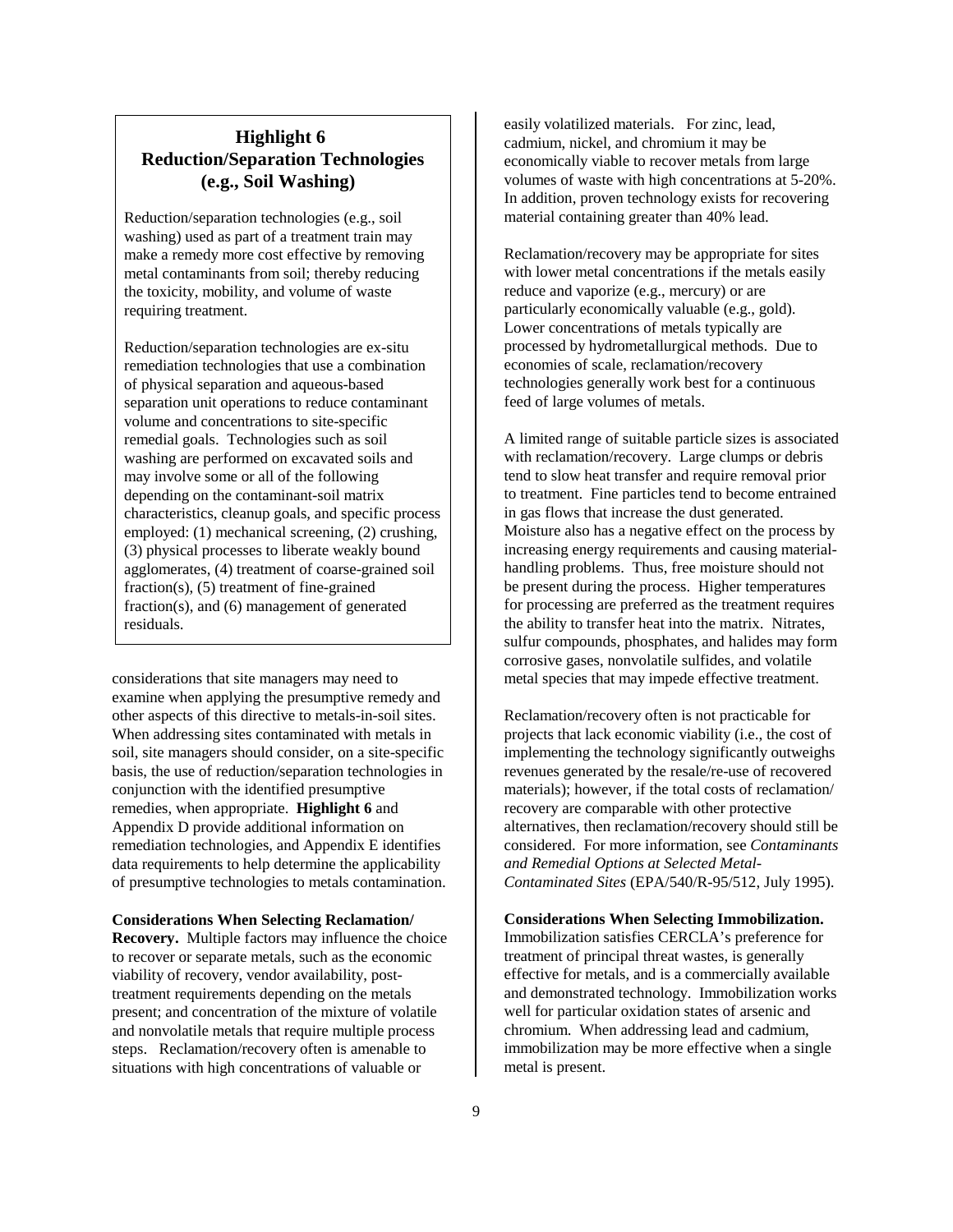# **Highlight 6 Reduction/Separation Technologies (e.g., Soil Washing)**

Reduction/separation technologies (e.g., soil washing) used as part of a treatment train may make a remedy more cost effective by removing metal contaminants from soil; thereby reducing the toxicity, mobility, and volume of waste requiring treatment.

Reduction/separation technologies are ex-situ remediation technologies that use a combination of physical separation and aqueous-based separation unit operations to reduce contaminant volume and concentrations to site-specific remedial goals. Technologies such as soil washing are performed on excavated soils and may involve some or all of the following depending on the contaminant-soil matrix characteristics, cleanup goals, and specific process employed: (1) mechanical screening, (2) crushing, (3) physical processes to liberate weakly bound agglomerates, (4) treatment of coarse-grained soil fraction(s), (5) treatment of fine-grained fraction(s), and (6) management of generated residuals.

considerations that site managers may need to examine when applying the presumptive remedy and other aspects of this directive to metals-in-soil sites. When addressing sites contaminated with metals in soil, site managers should consider, on a site-specific basis, the use of reduction/separation technologies in conjunction with the identified presumptive remedies, when appropriate. **Highlight 6** and Appendix D provide additional information on remediation technologies, and Appendix E identifies data requirements to help determine the applicability of presumptive technologies to metals contamination.

#### **Considerations When Selecting Reclamation/**

**Recovery.** Multiple factors may influence the choice to recover or separate metals, such as the economic viability of recovery, vendor availability, posttreatment requirements depending on the metals present; and concentration of the mixture of volatile and nonvolatile metals that require multiple process steps. Reclamation/recovery often is amenable to situations with high concentrations of valuable or

easily volatilized materials. For zinc, lead, cadmium, nickel, and chromium it may be economically viable to recover metals from large volumes of waste with high concentrations at 5-20%. In addition, proven technology exists for recovering material containing greater than 40% lead.

Reclamation/recovery may be appropriate for sites with lower metal concentrations if the metals easily reduce and vaporize (e.g., mercury) or are particularly economically valuable (e.g., gold). Lower concentrations of metals typically are processed by hydrometallurgical methods. Due to economies of scale, reclamation/recovery technologies generally work best for a continuous feed of large volumes of metals.

A limited range of suitable particle sizes is associated with reclamation/recovery. Large clumps or debris tend to slow heat transfer and require removal prior to treatment. Fine particles tend to become entrained in gas flows that increase the dust generated. Moisture also has a negative effect on the process by increasing energy requirements and causing materialhandling problems. Thus, free moisture should not be present during the process. Higher temperatures for processing are preferred as the treatment requires the ability to transfer heat into the matrix. Nitrates, sulfur compounds, phosphates, and halides may form corrosive gases, nonvolatile sulfides, and volatile metal species that may impede effective treatment.

Reclamation/recovery often is not practicable for projects that lack economic viability (i.e., the cost of implementing the technology significantly outweighs revenues generated by the resale/re-use of recovered materials); however, if the total costs of reclamation/ recovery are comparable with other protective alternatives, then reclamation/recovery should still be considered. For more information, see *Contaminants and Remedial Options at Selected Metal-Contaminated Sites* (EPA/540/R-95/512, July 1995).

#### **Considerations When Selecting Immobilization.**

Immobilization satisfies CERCLA's preference for treatment of principal threat wastes, is generally effective for metals, and is a commercially available and demonstrated technology. Immobilization works well for particular oxidation states of arsenic and chromium. When addressing lead and cadmium, immobilization may be more effective when a single metal is present.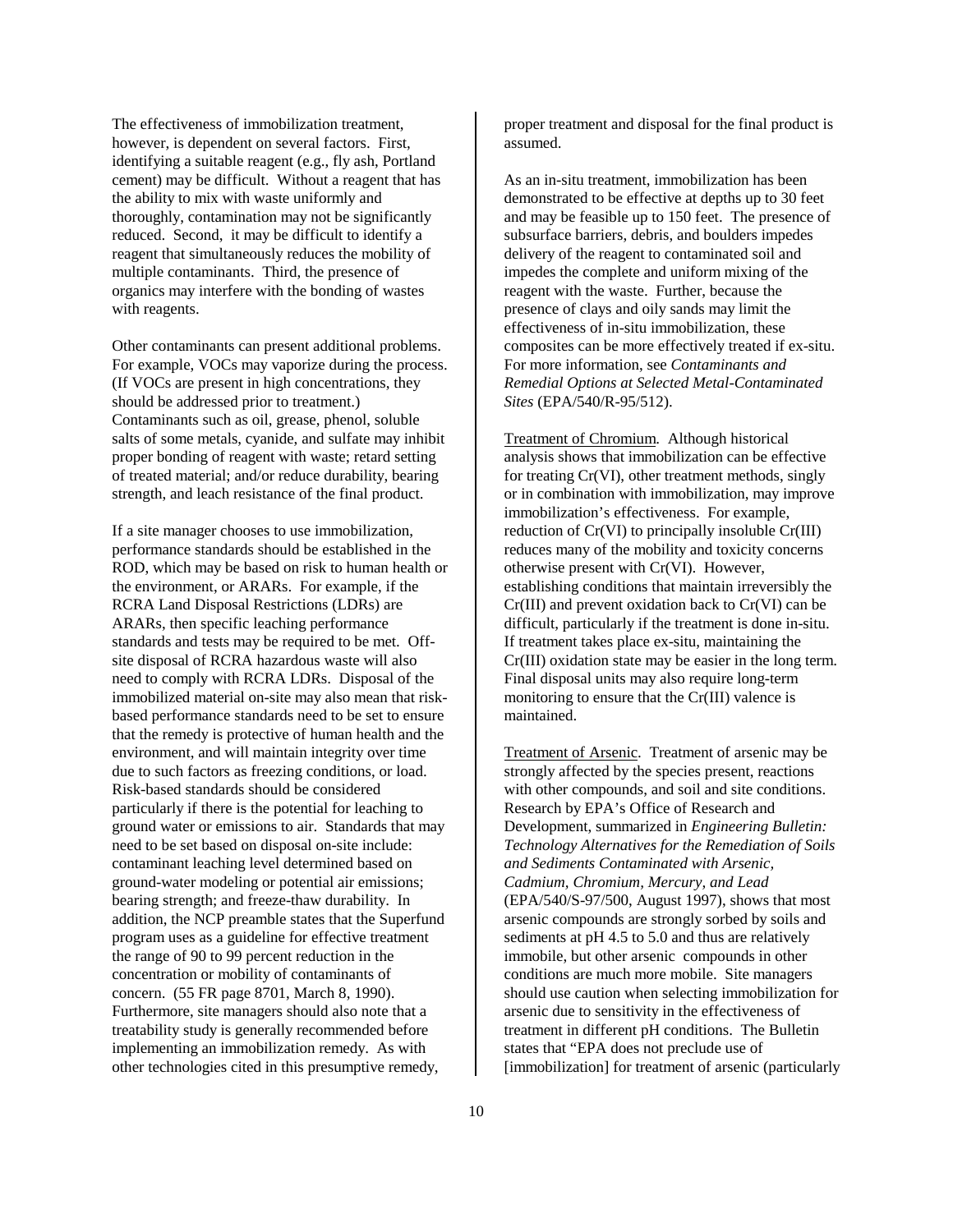The effectiveness of immobilization treatment, however, is dependent on several factors. First, identifying a suitable reagent (e.g., fly ash, Portland cement) may be difficult. Without a reagent that has the ability to mix with waste uniformly and thoroughly, contamination may not be significantly reduced. Second, it may be difficult to identify a reagent that simultaneously reduces the mobility of multiple contaminants. Third, the presence of organics may interfere with the bonding of wastes with reagents.

Other contaminants can present additional problems. For example, VOCs may vaporize during the process. (If VOCs are present in high concentrations, they should be addressed prior to treatment.) Contaminants such as oil, grease, phenol, soluble salts of some metals, cyanide, and sulfate may inhibit proper bonding of reagent with waste; retard setting of treated material; and/or reduce durability, bearing strength, and leach resistance of the final product.

If a site manager chooses to use immobilization, performance standards should be established in the ROD, which may be based on risk to human health or the environment, or ARARs. For example, if the RCRA Land Disposal Restrictions (LDRs) are ARARs, then specific leaching performance standards and tests may be required to be met. Offsite disposal of RCRA hazardous waste will also need to comply with RCRA LDRs. Disposal of the immobilized material on-site may also mean that riskbased performance standards need to be set to ensure that the remedy is protective of human health and the environment, and will maintain integrity over time due to such factors as freezing conditions, or load. Risk-based standards should be considered particularly if there is the potential for leaching to ground water or emissions to air. Standards that may need to be set based on disposal on-site include: contaminant leaching level determined based on ground-water modeling or potential air emissions; bearing strength; and freeze-thaw durability. In addition, the NCP preamble states that the Superfund program uses as a guideline for effective treatment the range of 90 to 99 percent reduction in the concentration or mobility of contaminants of concern. (55 FR page 8701, March 8, 1990). Furthermore, site managers should also note that a treatability study is generally recommended before implementing an immobilization remedy. As with other technologies cited in this presumptive remedy,

proper treatment and disposal for the final product is assumed.

As an in-situ treatment, immobilization has been demonstrated to be effective at depths up to 30 feet and may be feasible up to 150 feet. The presence of subsurface barriers, debris, and boulders impedes delivery of the reagent to contaminated soil and impedes the complete and uniform mixing of the reagent with the waste. Further, because the presence of clays and oily sands may limit the effectiveness of in-situ immobilization, these composites can be more effectively treated if ex-situ. For more information, see *Contaminants and Remedial Options at Selected Metal-Contaminated Sites* (EPA/540/R-95/512).

Treatment of Chromium. Although historical analysis shows that immobilization can be effective for treating Cr(VI), other treatment methods, singly or in combination with immobilization, may improve immobilization's effectiveness. For example, reduction of Cr(VI) to principally insoluble Cr(III) reduces many of the mobility and toxicity concerns otherwise present with Cr(VI). However, establishing conditions that maintain irreversibly the Cr(III) and prevent oxidation back to Cr(VI) can be difficult, particularly if the treatment is done in-situ. If treatment takes place ex-situ, maintaining the Cr(III) oxidation state may be easier in the long term. Final disposal units may also require long-term monitoring to ensure that the Cr(III) valence is maintained.

Treatment of Arsenic. Treatment of arsenic may be strongly affected by the species present, reactions with other compounds, and soil and site conditions. Research by EPA's Office of Research and Development, summarized in *Engineering Bulletin: Technology Alternatives for the Remediation of Soils and Sediments Contaminated with Arsenic, Cadmium, Chromium, Mercury, and Lead* (EPA/540/S-97/500, August 1997), shows that most arsenic compounds are strongly sorbed by soils and sediments at pH 4.5 to 5.0 and thus are relatively immobile, but other arsenic compounds in other conditions are much more mobile. Site managers should use caution when selecting immobilization for arsenic due to sensitivity in the effectiveness of treatment in different pH conditions. The Bulletin states that "EPA does not preclude use of [immobilization] for treatment of arsenic (particularly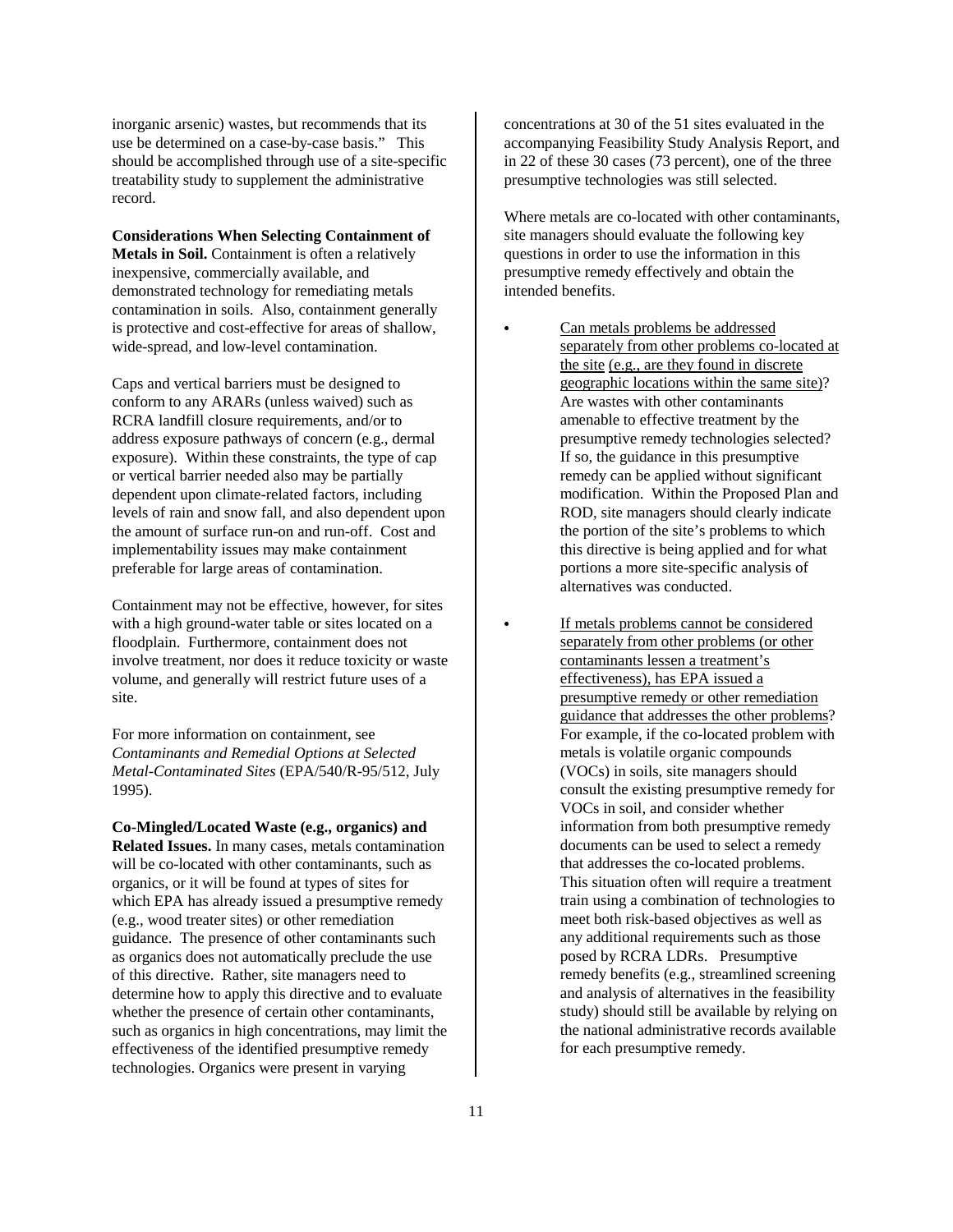inorganic arsenic) wastes, but recommends that its use be determined on a case-by-case basis." This should be accomplished through use of a site-specific treatability study to supplement the administrative record.

#### **Considerations When Selecting Containment of**

**Metals in Soil.** Containment is often a relatively inexpensive, commercially available, and demonstrated technology for remediating metals contamination in soils. Also, containment generally is protective and cost-effective for areas of shallow, wide-spread, and low-level contamination.

Caps and vertical barriers must be designed to conform to any ARARs (unless waived) such as RCRA landfill closure requirements, and/or to address exposure pathways of concern (e.g., dermal exposure). Within these constraints, the type of cap or vertical barrier needed also may be partially dependent upon climate-related factors, including levels of rain and snow fall, and also dependent upon the amount of surface run-on and run-off. Cost and implementability issues may make containment preferable for large areas of contamination.

Containment may not be effective, however, for sites with a high ground-water table or sites located on a floodplain. Furthermore, containment does not involve treatment, nor does it reduce toxicity or waste volume, and generally will restrict future uses of a site.

For more information on containment, see *Contaminants and Remedial Options at Selected Metal-Contaminated Sites* (EPA/540/R-95/512, July 1995).

**Co-Mingled/Located Waste (e.g., organics) and Related Issues.** In many cases, metals contamination will be co-located with other contaminants, such as organics, or it will be found at types of sites for which EPA has already issued a presumptive remedy (e.g., wood treater sites) or other remediation guidance. The presence of other contaminants such as organics does not automatically preclude the use of this directive. Rather, site managers need to determine how to apply this directive and to evaluate whether the presence of certain other contaminants, such as organics in high concentrations, may limit the effectiveness of the identified presumptive remedy technologies. Organics were present in varying

concentrations at 30 of the 51 sites evaluated in the accompanying Feasibility Study Analysis Report, and in 22 of these 30 cases (73 percent), one of the three presumptive technologies was still selected.

Where metals are co-located with other contaminants, site managers should evaluate the following key questions in order to use the information in this presumptive remedy effectively and obtain the intended benefits.

 Can metals problems be addressed separately from other problems co-located at the site (e.g., are they found in discrete geographic locations within the same site)? Are wastes with other contaminants amenable to effective treatment by the presumptive remedy technologies selected? If so, the guidance in this presumptive remedy can be applied without significant modification. Within the Proposed Plan and ROD, site managers should clearly indicate the portion of the site's problems to which this directive is being applied and for what portions a more site-specific analysis of alternatives was conducted.

 If metals problems cannot be considered separately from other problems (or other contaminants lessen a treatment's effectiveness), has EPA issued a presumptive remedy or other remediation guidance that addresses the other problems? For example, if the co-located problem with metals is volatile organic compounds (VOCs) in soils, site managers should consult the existing presumptive remedy for VOCs in soil, and consider whether information from both presumptive remedy documents can be used to select a remedy that addresses the co-located problems. This situation often will require a treatment train using a combination of technologies to meet both risk-based objectives as well as any additional requirements such as those posed by RCRA LDRs. Presumptive remedy benefits (e.g., streamlined screening and analysis of alternatives in the feasibility study) should still be available by relying on the national administrative records available for each presumptive remedy.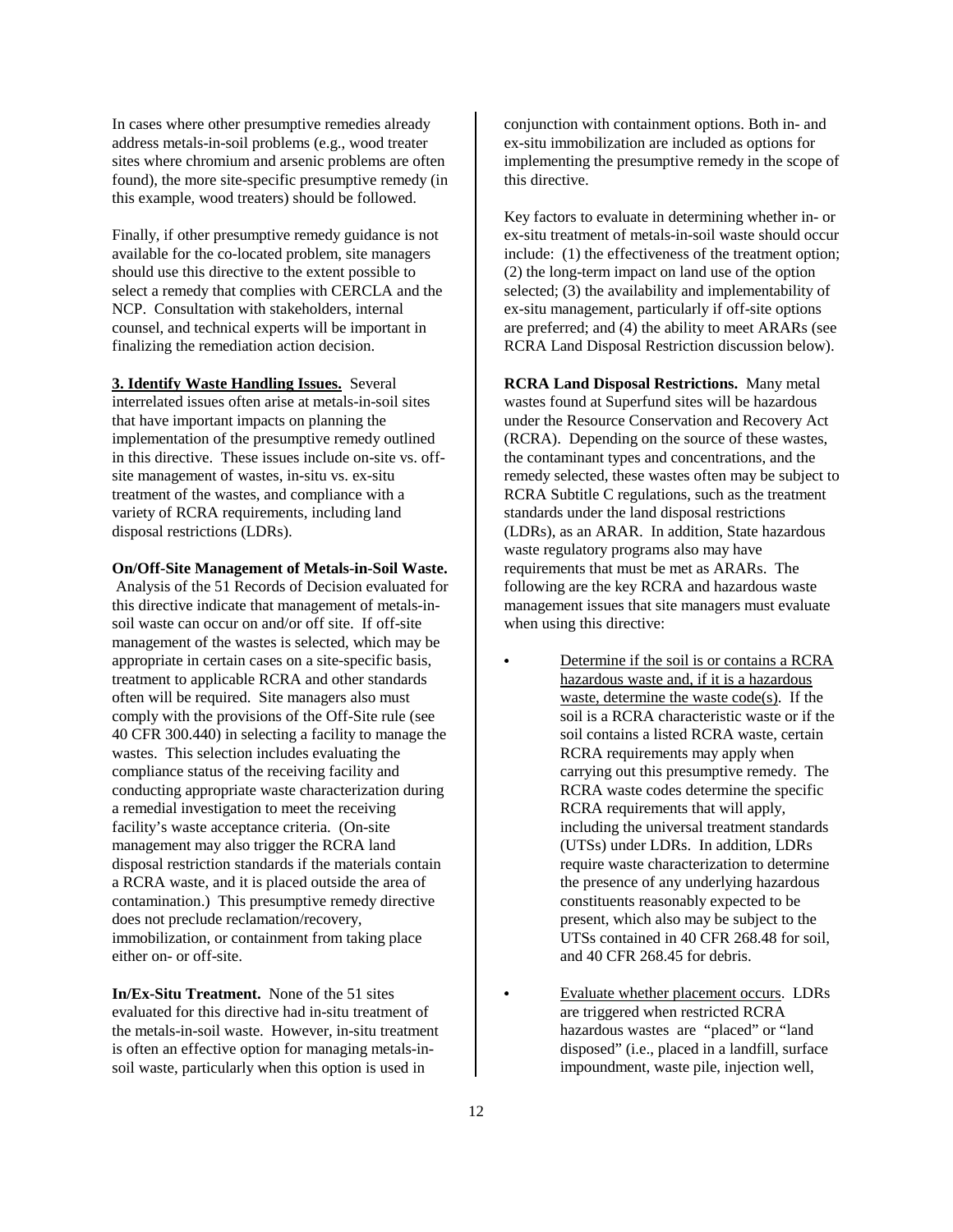In cases where other presumptive remedies already address metals-in-soil problems (e.g., wood treater sites where chromium and arsenic problems are often found), the more site-specific presumptive remedy (in this example, wood treaters) should be followed.

Finally, if other presumptive remedy guidance is not available for the co-located problem, site managers should use this directive to the extent possible to select a remedy that complies with CERCLA and the NCP. Consultation with stakeholders, internal counsel, and technical experts will be important in finalizing the remediation action decision.

**3. Identify Waste Handling Issues.** Several

interrelated issues often arise at metals-in-soil sites that have important impacts on planning the implementation of the presumptive remedy outlined in this directive. These issues include on-site vs. offsite management of wastes, in-situ vs. ex-situ treatment of the wastes, and compliance with a variety of RCRA requirements, including land disposal restrictions (LDRs).

**On/Off-Site Management of Metals-in-Soil Waste.**

 Analysis of the 51 Records of Decision evaluated for this directive indicate that management of metals-insoil waste can occur on and/or off site. If off-site management of the wastes is selected, which may be appropriate in certain cases on a site-specific basis, treatment to applicable RCRA and other standards often will be required. Site managers also must comply with the provisions of the Off-Site rule (see 40 CFR 300.440) in selecting a facility to manage the wastes. This selection includes evaluating the compliance status of the receiving facility and conducting appropriate waste characterization during a remedial investigation to meet the receiving facility's waste acceptance criteria. (On-site management may also trigger the RCRA land disposal restriction standards if the materials contain a RCRA waste, and it is placed outside the area of contamination.) This presumptive remedy directive does not preclude reclamation/recovery, immobilization, or containment from taking place either on- or off-site.

**In/Ex-Situ Treatment.** None of the 51 sites evaluated for this directive had in-situ treatment of the metals-in-soil waste. However, in-situ treatment is often an effective option for managing metals-insoil waste, particularly when this option is used in

conjunction with containment options. Both in- and ex-situ immobilization are included as options for implementing the presumptive remedy in the scope of this directive.

Key factors to evaluate in determining whether in- or ex-situ treatment of metals-in-soil waste should occur include: (1) the effectiveness of the treatment option; (2) the long-term impact on land use of the option selected; (3) the availability and implementability of ex-situ management, particularly if off-site options are preferred; and (4) the ability to meet ARARs (see RCRA Land Disposal Restriction discussion below).

**RCRA Land Disposal Restrictions.** Many metal wastes found at Superfund sites will be hazardous under the Resource Conservation and Recovery Act (RCRA). Depending on the source of these wastes, the contaminant types and concentrations, and the remedy selected, these wastes often may be subject to RCRA Subtitle C regulations, such as the treatment standards under the land disposal restrictions (LDRs), as an ARAR. In addition, State hazardous waste regulatory programs also may have requirements that must be met as ARARs. The following are the key RCRA and hazardous waste management issues that site managers must evaluate when using this directive:

> Determine if the soil is or contains a RCRA hazardous waste and, if it is a hazardous waste, determine the waste code(s). If the soil is a RCRA characteristic waste or if the soil contains a listed RCRA waste, certain RCRA requirements may apply when carrying out this presumptive remedy. The RCRA waste codes determine the specific RCRA requirements that will apply, including the universal treatment standards (UTSs) under LDRs. In addition, LDRs require waste characterization to determine the presence of any underlying hazardous constituents reasonably expected to be present, which also may be subject to the UTSs contained in 40 CFR 268.48 for soil, and 40 CFR 268.45 for debris.

 Evaluate whether placement occurs. LDRs are triggered when restricted RCRA hazardous wastes are "placed" or "land disposed" (i.e., placed in a landfill, surface impoundment, waste pile, injection well,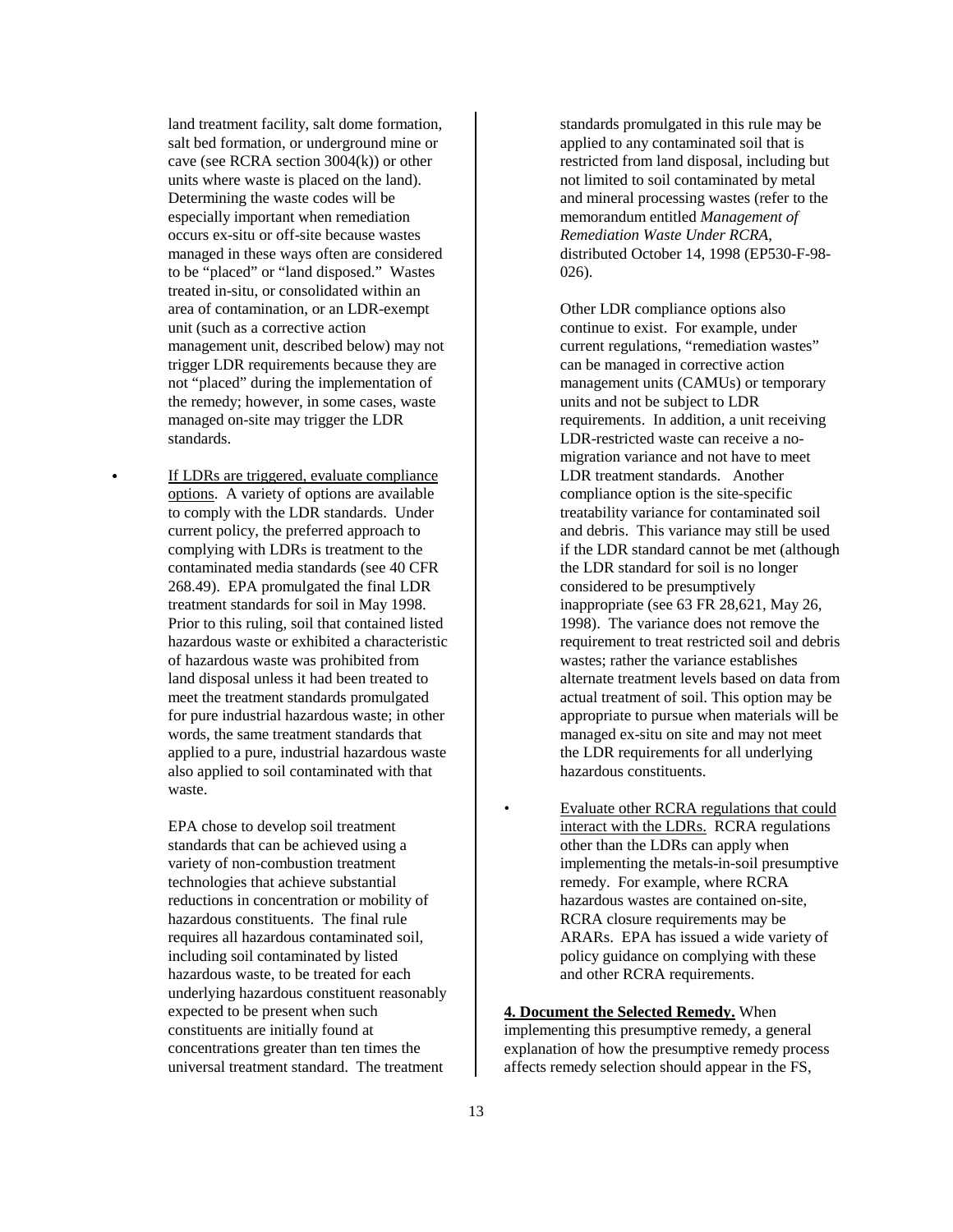land treatment facility, salt dome formation, salt bed formation, or underground mine or cave (see RCRA section 3004(k)) or other units where waste is placed on the land). Determining the waste codes will be especially important when remediation occurs ex-situ or off-site because wastes managed in these ways often are considered to be "placed" or "land disposed." Wastes treated in-situ, or consolidated within an area of contamination, or an LDR-exempt unit (such as a corrective action management unit, described below) may not trigger LDR requirements because they are not "placed" during the implementation of the remedy; however, in some cases, waste managed on-site may trigger the LDR standards.

 If LDRs are triggered, evaluate compliance options. A variety of options are available to comply with the LDR standards. Under current policy, the preferred approach to complying with LDRs is treatment to the contaminated media standards (see 40 CFR 268.49). EPA promulgated the final LDR treatment standards for soil in May 1998. Prior to this ruling, soil that contained listed hazardous waste or exhibited a characteristic of hazardous waste was prohibited from land disposal unless it had been treated to meet the treatment standards promulgated for pure industrial hazardous waste; in other words, the same treatment standards that applied to a pure, industrial hazardous waste also applied to soil contaminated with that waste.

EPA chose to develop soil treatment standards that can be achieved using a variety of non-combustion treatment technologies that achieve substantial reductions in concentration or mobility of hazardous constituents. The final rule requires all hazardous contaminated soil, including soil contaminated by listed hazardous waste, to be treated for each underlying hazardous constituent reasonably expected to be present when such constituents are initially found at concentrations greater than ten times the universal treatment standard. The treatment

standards promulgated in this rule may be applied to any contaminated soil that is restricted from land disposal, including but not limited to soil contaminated by metal and mineral processing wastes (refer to the memorandum entitled *Management of Remediation Waste Under RCRA*, distributed October 14, 1998 (EP530-F-98- 026).

Other LDR compliance options also continue to exist. For example, under current regulations, "remediation wastes" can be managed in corrective action management units (CAMUs) or temporary units and not be subject to LDR requirements. In addition, a unit receiving LDR-restricted waste can receive a nomigration variance and not have to meet LDR treatment standards. Another compliance option is the site-specific treatability variance for contaminated soil and debris. This variance may still be used if the LDR standard cannot be met (although the LDR standard for soil is no longer considered to be presumptively inappropriate (see 63 FR 28,621, May 26, 1998). The variance does not remove the requirement to treat restricted soil and debris wastes; rather the variance establishes alternate treatment levels based on data from actual treatment of soil. This option may be appropriate to pursue when materials will be managed ex-situ on site and may not meet the LDR requirements for all underlying hazardous constituents.

• Evaluate other RCRA regulations that could interact with the LDRs. RCRA regulations other than the LDRs can apply when implementing the metals-in-soil presumptive remedy. For example, where RCRA hazardous wastes are contained on-site, RCRA closure requirements may be ARARs. EPA has issued a wide variety of policy guidance on complying with these and other RCRA requirements.

## **4. Document the Selected Remedy.** When implementing this presumptive remedy, a general explanation of how the presumptive remedy process affects remedy selection should appear in the FS,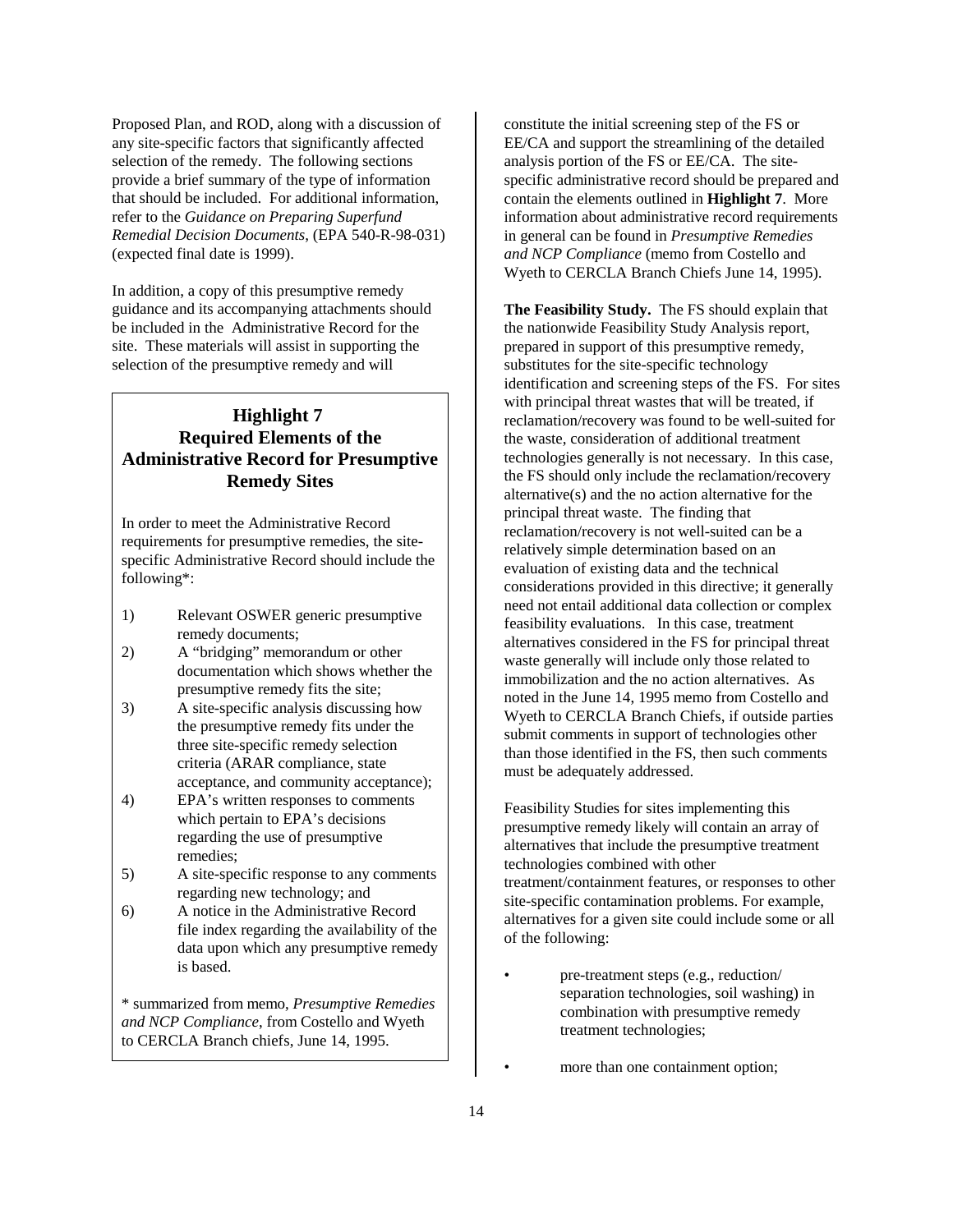Proposed Plan, and ROD, along with a discussion of any site-specific factors that significantly affected selection of the remedy. The following sections provide a brief summary of the type of information that should be included. For additional information, refer to the *Guidance on Preparing Superfund Remedial Decision Documents*, (EPA 540-R-98-031) (expected final date is 1999).

In addition, a copy of this presumptive remedy guidance and its accompanying attachments should be included in the Administrative Record for the site. These materials will assist in supporting the selection of the presumptive remedy and will

# **Highlight 7 Required Elements of the Administrative Record for Presumptive Remedy Sites**

In order to meet the Administrative Record requirements for presumptive remedies, the sitespecific Administrative Record should include the following\*:

- 1) Relevant OSWER generic presumptive remedy documents;
- 2) A "bridging" memorandum or other documentation which shows whether the presumptive remedy fits the site;
- 3) A site-specific analysis discussing how the presumptive remedy fits under the three site-specific remedy selection criteria (ARAR compliance, state acceptance, and community acceptance);
- 4) EPA's written responses to comments which pertain to EPA's decisions regarding the use of presumptive remedies;
- 5) A site-specific response to any comments regarding new technology; and
- 6) A notice in the Administrative Record file index regarding the availability of the data upon which any presumptive remedy is based.

\* summarized from memo, *Presumptive Remedies and NCP Compliance*, from Costello and Wyeth to CERCLA Branch chiefs, June 14, 1995.

constitute the initial screening step of the FS or EE/CA and support the streamlining of the detailed analysis portion of the FS or EE/CA. The sitespecific administrative record should be prepared and contain the elements outlined in **Highlight 7**. More information about administrative record requirements in general can be found in *Presumptive Remedies and NCP Compliance* (memo from Costello and Wyeth to CERCLA Branch Chiefs June 14, 1995).

**The Feasibility Study.** The FS should explain that the nationwide Feasibility Study Analysis report, prepared in support of this presumptive remedy, substitutes for the site-specific technology identification and screening steps of the FS. For sites with principal threat wastes that will be treated, if reclamation/recovery was found to be well-suited for the waste, consideration of additional treatment technologies generally is not necessary. In this case, the FS should only include the reclamation/recovery alternative(s) and the no action alternative for the principal threat waste. The finding that reclamation/recovery is not well-suited can be a relatively simple determination based on an evaluation of existing data and the technical considerations provided in this directive; it generally need not entail additional data collection or complex feasibility evaluations. In this case, treatment alternatives considered in the FS for principal threat waste generally will include only those related to immobilization and the no action alternatives. As noted in the June 14, 1995 memo from Costello and Wyeth to CERCLA Branch Chiefs, if outside parties submit comments in support of technologies other than those identified in the FS, then such comments must be adequately addressed.

Feasibility Studies for sites implementing this presumptive remedy likely will contain an array of alternatives that include the presumptive treatment technologies combined with other treatment/containment features, or responses to other site-specific contamination problems. For example, alternatives for a given site could include some or all of the following:

- pre-treatment steps (e.g., reduction/ separation technologies, soil washing) in combination with presumptive remedy treatment technologies;
	- more than one containment option;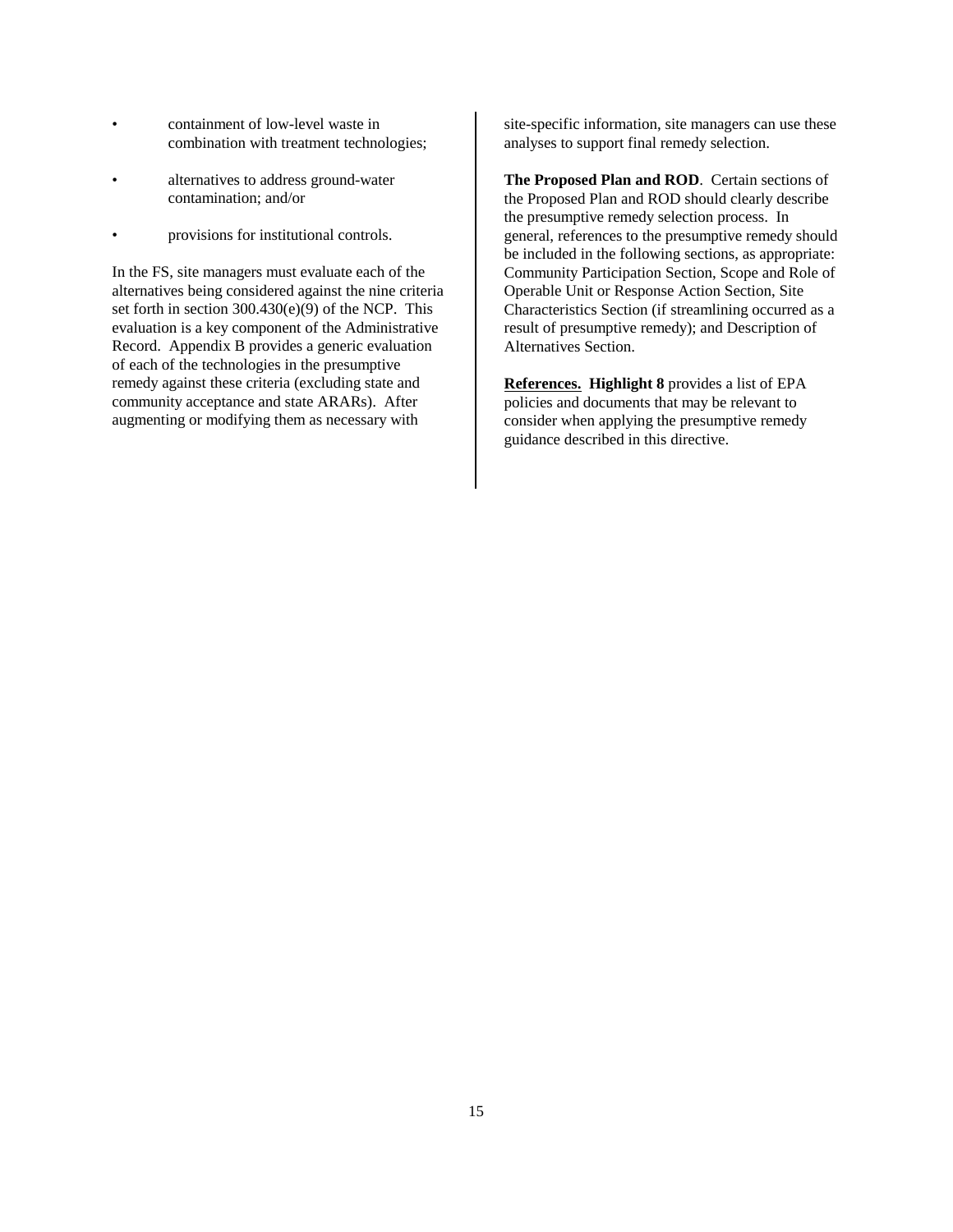- containment of low-level waste in combination with treatment technologies;
- alternatives to address ground-water contamination; and/or
- provisions for institutional controls.

In the FS, site managers must evaluate each of the alternatives being considered against the nine criteria set forth in section 300.430(e)(9) of the NCP. This evaluation is a key component of the Administrative Record. Appendix B provides a generic evaluation of each of the technologies in the presumptive remedy against these criteria (excluding state and community acceptance and state ARARs). After augmenting or modifying them as necessary with

site-specific information, site managers can use these analyses to support final remedy selection.

**The Proposed Plan and ROD**. Certain sections of the Proposed Plan and ROD should clearly describe the presumptive remedy selection process. In general, references to the presumptive remedy should be included in the following sections, as appropriate: Community Participation Section, Scope and Role of Operable Unit or Response Action Section, Site Characteristics Section (if streamlining occurred as a result of presumptive remedy); and Description of Alternatives Section.

**References. Highlight 8** provides a list of EPA policies and documents that may be relevant to consider when applying the presumptive remedy guidance described in this directive.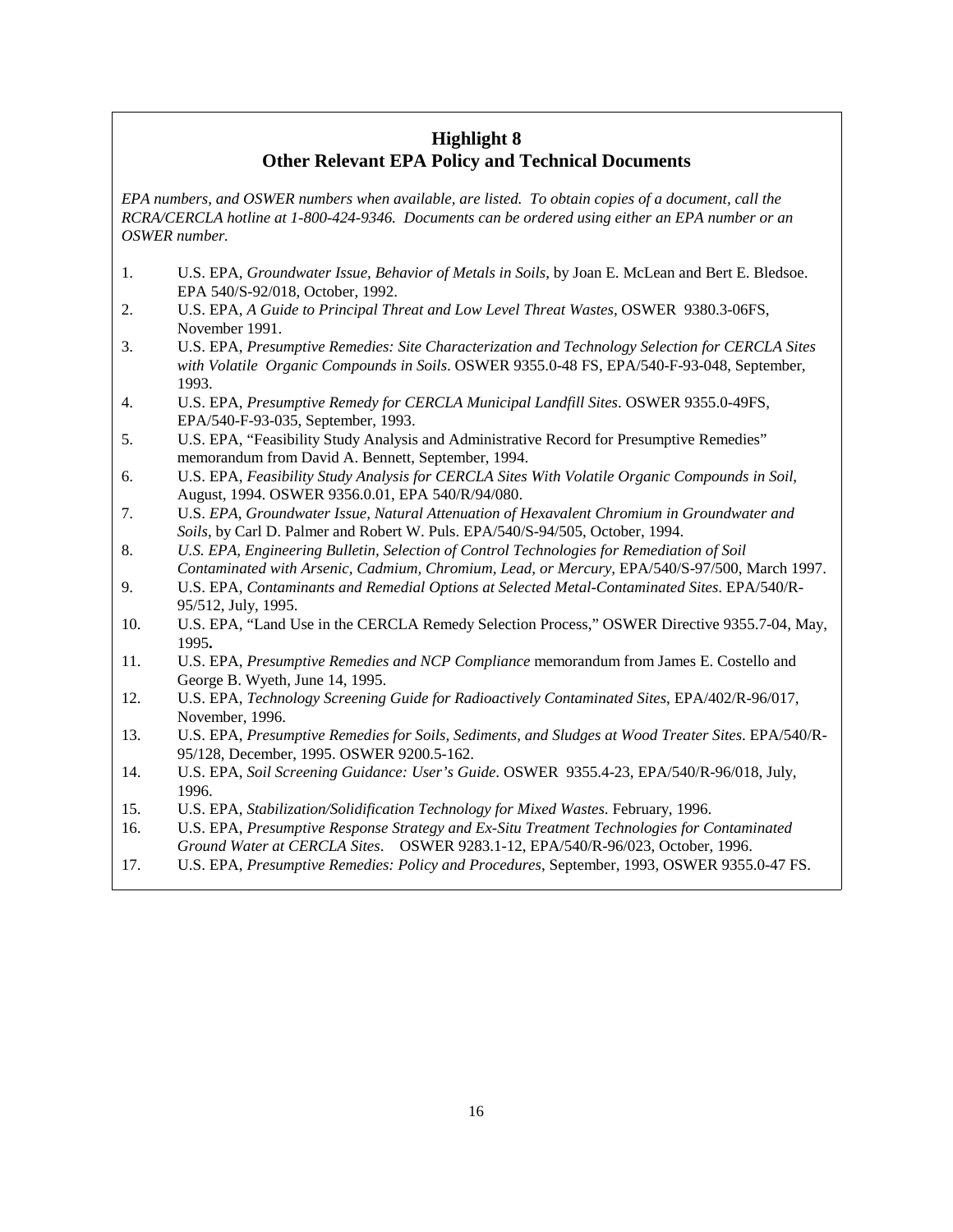# **Highlight 8 Other Relevant EPA Policy and Technical Documents**

*EPA numbers, and OSWER numbers when available, are listed. To obtain copies of a document, call the RCRA/CERCLA hotline at 1-800-424-9346. Documents can be ordered using either an EPA number or an OSWER number.*

- 1. U.S. EPA, *Groundwater Issue, Behavior of Metals in Soils*, by Joan E. McLean and Bert E. Bledsoe. EPA 540/S-92/018, October, 1992.
- 2. U.S. EPA, *A Guide to Principal Threat and Low Level Threat Wastes,* OSWER 9380.3-06FS, November 1991.
- 3. U.S. EPA, *Presumptive Remedies: Site Characterization and Technology Selection for CERCLA Sites with Volatile Organic Compounds in Soils*. OSWER 9355.0-48 FS, EPA/540-F-93-048, September, 1993.
- 4. U.S. EPA, *Presumptive Remedy for CERCLA Municipal Landfill Sites*. OSWER 9355.0-49FS, EPA/540-F-93-035, September, 1993.
- 5. U.S. EPA, "Feasibility Study Analysis and Administrative Record for Presumptive Remedies" memorandum from David A. Bennett, September, 1994.
- 6. U.S. EPA, *Feasibility Study Analysis for CERCLA Sites With Volatile Organic Compounds in Soil*, August, 1994. OSWER 9356.0.01, EPA 540/R/94/080.
- 7. U.S. *EPA, Groundwater Issue, Natural Attenuation of Hexavalent Chromium in Groundwater and Soils*, by Carl D. Palmer and Robert W. Puls. EPA/540/S-94/505, October, 1994.
- 8. *U.S. EPA, Engineering Bulletin, Selection of Control Technologies for Remediation of Soil Contaminated with Arsenic, Cadmium, Chromium, Lead, or Mercury,* EPA/540/S-97/500, March 1997.
- 9. U.S. EPA, *Contaminants and Remedial Options at Selected Metal-Contaminated Sites*. EPA/540/R-95/512, July, 1995.
- 10. U.S. EPA, "Land Use in the CERCLA Remedy Selection Process," OSWER Directive 9355.7-04, May, 1995**.**
- 11. U.S. EPA, *Presumptive Remedies and NCP Compliance* memorandum from James E. Costello and George B. Wyeth, June 14, 1995.
- 12. U.S. EPA, *Technology Screening Guide for Radioactively Contaminated Sites*, EPA/402/R-96/017, November, 1996.
- 13. U.S. EPA, *Presumptive Remedies for Soils, Sediments, and Sludges at Wood Treater Sites*. EPA/540/R-95/128, December, 1995. OSWER 9200.5-162.
- 14. U.S. EPA, *Soil Screening Guidance: User's Guide*. OSWER 9355.4-23, EPA/540/R-96/018, July, 1996.
- 15. U.S. EPA, *Stabilization/Solidification Technology for Mixed Wastes*. February, 1996.
- 16. U.S. EPA, *Presumptive Response Strategy and Ex-Situ Treatment Technologies for Contaminated Ground Water at CERCLA Sites*. OSWER 9283.1-12, EPA/540/R-96/023, October, 1996.
- 17. U.S. EPA, *Presumptive Remedies: Policy and Procedures*, September, 1993, OSWER 9355.0-47 FS.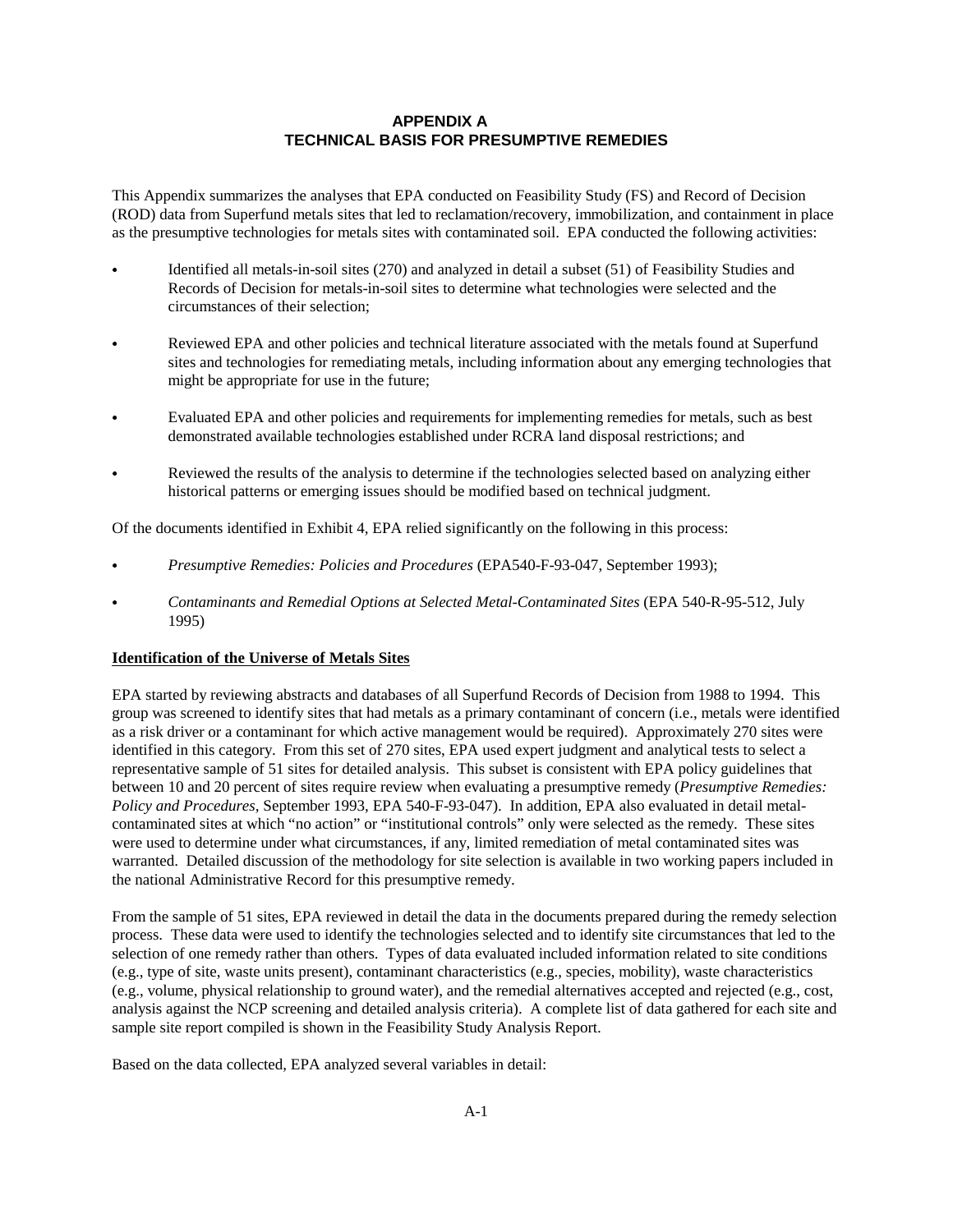# **APPENDIX A TECHNICAL BASIS FOR PRESUMPTIVE REMEDIES**

This Appendix summarizes the analyses that EPA conducted on Feasibility Study (FS) and Record of Decision (ROD) data from Superfund metals sites that led to reclamation/recovery, immobilization, and containment in place as the presumptive technologies for metals sites with contaminated soil. EPA conducted the following activities:

- Identified all metals-in-soil sites (270) and analyzed in detail a subset (51) of Feasibility Studies and Records of Decision for metals-in-soil sites to determine what technologies were selected and the circumstances of their selection;
- Reviewed EPA and other policies and technical literature associated with the metals found at Superfund sites and technologies for remediating metals, including information about any emerging technologies that might be appropriate for use in the future;
- Evaluated EPA and other policies and requirements for implementing remedies for metals, such as best demonstrated available technologies established under RCRA land disposal restrictions; and
- Reviewed the results of the analysis to determine if the technologies selected based on analyzing either historical patterns or emerging issues should be modified based on technical judgment.

Of the documents identified in Exhibit 4, EPA relied significantly on the following in this process:

- *Presumptive Remedies: Policies and Procedures* (EPA540-F-93-047, September 1993);
- *Contaminants and Remedial Options at Selected Metal-Contaminated Sites* (EPA 540-R-95-512, July 1995)

#### **Identification of the Universe of Metals Sites**

EPA started by reviewing abstracts and databases of all Superfund Records of Decision from 1988 to 1994. This group was screened to identify sites that had metals as a primary contaminant of concern (i.e., metals were identified as a risk driver or a contaminant for which active management would be required). Approximately 270 sites were identified in this category. From this set of 270 sites, EPA used expert judgment and analytical tests to select a representative sample of 51 sites for detailed analysis. This subset is consistent with EPA policy guidelines that between 10 and 20 percent of sites require review when evaluating a presumptive remedy (*Presumptive Remedies: Policy and Procedures*, September 1993, EPA 540-F-93-047). In addition, EPA also evaluated in detail metalcontaminated sites at which "no action" or "institutional controls" only were selected as the remedy. These sites were used to determine under what circumstances, if any, limited remediation of metal contaminated sites was warranted. Detailed discussion of the methodology for site selection is available in two working papers included in the national Administrative Record for this presumptive remedy.

From the sample of 51 sites, EPA reviewed in detail the data in the documents prepared during the remedy selection process. These data were used to identify the technologies selected and to identify site circumstances that led to the selection of one remedy rather than others. Types of data evaluated included information related to site conditions (e.g., type of site, waste units present), contaminant characteristics (e.g., species, mobility), waste characteristics (e.g., volume, physical relationship to ground water), and the remedial alternatives accepted and rejected (e.g., cost, analysis against the NCP screening and detailed analysis criteria). A complete list of data gathered for each site and sample site report compiled is shown in the Feasibility Study Analysis Report.

Based on the data collected, EPA analyzed several variables in detail: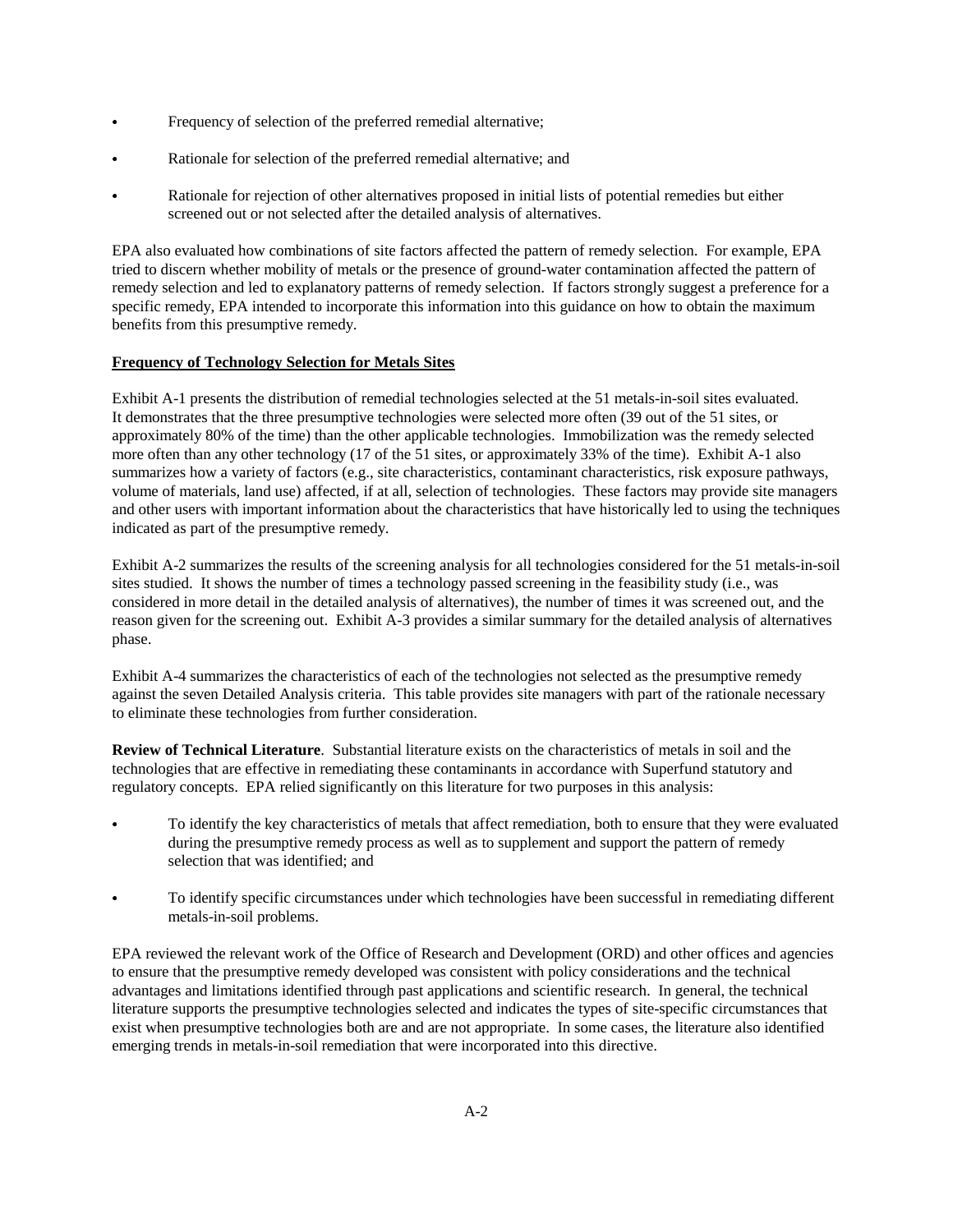- Frequency of selection of the preferred remedial alternative;
- Rationale for selection of the preferred remedial alternative; and
- Rationale for rejection of other alternatives proposed in initial lists of potential remedies but either screened out or not selected after the detailed analysis of alternatives.

EPA also evaluated how combinations of site factors affected the pattern of remedy selection. For example, EPA tried to discern whether mobility of metals or the presence of ground-water contamination affected the pattern of remedy selection and led to explanatory patterns of remedy selection. If factors strongly suggest a preference for a specific remedy, EPA intended to incorporate this information into this guidance on how to obtain the maximum benefits from this presumptive remedy.

# **Frequency of Technology Selection for Metals Sites**

Exhibit A-1 presents the distribution of remedial technologies selected at the 51 metals-in-soil sites evaluated. It demonstrates that the three presumptive technologies were selected more often (39 out of the 51 sites, or approximately 80% of the time) than the other applicable technologies. Immobilization was the remedy selected more often than any other technology (17 of the 51 sites, or approximately 33% of the time). Exhibit A-1 also summarizes how a variety of factors (e.g., site characteristics, contaminant characteristics, risk exposure pathways, volume of materials, land use) affected, if at all, selection of technologies. These factors may provide site managers and other users with important information about the characteristics that have historically led to using the techniques indicated as part of the presumptive remedy.

Exhibit A-2 summarizes the results of the screening analysis for all technologies considered for the 51 metals-in-soil sites studied. It shows the number of times a technology passed screening in the feasibility study (i.e., was considered in more detail in the detailed analysis of alternatives), the number of times it was screened out, and the reason given for the screening out. Exhibit A-3 provides a similar summary for the detailed analysis of alternatives phase.

Exhibit A-4 summarizes the characteristics of each of the technologies not selected as the presumptive remedy against the seven Detailed Analysis criteria. This table provides site managers with part of the rationale necessary to eliminate these technologies from further consideration.

**Review of Technical Literature**. Substantial literature exists on the characteristics of metals in soil and the technologies that are effective in remediating these contaminants in accordance with Superfund statutory and regulatory concepts. EPA relied significantly on this literature for two purposes in this analysis:

- To identify the key characteristics of metals that affect remediation, both to ensure that they were evaluated during the presumptive remedy process as well as to supplement and support the pattern of remedy selection that was identified; and
- To identify specific circumstances under which technologies have been successful in remediating different metals-in-soil problems.

EPA reviewed the relevant work of the Office of Research and Development (ORD) and other offices and agencies to ensure that the presumptive remedy developed was consistent with policy considerations and the technical advantages and limitations identified through past applications and scientific research. In general, the technical literature supports the presumptive technologies selected and indicates the types of site-specific circumstances that exist when presumptive technologies both are and are not appropriate. In some cases, the literature also identified emerging trends in metals-in-soil remediation that were incorporated into this directive.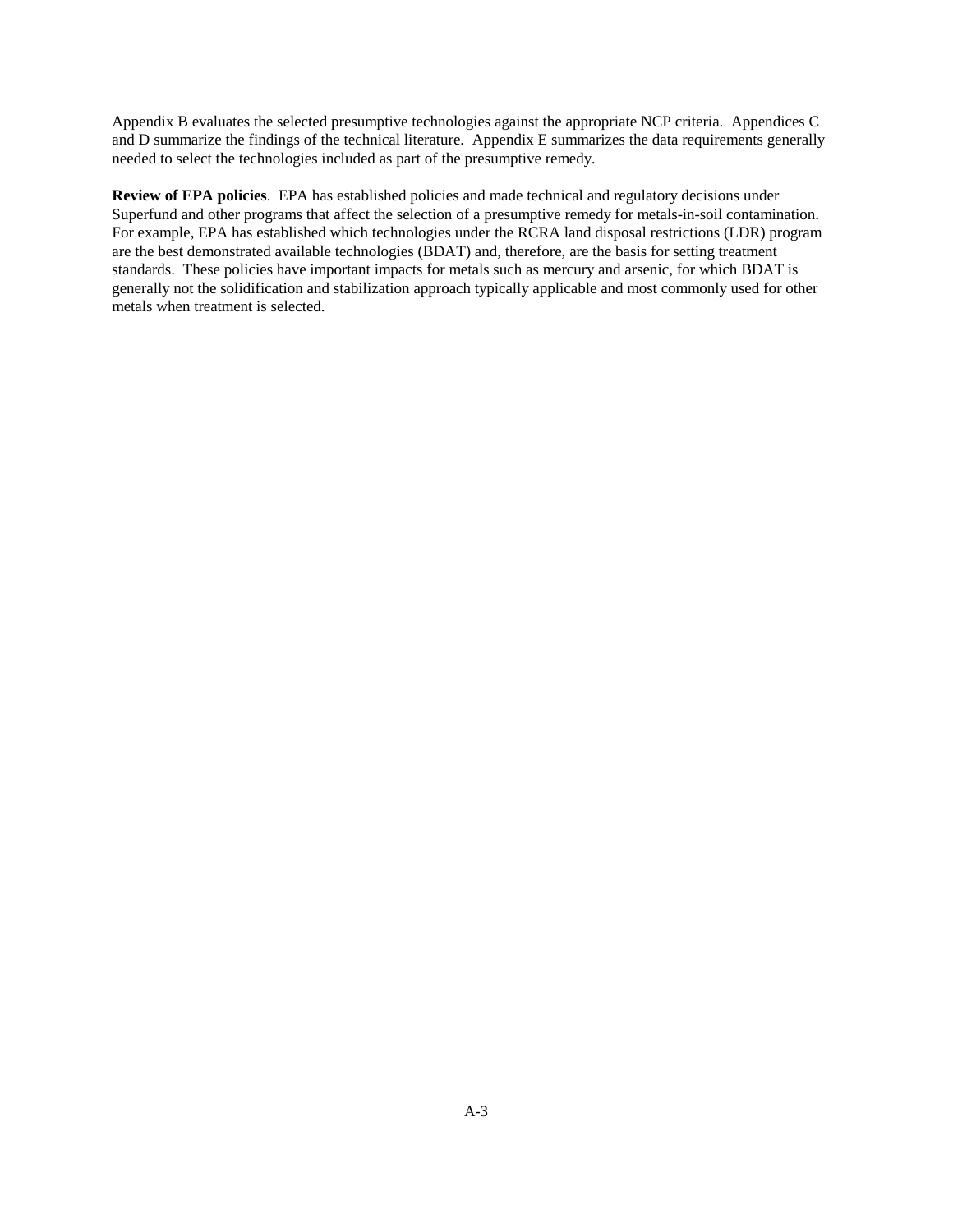Appendix B evaluates the selected presumptive technologies against the appropriate NCP criteria. Appendices C and D summarize the findings of the technical literature. Appendix E summarizes the data requirements generally needed to select the technologies included as part of the presumptive remedy.

**Review of EPA policies**. EPA has established policies and made technical and regulatory decisions under Superfund and other programs that affect the selection of a presumptive remedy for metals-in-soil contamination. For example, EPA has established which technologies under the RCRA land disposal restrictions (LDR) program are the best demonstrated available technologies (BDAT) and, therefore, are the basis for setting treatment standards. These policies have important impacts for metals such as mercury and arsenic, for which BDAT is generally not the solidification and stabilization approach typically applicable and most commonly used for other metals when treatment is selected.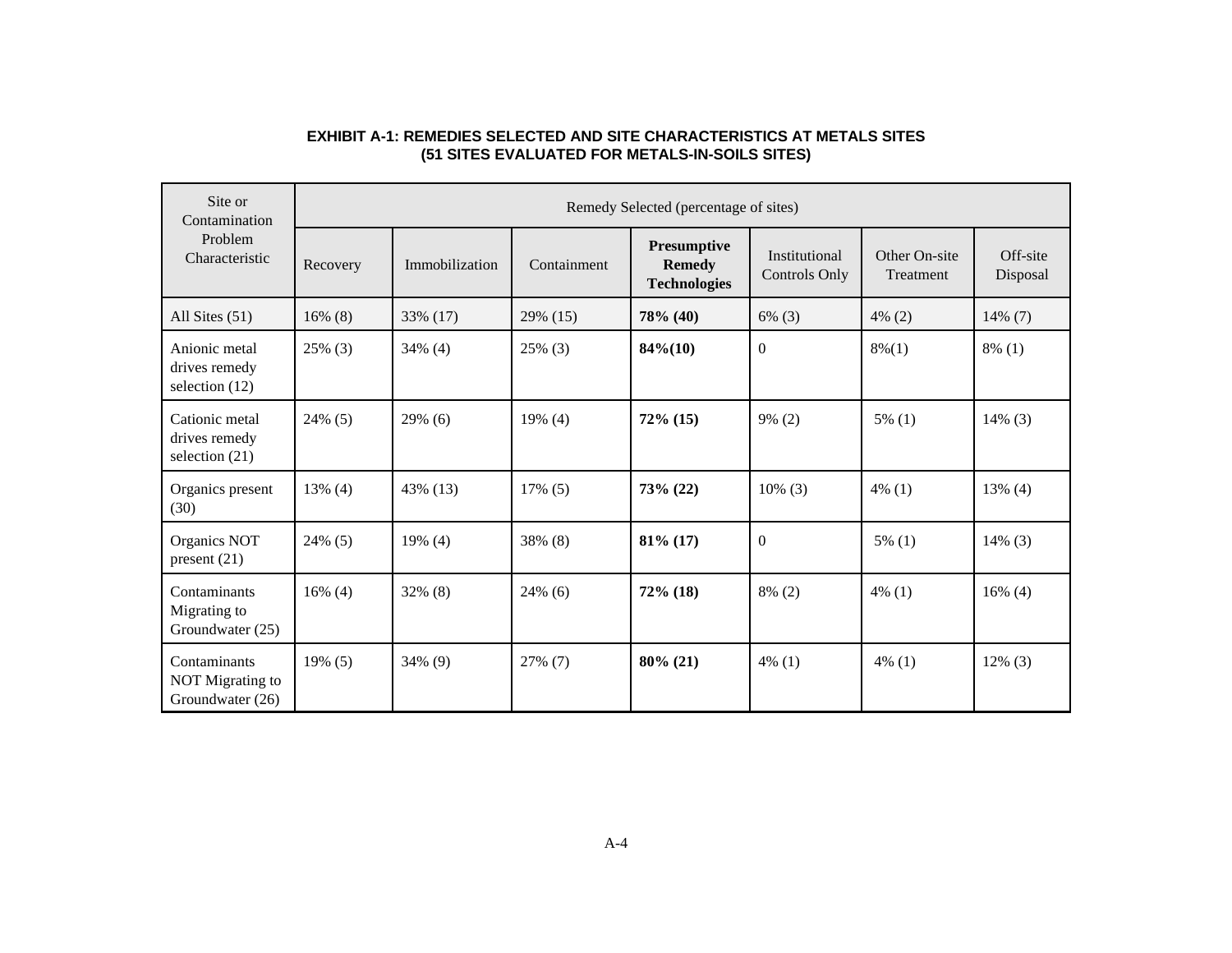| Site or<br>Contamination<br>Problem<br>Characteristic |            | Remedy Selected (percentage of sites) |             |                                                     |                                |                            |                      |  |  |  |  |  |
|-------------------------------------------------------|------------|---------------------------------------|-------------|-----------------------------------------------------|--------------------------------|----------------------------|----------------------|--|--|--|--|--|
|                                                       | Recovery   | Immobilization                        | Containment | Presumptive<br><b>Remedy</b><br><b>Technologies</b> | Institutional<br>Controls Only | Other On-site<br>Treatment | Off-site<br>Disposal |  |  |  |  |  |
| All Sites (51)                                        | $16\%$ (8) | 33% (17)                              | 29% (15)    | 78% (40)                                            | $6\%$ (3)                      | $4\%$ (2)                  | 14% (7)              |  |  |  |  |  |
| Anionic metal<br>drives remedy<br>selection $(12)$    | 25% (3)    | $34\%$ (4)                            | $25\%$ (3)  | $84\% (10)$                                         | $\overline{0}$                 | $8\%(1)$                   | $8\%$ (1)            |  |  |  |  |  |
| Cationic metal<br>drives remedy<br>selection $(21)$   | 24% (5)    | $29\%$ (6)                            | 19% (4)     | $72\%$ (15)                                         | $9\% (2)$                      | $5\%$ (1)                  | $14\%$ (3)           |  |  |  |  |  |
| Organics present<br>(30)                              | $13\%$ (4) | 43% (13)                              | $17\%$ (5)  | $73\% (22)$                                         | $10\%$ (3)                     | $4\%$ (1)                  | $13\%$ (4)           |  |  |  |  |  |
| Organics NOT<br>present $(21)$                        | 24% (5)    | $19\%$ (4)                            | 38% (8)     | $81\%$ (17)                                         | $\overline{0}$                 | $5\%$ (1)                  | $14\%$ (3)           |  |  |  |  |  |
| Contaminants<br>Migrating to<br>Groundwater (25)      | $16\%$ (4) | $32\%$ (8)                            | $24\%$ (6)  | $72\%$ (18)                                         | $8\%$ (2)                      | $4\%$ (1)                  | $16\%$ (4)           |  |  |  |  |  |
| Contaminants<br>NOT Migrating to<br>Groundwater (26)  | $19\%$ (5) | 34% (9)                               | 27% (7)     | $80\% (21)$                                         | $4\%$ (1)                      | $4\%$ (1)                  | $12\%$ (3)           |  |  |  |  |  |

# **EXHIBIT A-1: REMEDIES SELECTED AND SITE CHARACTERISTICS AT METALS SITES (51 SITES EVALUATED FOR METALS-IN-SOILS SITES)**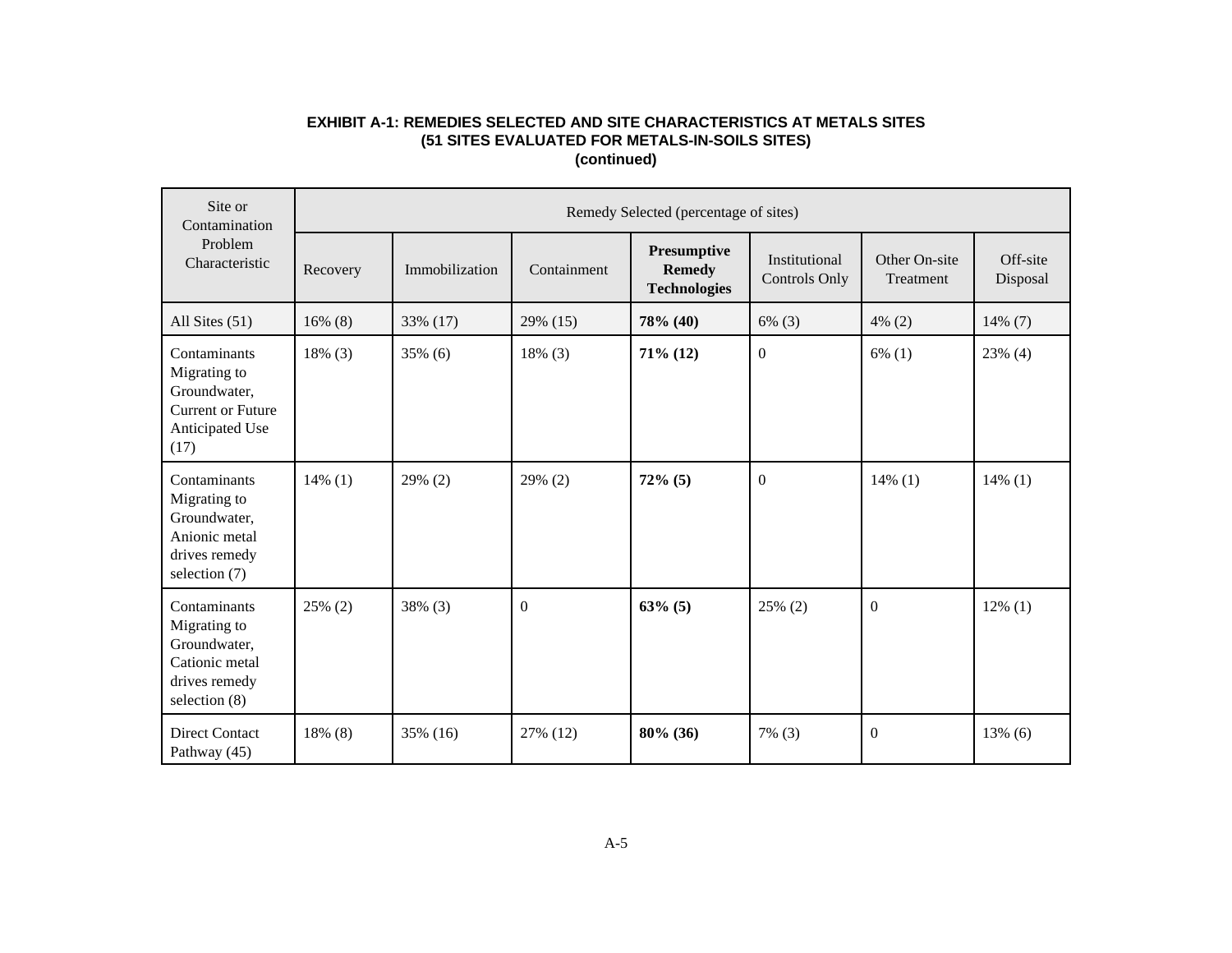# **EXHIBIT A-1: REMEDIES SELECTED AND SITE CHARACTERISTICS AT METALS SITES (51 SITES EVALUATED FOR METALS-IN-SOILS SITES) (continued)**

| Site or<br>Contamination<br>Problem<br>Characteristic                                               |            | Remedy Selected (percentage of sites) |             |                                                     |                                       |                            |                      |  |  |  |  |
|-----------------------------------------------------------------------------------------------------|------------|---------------------------------------|-------------|-----------------------------------------------------|---------------------------------------|----------------------------|----------------------|--|--|--|--|
|                                                                                                     | Recovery   | Immobilization                        | Containment | Presumptive<br><b>Remedy</b><br><b>Technologies</b> | Institutional<br><b>Controls Only</b> | Other On-site<br>Treatment | Off-site<br>Disposal |  |  |  |  |
| All Sites (51)                                                                                      | $16\%$ (8) | 33% (17)                              | 29% (15)    | 78% (40)                                            | $6\%$ (3)                             | $4\%$ (2)                  | $14\%$ (7)           |  |  |  |  |
| Contaminants<br>Migrating to<br>Groundwater,<br><b>Current or Future</b><br>Anticipated Use<br>(17) | 18% (3)    | 35% (6)                               | 18% (3)     | $71\%$ (12)                                         | $\boldsymbol{0}$                      | $6\%$ (1)                  | $23\%$ (4)           |  |  |  |  |
| Contaminants<br>Migrating to<br>Groundwater,<br>Anionic metal<br>drives remedy<br>selection (7)     | $14\%$ (1) | 29% (2)                               | 29% (2)     | $72\%$ (5)                                          | $\overline{0}$                        | $14\%$ (1)                 | $14\%$ (1)           |  |  |  |  |
| Contaminants<br>Migrating to<br>Groundwater,<br>Cationic metal<br>drives remedy<br>selection (8)    | $25\%$ (2) | 38% (3)                               | $\Omega$    | $63\%$ (5)                                          | 25% (2)                               | $\Omega$                   | $12\%$ (1)           |  |  |  |  |
| <b>Direct Contact</b><br>Pathway (45)                                                               | 18% (8)    | 35% (16)                              | 27% (12)    | 80% (36)                                            | $7\%$ (3)                             | $\overline{0}$             | $13\%$ (6)           |  |  |  |  |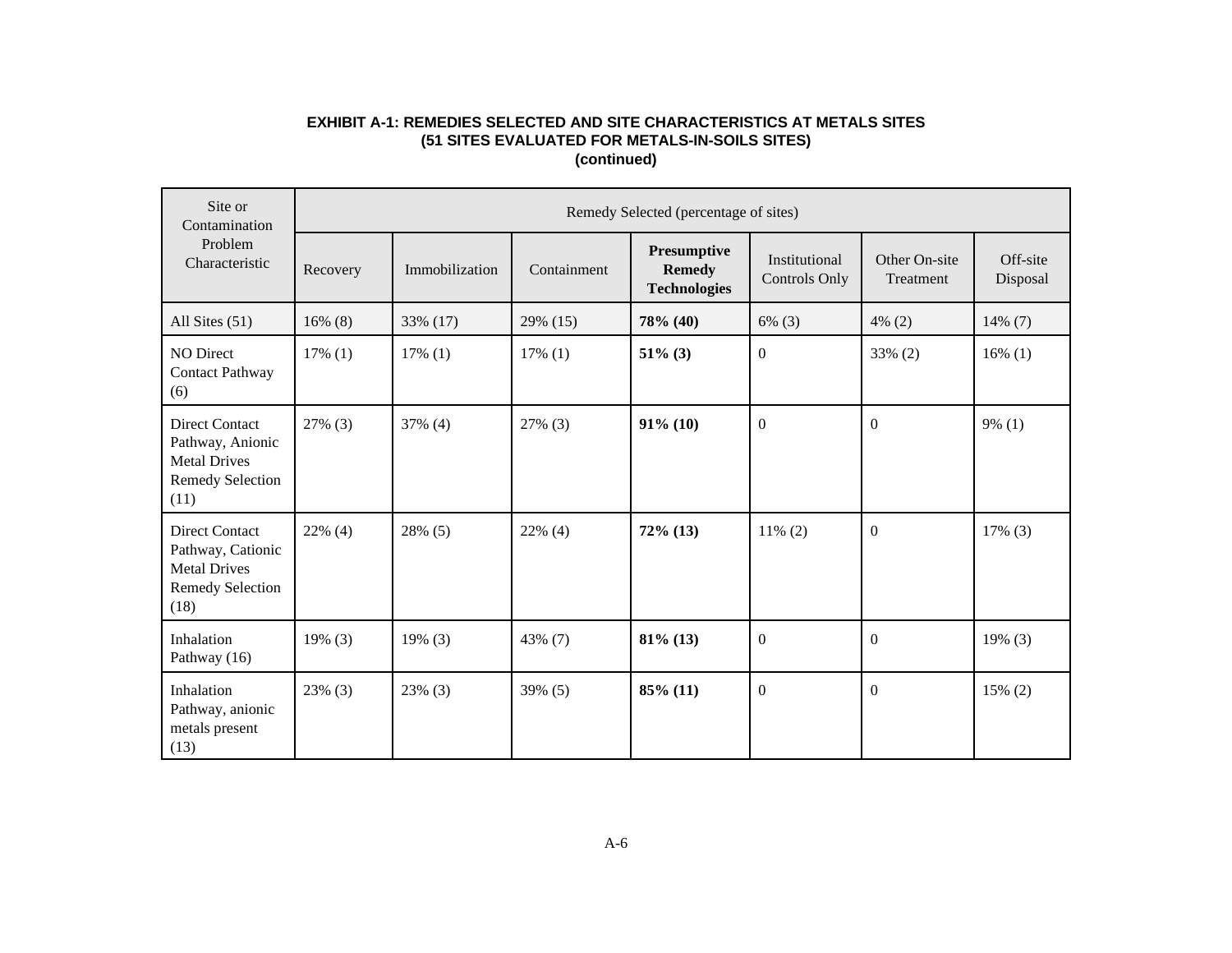# **EXHIBIT A-1: REMEDIES SELECTED AND SITE CHARACTERISTICS AT METALS SITES (51 SITES EVALUATED FOR METALS-IN-SOILS SITES) (continued)**

| Site or<br>Contamination<br>Problem<br>Characteristic                                                |            | Remedy Selected (percentage of sites) |             |                                                     |                                       |                            |                      |  |  |  |  |  |
|------------------------------------------------------------------------------------------------------|------------|---------------------------------------|-------------|-----------------------------------------------------|---------------------------------------|----------------------------|----------------------|--|--|--|--|--|
|                                                                                                      | Recovery   | Immobilization                        | Containment | Presumptive<br><b>Remedy</b><br><b>Technologies</b> | Institutional<br><b>Controls Only</b> | Other On-site<br>Treatment | Off-site<br>Disposal |  |  |  |  |  |
| All Sites (51)                                                                                       | $16\%$ (8) | 33% (17)                              | 29% (15)    | 78% (40)                                            | $6\%$ (3)                             | $4\%$ (2)                  | $14\%$ (7)           |  |  |  |  |  |
| NO Direct<br><b>Contact Pathway</b><br>(6)                                                           | $17\%$ (1) | $17\%$ (1)                            | $17\%$ (1)  | $51\%$ (3)                                          | $\boldsymbol{0}$                      | 33% (2)                    | $16\%$ (1)           |  |  |  |  |  |
| <b>Direct Contact</b><br>Pathway, Anionic<br><b>Metal Drives</b><br><b>Remedy Selection</b><br>(11)  | 27% (3)    | 37% (4)                               | 27% (3)     | $91\%$ (10)                                         | $\mathbf{0}$                          | $\theta$                   | $9\%$ (1)            |  |  |  |  |  |
| <b>Direct Contact</b><br>Pathway, Cationic<br><b>Metal Drives</b><br><b>Remedy Selection</b><br>(18) | $22\%$ (4) | 28% (5)                               | $22\%$ (4)  | $72\%$ (13)                                         | $11\%$ (2)                            | $\theta$                   | $17\%$ (3)           |  |  |  |  |  |
| Inhalation<br>Pathway (16)                                                                           | $19\%$ (3) | $19\%$ (3)                            | 43% (7)     | $81\%$ (13)                                         | $\boldsymbol{0}$                      | $\theta$                   | $19\%$ (3)           |  |  |  |  |  |
| Inhalation<br>Pathway, anionic<br>metals present<br>(13)                                             | $23\%$ (3) | $23\%$ (3)                            | 39% (5)     | 85% (11)                                            | $\mathbf{0}$                          | $\theta$                   | 15% (2)              |  |  |  |  |  |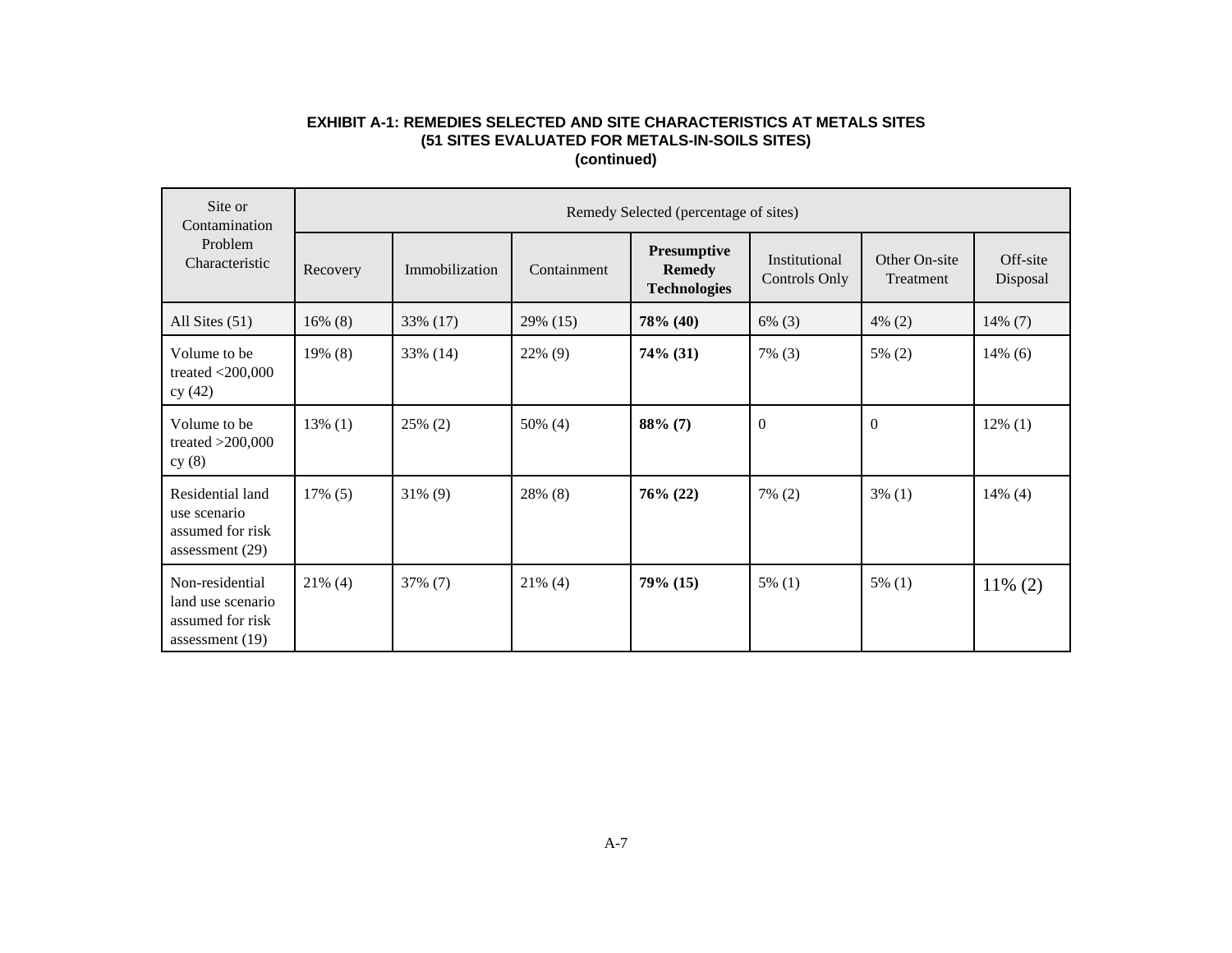# **EXHIBIT A-1: REMEDIES SELECTED AND SITE CHARACTERISTICS AT METALS SITES (51 SITES EVALUATED FOR METALS-IN-SOILS SITES) (continued)**

| Site or<br>Contamination                                                      |            | Remedy Selected (percentage of sites) |             |                                                     |                                       |                            |                      |  |  |  |  |
|-------------------------------------------------------------------------------|------------|---------------------------------------|-------------|-----------------------------------------------------|---------------------------------------|----------------------------|----------------------|--|--|--|--|
| Problem<br>Characteristic                                                     | Recovery   | Immobilization                        | Containment | Presumptive<br><b>Remedy</b><br><b>Technologies</b> | Institutional<br><b>Controls Only</b> | Other On-site<br>Treatment | Off-site<br>Disposal |  |  |  |  |
| All Sites $(51)$                                                              | $16\%$ (8) | 33% (17)                              | 29% (15)    | 78% (40)                                            | $6\%$ (3)                             | $4\%$ (2)                  | $14\%$ (7)           |  |  |  |  |
| Volume to be<br>treated $<$ 200,000<br>cy(42)                                 | $19\%$ (8) | 33% (14)                              | 22% (9)     | 74% (31)                                            | $7\%$ (3)                             | $5\%$ (2)                  | $14\%$ (6)           |  |  |  |  |
| Volume to be<br>treated $>200,000$<br>cy(8)                                   | $13\%$ (1) | 25% (2)                               | 50% (4)     | $88\%$ (7)                                          | $\boldsymbol{0}$                      | $\Omega$                   | $12\%$ (1)           |  |  |  |  |
| Residential land<br>use scenario<br>assumed for risk<br>assessment (29)       | $17\%$ (5) | $31\%$ (9)                            | 28% (8)     | $76\% (22)$                                         | $7\%$ (2)                             | $3\%$ (1)                  | $14\%$ (4)           |  |  |  |  |
| Non-residential<br>land use scenario<br>assumed for risk<br>assessment $(19)$ | $21\%$ (4) | 37% (7)                               | $21\%$ (4)  | 79% (15)                                            | $5\%$ (1)                             | $5\%$ (1)                  | $11\% (2)$           |  |  |  |  |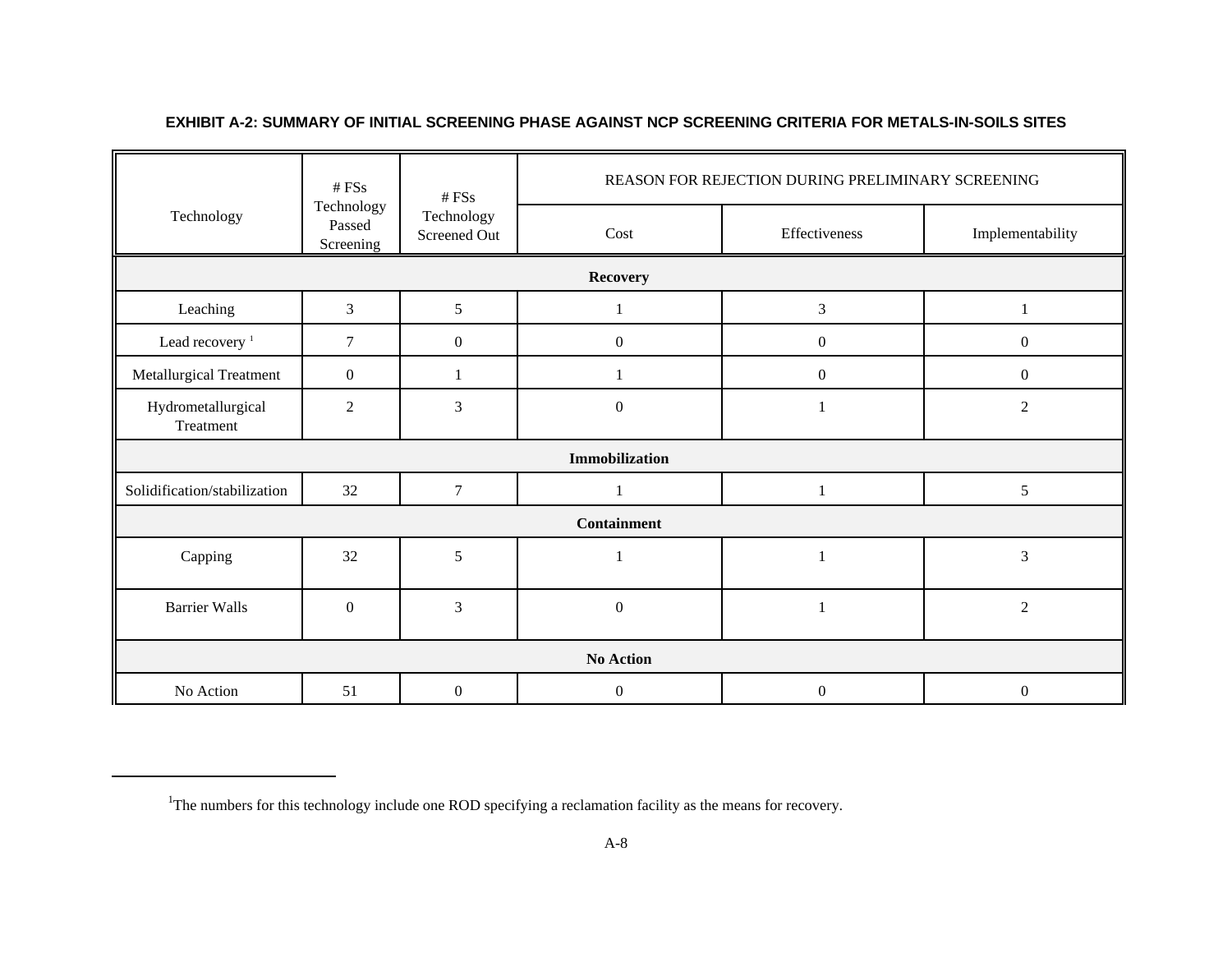|                                 | # FSS                             | # FSS                      | REASON FOR REJECTION DURING PRELIMINARY SCREENING |                  |                  |  |  |
|---------------------------------|-----------------------------------|----------------------------|---------------------------------------------------|------------------|------------------|--|--|
| Technology                      | Technology<br>Passed<br>Screening | Technology<br>Screened Out | Cost                                              | Effectiveness    | Implementability |  |  |
|                                 |                                   |                            | <b>Recovery</b>                                   |                  |                  |  |  |
| Leaching                        | 3                                 | 5                          |                                                   | $\mathfrak{Z}$   |                  |  |  |
| Lead recovery <sup>1</sup>      | 7                                 | $\boldsymbol{0}$           | $\boldsymbol{0}$                                  | $\boldsymbol{0}$ | $\boldsymbol{0}$ |  |  |
| Metallurgical Treatment         | $\boldsymbol{0}$                  | 1                          |                                                   | $\boldsymbol{0}$ | $\boldsymbol{0}$ |  |  |
| Hydrometallurgical<br>Treatment | $\overline{2}$                    | 3                          | $\boldsymbol{0}$                                  | 1                | $\overline{2}$   |  |  |
|                                 |                                   |                            | Immobilization                                    |                  |                  |  |  |
| Solidification/stabilization    | 32                                | $\tau$                     |                                                   | 1                | $\sqrt{5}$       |  |  |
|                                 |                                   |                            | <b>Containment</b>                                |                  |                  |  |  |
| Capping                         | 32                                | 5                          |                                                   | $\mathbf{1}$     | $\mathfrak{Z}$   |  |  |
| <b>Barrier Walls</b>            | $\boldsymbol{0}$                  | 3                          | $\boldsymbol{0}$                                  | $\mathbf{1}$     | $\sqrt{2}$       |  |  |
| <b>No Action</b>                |                                   |                            |                                                   |                  |                  |  |  |
| No Action                       | 51                                | $\mathbf{0}$               | $\mathbf{0}$                                      | $\boldsymbol{0}$ | $\mathbf{0}$     |  |  |

# **EXHIBIT A-2: SUMMARY OF INITIAL SCREENING PHASE AGAINST NCP SCREENING CRITERIA FOR METALS-IN-SOILS SITES**

<sup>&</sup>lt;sup>1</sup>The numbers for this technology include one ROD specifying a reclamation facility as the means for recovery.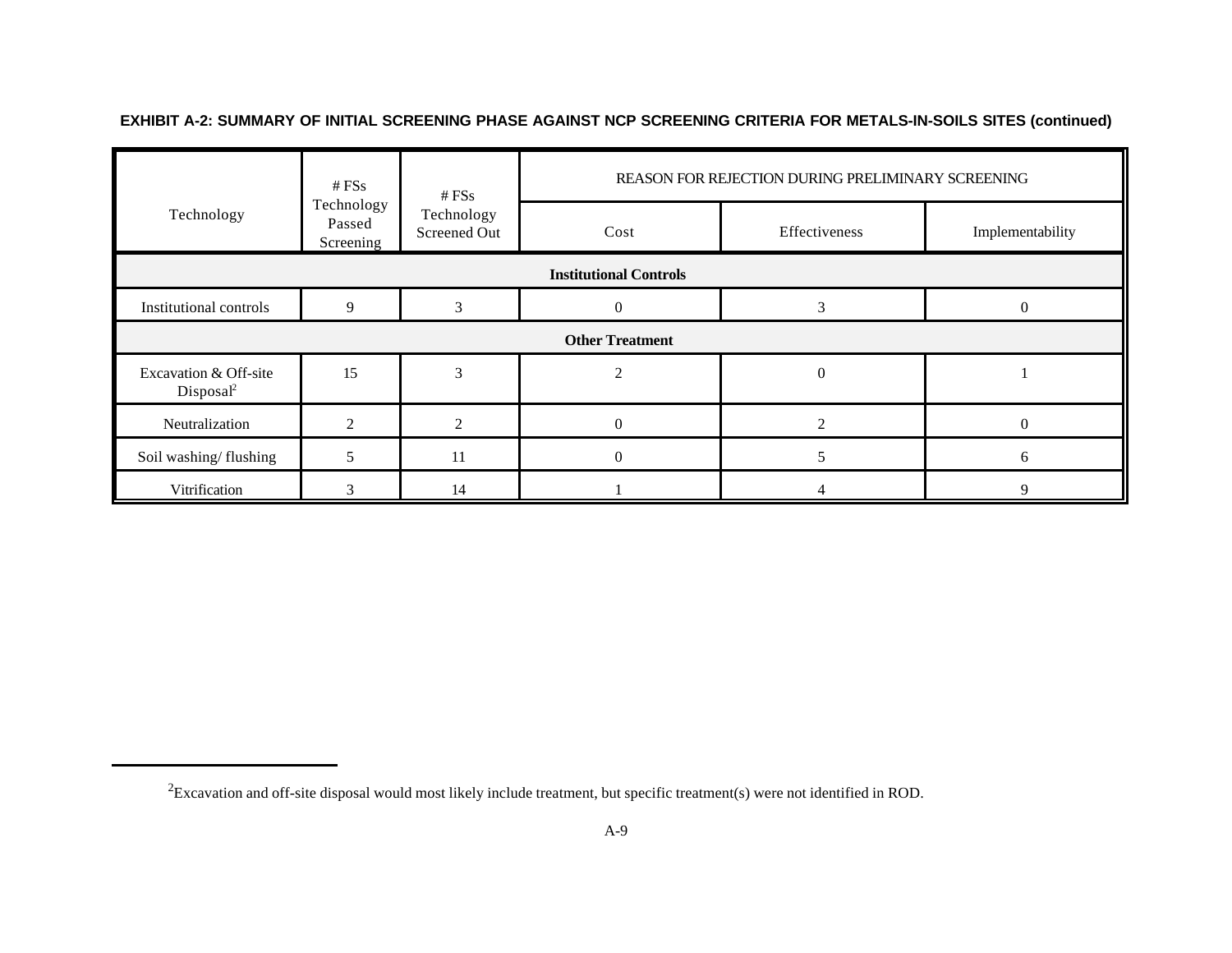|                                                | # $FSs$                           | # $FSs$                    |                        | REASON FOR REJECTION DURING PRELIMINARY SCREENING |                  |  |  |  |  |
|------------------------------------------------|-----------------------------------|----------------------------|------------------------|---------------------------------------------------|------------------|--|--|--|--|
| Technology                                     | Technology<br>Passed<br>Screening | Technology<br>Screened Out | Cost                   | Effectiveness                                     | Implementability |  |  |  |  |
| <b>Institutional Controls</b>                  |                                   |                            |                        |                                                   |                  |  |  |  |  |
| <b>Institutional controls</b>                  | 9                                 |                            |                        |                                                   | 0                |  |  |  |  |
|                                                |                                   |                            | <b>Other Treatment</b> |                                                   |                  |  |  |  |  |
| Excavation & Off-site<br>Disposal <sup>2</sup> | 15                                | 3                          |                        | 0                                                 |                  |  |  |  |  |
| Neutralization                                 | ◠                                 | ◠                          | $\Omega$               | $\mathcal{D}_{\mathcal{L}}$                       | $\Omega$         |  |  |  |  |
| Soil washing/flushing                          |                                   | 11                         | 0                      |                                                   | 6                |  |  |  |  |
| Vitrification                                  |                                   | 14                         |                        |                                                   | q                |  |  |  |  |

**EXHIBIT A-2: SUMMARY OF INITIAL SCREENING PHASE AGAINST NCP SCREENING CRITERIA FOR METALS-IN-SOILS SITES (continued)**

 ${}^{2}$ Excavation and off-site disposal would most likely include treatment, but specific treatment(s) were not identified in ROD.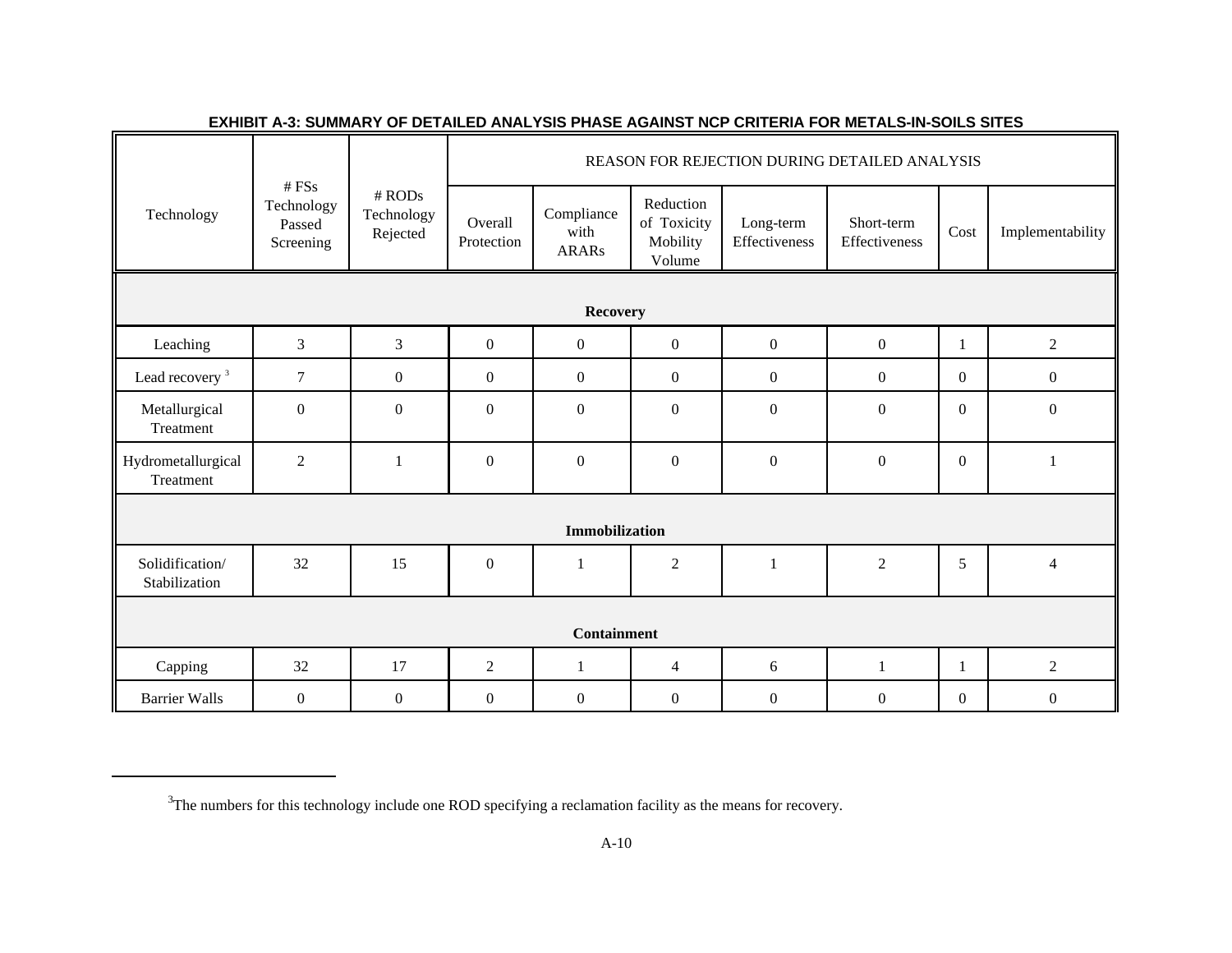|                                  |                                            |                                    | REASON FOR REJECTION DURING DETAILED ANALYSIS |                                    |                                                |                            |                             |                  |                  |  |
|----------------------------------|--------------------------------------------|------------------------------------|-----------------------------------------------|------------------------------------|------------------------------------------------|----------------------------|-----------------------------|------------------|------------------|--|
| Technology                       | # FSs<br>Technology<br>Passed<br>Screening | $#$ RODs<br>Technology<br>Rejected | Overall<br>Protection                         | Compliance<br>with<br><b>ARARs</b> | Reduction<br>of Toxicity<br>Mobility<br>Volume | Long-term<br>Effectiveness | Short-term<br>Effectiveness | Cost             | Implementability |  |
|                                  |                                            |                                    |                                               |                                    |                                                |                            |                             |                  |                  |  |
| <b>Recovery</b>                  |                                            |                                    |                                               |                                    |                                                |                            |                             |                  |                  |  |
| Leaching                         | $\mathfrak{Z}$                             | $\mathfrak{Z}$                     | $\overline{0}$                                | $\overline{0}$                     | $\overline{0}$                                 | $\boldsymbol{0}$           | $\boldsymbol{0}$            | 1                | $\overline{2}$   |  |
| Lead recovery <sup>3</sup>       | $\tau$                                     | $\boldsymbol{0}$                   | $\boldsymbol{0}$                              | $\boldsymbol{0}$                   | $\overline{0}$                                 | $\mathbf{0}$               | $\overline{0}$              | $\overline{0}$   | $\mathbf{0}$     |  |
| Metallurgical<br>Treatment       | $\boldsymbol{0}$                           | $\mathbf{0}$                       | $\Omega$                                      | $\Omega$                           | $\theta$                                       | $\boldsymbol{0}$           | $\boldsymbol{0}$            | $\Omega$         | $\mathbf{0}$     |  |
| Hydrometallurgical<br>Treatment  | $\overline{2}$                             | $\mathbf{1}$                       | $\boldsymbol{0}$                              | $\mathbf{0}$                       | $\mathbf{0}$                                   | $\mathbf{0}$               | $\boldsymbol{0}$            | $\overline{0}$   | 1                |  |
|                                  |                                            |                                    |                                               |                                    |                                                |                            |                             |                  |                  |  |
|                                  |                                            |                                    |                                               | <b>Immobilization</b>              |                                                |                            |                             |                  |                  |  |
| Solidification/<br>Stabilization | 32                                         | 15                                 | $\Omega$                                      | $\mathbf{1}$                       | 2                                              | $\mathbf{1}$               | $\overline{c}$              | 5                | $\overline{4}$   |  |
|                                  |                                            |                                    |                                               |                                    |                                                |                            |                             |                  |                  |  |
|                                  |                                            |                                    |                                               | <b>Containment</b>                 |                                                |                            |                             |                  |                  |  |
| Capping                          | 32                                         | 17                                 | $\overline{2}$                                | $\mathbf{1}$                       | $\overline{4}$                                 | 6                          | $\mathbf{1}$                |                  | $\overline{2}$   |  |
| <b>Barrier Walls</b>             | $\boldsymbol{0}$                           | $\boldsymbol{0}$                   | $\boldsymbol{0}$                              | $\boldsymbol{0}$                   | $\boldsymbol{0}$                               | $\boldsymbol{0}$           | $\boldsymbol{0}$            | $\boldsymbol{0}$ | $\boldsymbol{0}$ |  |

# **EXHIBIT A-3: SUMMARY OF DETAILED ANALYSIS PHASE AGAINST NCP CRITERIA FOR METALS-IN-SOILS SITES**

<sup>&</sup>lt;sup>3</sup>The numbers for this technology include one ROD specifying a reclamation facility as the means for recovery.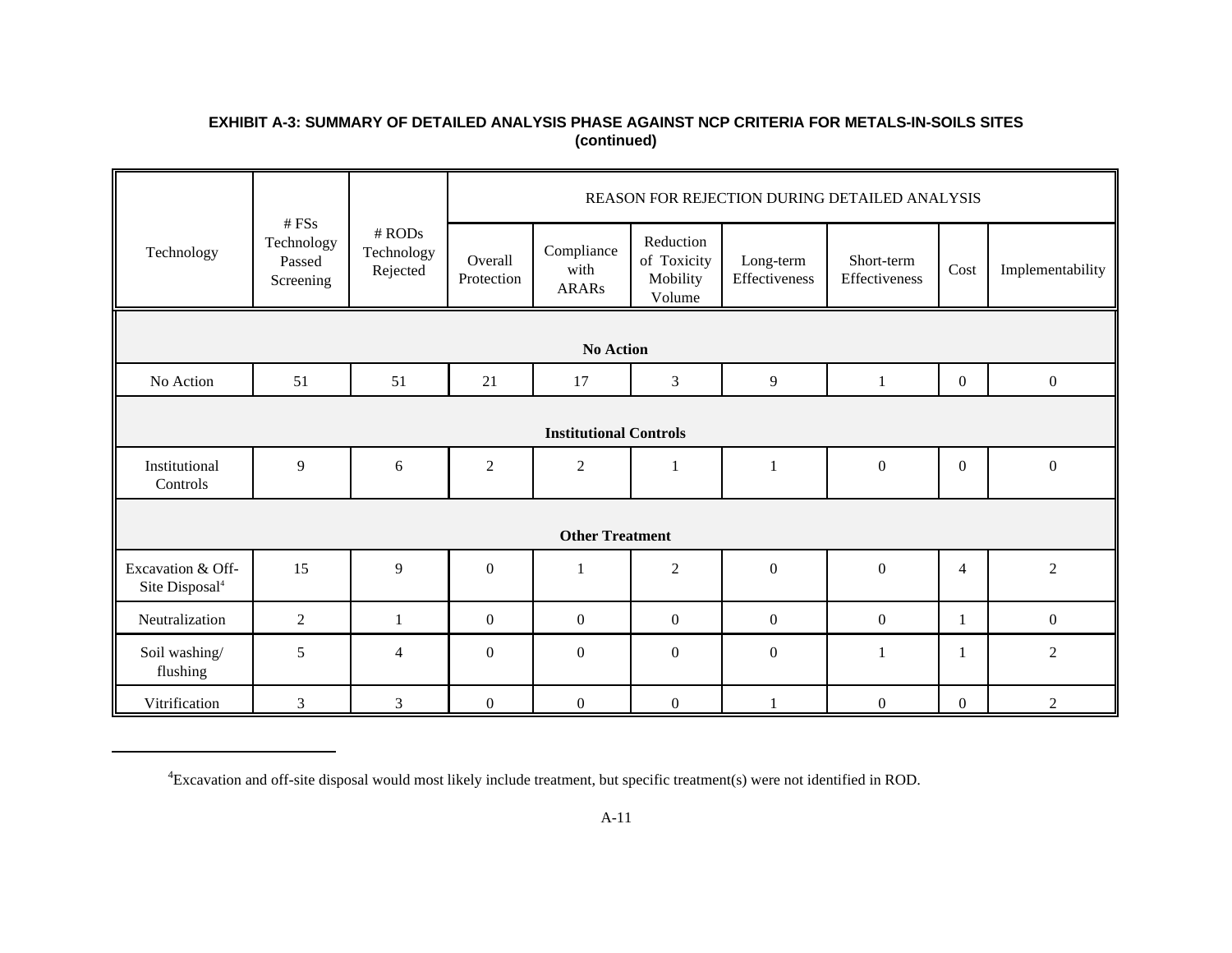# **EXHIBIT A-3: SUMMARY OF DETAILED ANALYSIS PHASE AGAINST NCP CRITERIA FOR METALS-IN-SOILS SITES (continued)**

|                                                 |                                            |                                    |                       |                                    |                                                |                            | REASON FOR REJECTION DURING DETAILED ANALYSIS |                  |                  |  |
|-------------------------------------------------|--------------------------------------------|------------------------------------|-----------------------|------------------------------------|------------------------------------------------|----------------------------|-----------------------------------------------|------------------|------------------|--|
| Technology                                      | # FSs<br>Technology<br>Passed<br>Screening | $#$ RODs<br>Technology<br>Rejected | Overall<br>Protection | Compliance<br>with<br><b>ARARs</b> | Reduction<br>of Toxicity<br>Mobility<br>Volume | Long-term<br>Effectiveness | Short-term<br>Effectiveness                   | Cost             | Implementability |  |
|                                                 |                                            |                                    |                       |                                    |                                                |                            |                                               |                  |                  |  |
|                                                 |                                            |                                    |                       | <b>No Action</b>                   |                                                |                            |                                               |                  |                  |  |
| No Action                                       | 51                                         | 51                                 | 21                    | 17                                 | 3                                              | 9                          | $\mathbf{1}$                                  | $\mathbf{0}$     | $\boldsymbol{0}$ |  |
|                                                 |                                            |                                    |                       |                                    |                                                |                            |                                               |                  |                  |  |
|                                                 |                                            |                                    |                       | <b>Institutional Controls</b>      |                                                |                            |                                               |                  |                  |  |
| Institutional<br>Controls                       | 9                                          | 6                                  | $\overline{2}$        | $\overline{2}$                     | $\mathbf{1}$                                   | 1                          | $\mathbf{0}$                                  | $\boldsymbol{0}$ | $\boldsymbol{0}$ |  |
|                                                 |                                            |                                    |                       |                                    |                                                |                            |                                               |                  |                  |  |
|                                                 |                                            |                                    |                       | <b>Other Treatment</b>             |                                                |                            |                                               |                  |                  |  |
| Excavation & Off-<br>Site Disposal <sup>4</sup> | 15                                         | 9                                  | $\overline{0}$        |                                    | $\overline{c}$                                 | $\boldsymbol{0}$           | $\boldsymbol{0}$                              | $\overline{4}$   | $\overline{2}$   |  |
| Neutralization                                  | $\overline{2}$                             | $\mathbf{1}$                       | $\boldsymbol{0}$      | $\mathbf{0}$                       | $\overline{0}$                                 | $\boldsymbol{0}$           | $\boldsymbol{0}$                              | $\mathbf{1}$     | $\boldsymbol{0}$ |  |
| Soil washing/<br>flushing                       | 5                                          | $\overline{4}$                     | $\mathbf{0}$          | $\theta$                           | $\theta$                                       | $\mathbf{0}$               | $\overline{\mathbf{1}}$                       |                  | $\overline{2}$   |  |
| Vitrification                                   | 3                                          | 3                                  | $\overline{0}$        | $\mathbf{0}$                       | $\overline{0}$                                 |                            | $\boldsymbol{0}$                              | $\mathbf{0}$     | $\overline{2}$   |  |

Excavation and off-site disposal would most likely include treatment, but specific treatment(s) were not identified in ROD. <sup>4</sup>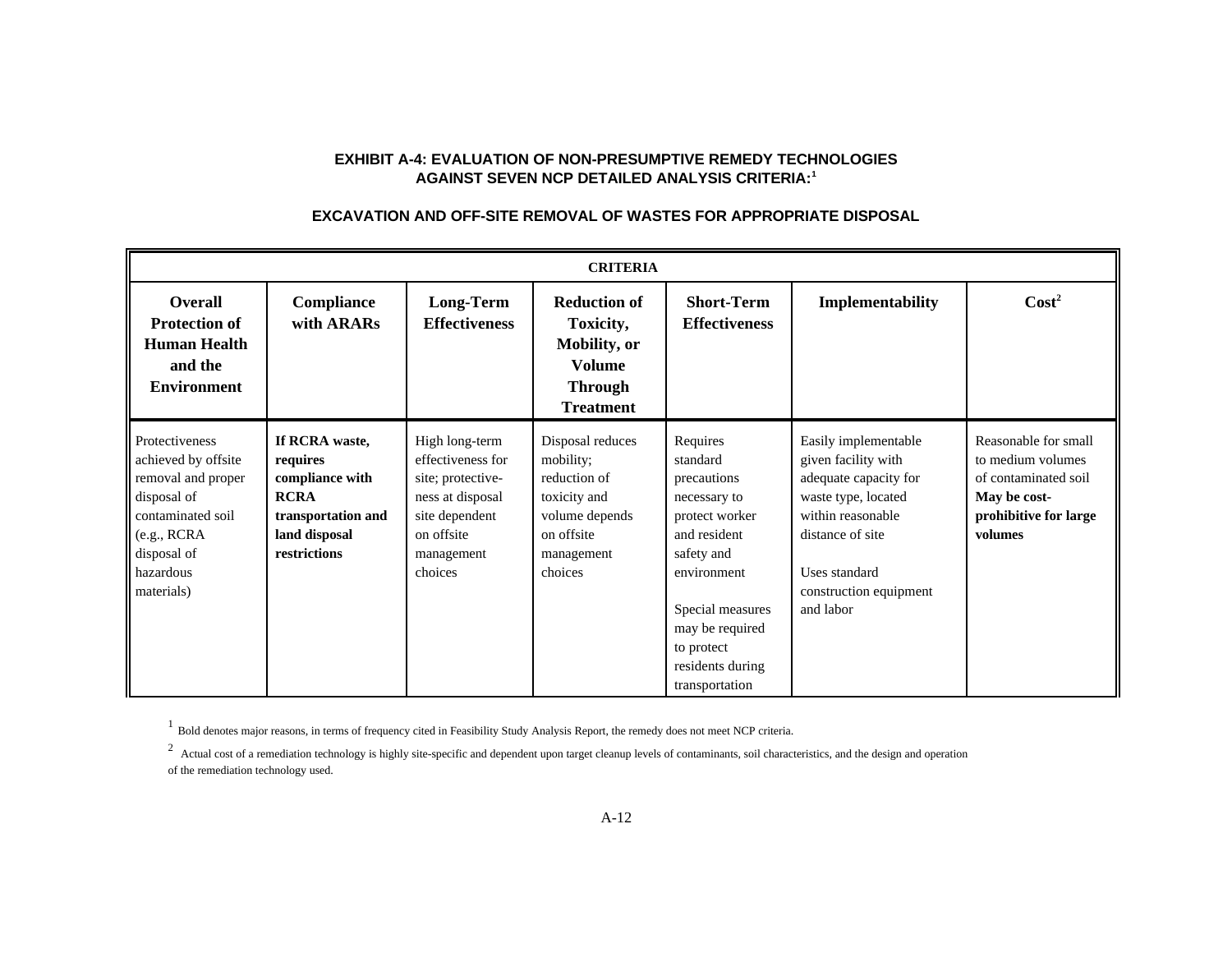# **EXHIBIT A-4: EVALUATION OF NON-PRESUMPTIVE REMEDY TECHNOLOGIES AGAINST SEVEN NCP DETAILED ANALYSIS CRITERIA:<sup>1</sup>**

# **EXCAVATION AND OFF-SITE REMOVAL OF WASTES FOR APPROPRIATE DISPOSAL**

|                                                                                                                                                          | <b>CRITERIA</b>                                                                                                     |                                                                                                                                       |                                                                                                                        |                                                                                                                                                                                                               |                                                                                                                                                                                              |                                                                                                                       |  |  |  |  |  |
|----------------------------------------------------------------------------------------------------------------------------------------------------------|---------------------------------------------------------------------------------------------------------------------|---------------------------------------------------------------------------------------------------------------------------------------|------------------------------------------------------------------------------------------------------------------------|---------------------------------------------------------------------------------------------------------------------------------------------------------------------------------------------------------------|----------------------------------------------------------------------------------------------------------------------------------------------------------------------------------------------|-----------------------------------------------------------------------------------------------------------------------|--|--|--|--|--|
| Overall<br><b>Protection of</b><br><b>Human Health</b><br>and the<br><b>Environment</b>                                                                  | Compliance<br>with ARARs                                                                                            | <b>Long-Term</b><br><b>Effectiveness</b>                                                                                              | <b>Reduction of</b><br>Toxicity,<br><b>Mobility</b> , or<br><b>Volume</b><br><b>Through</b><br><b>Treatment</b>        | <b>Short-Term</b><br><b>Effectiveness</b>                                                                                                                                                                     | Implementability                                                                                                                                                                             | $\text{Cost}^2$                                                                                                       |  |  |  |  |  |
| Protectiveness<br>achieved by offsite<br>removal and proper<br>disposal of<br>contaminated soil<br>(e.g., RCRA<br>disposal of<br>hazardous<br>materials) | If RCRA waste,<br>requires<br>compliance with<br><b>RCRA</b><br>transportation and<br>land disposal<br>restrictions | High long-term<br>effectiveness for<br>site; protective-<br>ness at disposal<br>site dependent<br>on offsite<br>management<br>choices | Disposal reduces<br>mobility;<br>reduction of<br>toxicity and<br>volume depends<br>on offsite<br>management<br>choices | Requires<br>standard<br>precautions<br>necessary to<br>protect worker<br>and resident<br>safety and<br>environment<br>Special measures<br>may be required<br>to protect<br>residents during<br>transportation | Easily implementable<br>given facility with<br>adequate capacity for<br>waste type, located<br>within reasonable<br>distance of site<br>Uses standard<br>construction equipment<br>and labor | Reasonable for small<br>to medium volumes<br>of contaminated soil<br>May be cost-<br>prohibitive for large<br>volumes |  |  |  |  |  |

<sup>1</sup> Bold denotes major reasons, in terms of frequency cited in Feasibility Study Analysis Report, the remedy does not meet NCP criteria.

<sup>2</sup> Actual cost of a remediation technology is highly site-specific and dependent upon target cleanup levels of contaminants, soil characteristics, and the design and operation of the remediation technology used.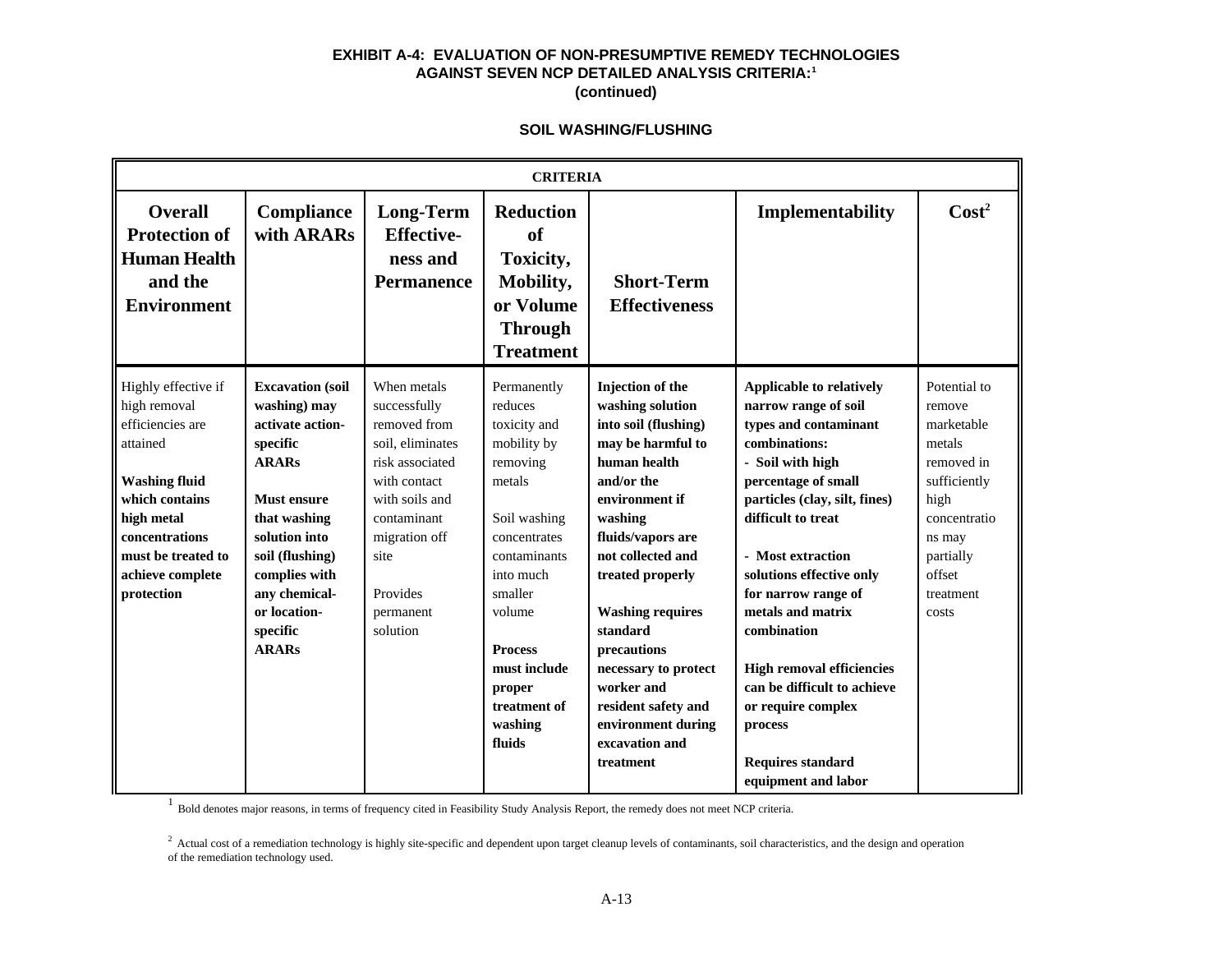## **EXHIBIT A-4: EVALUATION OF NON-PRESUMPTIVE REMEDY TECHNOLOGIES AGAINST SEVEN NCP DETAILED ANALYSIS CRITERIA:<sup>1</sup> (continued)**

### **SOIL WASHING/FLUSHING**

|                                                                                                                                                                                                       |                                                                                                                                                                                                                                                 |                                                                                                                                                                                                   | <b>CRITERIA</b>                                                                                                                                                                                                                                |                                                                                                                                                                                                                                                                                                                                                                                           |                                                                                                                                                                                                                                                                                                                                                                                                                                                                        |                                                                                                                                                             |
|-------------------------------------------------------------------------------------------------------------------------------------------------------------------------------------------------------|-------------------------------------------------------------------------------------------------------------------------------------------------------------------------------------------------------------------------------------------------|---------------------------------------------------------------------------------------------------------------------------------------------------------------------------------------------------|------------------------------------------------------------------------------------------------------------------------------------------------------------------------------------------------------------------------------------------------|-------------------------------------------------------------------------------------------------------------------------------------------------------------------------------------------------------------------------------------------------------------------------------------------------------------------------------------------------------------------------------------------|------------------------------------------------------------------------------------------------------------------------------------------------------------------------------------------------------------------------------------------------------------------------------------------------------------------------------------------------------------------------------------------------------------------------------------------------------------------------|-------------------------------------------------------------------------------------------------------------------------------------------------------------|
| <b>Overall</b><br><b>Protection of</b><br><b>Human Health</b><br>and the<br><b>Environment</b>                                                                                                        | <b>Compliance</b><br>with ARARs                                                                                                                                                                                                                 | <b>Long-Term</b><br><b>Effective-</b><br>ness and<br><b>Permanence</b>                                                                                                                            | <b>Reduction</b><br>of<br>Toxicity,<br>Mobility,<br>or Volume<br><b>Through</b><br><b>Treatment</b>                                                                                                                                            | <b>Short-Term</b><br><b>Effectiveness</b>                                                                                                                                                                                                                                                                                                                                                 | Implementability                                                                                                                                                                                                                                                                                                                                                                                                                                                       | Cost <sup>2</sup>                                                                                                                                           |
| Highly effective if<br>high removal<br>efficiencies are<br>attained<br><b>Washing fluid</b><br>which contains<br>high metal<br>concentrations<br>must be treated to<br>achieve complete<br>protection | <b>Excavation</b> (soil<br>washing) may<br>activate action-<br>specific<br><b>ARARs</b><br><b>Must ensure</b><br>that washing<br>solution into<br>soil (flushing)<br>complies with<br>any chemical-<br>or location-<br>specific<br><b>ARARs</b> | When metals<br>successfully<br>removed from<br>soil, eliminates<br>risk associated<br>with contact<br>with soils and<br>contaminant<br>migration off<br>site<br>Provides<br>permanent<br>solution | Permanently<br>reduces<br>toxicity and<br>mobility by<br>removing<br>metals<br>Soil washing<br>concentrates<br>contaminants<br>into much<br>smaller<br>volume<br><b>Process</b><br>must include<br>proper<br>treatment of<br>washing<br>fluids | <b>Injection of the</b><br>washing solution<br>into soil (flushing)<br>may be harmful to<br>human health<br>and/or the<br>environment if<br>washing<br>fluids/vapors are<br>not collected and<br>treated properly<br><b>Washing requires</b><br>standard<br>precautions<br>necessary to protect<br>worker and<br>resident safety and<br>environment during<br>excavation and<br>treatment | <b>Applicable to relatively</b><br>narrow range of soil<br>types and contaminant<br>combinations:<br>- Soil with high<br>percentage of small<br>particles (clay, silt, fines)<br>difficult to treat<br>- Most extraction<br>solutions effective only<br>for narrow range of<br>metals and matrix<br>combination<br><b>High removal efficiencies</b><br>can be difficult to achieve<br>or require complex<br>process<br><b>Requires standard</b><br>equipment and labor | Potential to<br>remove<br>marketable<br>metals<br>removed in<br>sufficiently<br>high<br>concentratio<br>ns may<br>partially<br>offset<br>treatment<br>costs |

<sup>1</sup> Bold denotes major reasons, in terms of frequency cited in Feasibility Study Analysis Report, the remedy does not meet NCP criteria.

<sup>2</sup> Actual cost of a remediation technology is highly site-specific and dependent upon target cleanup levels of contaminants, soil characteristics, and the design and operation of the remediation technology used.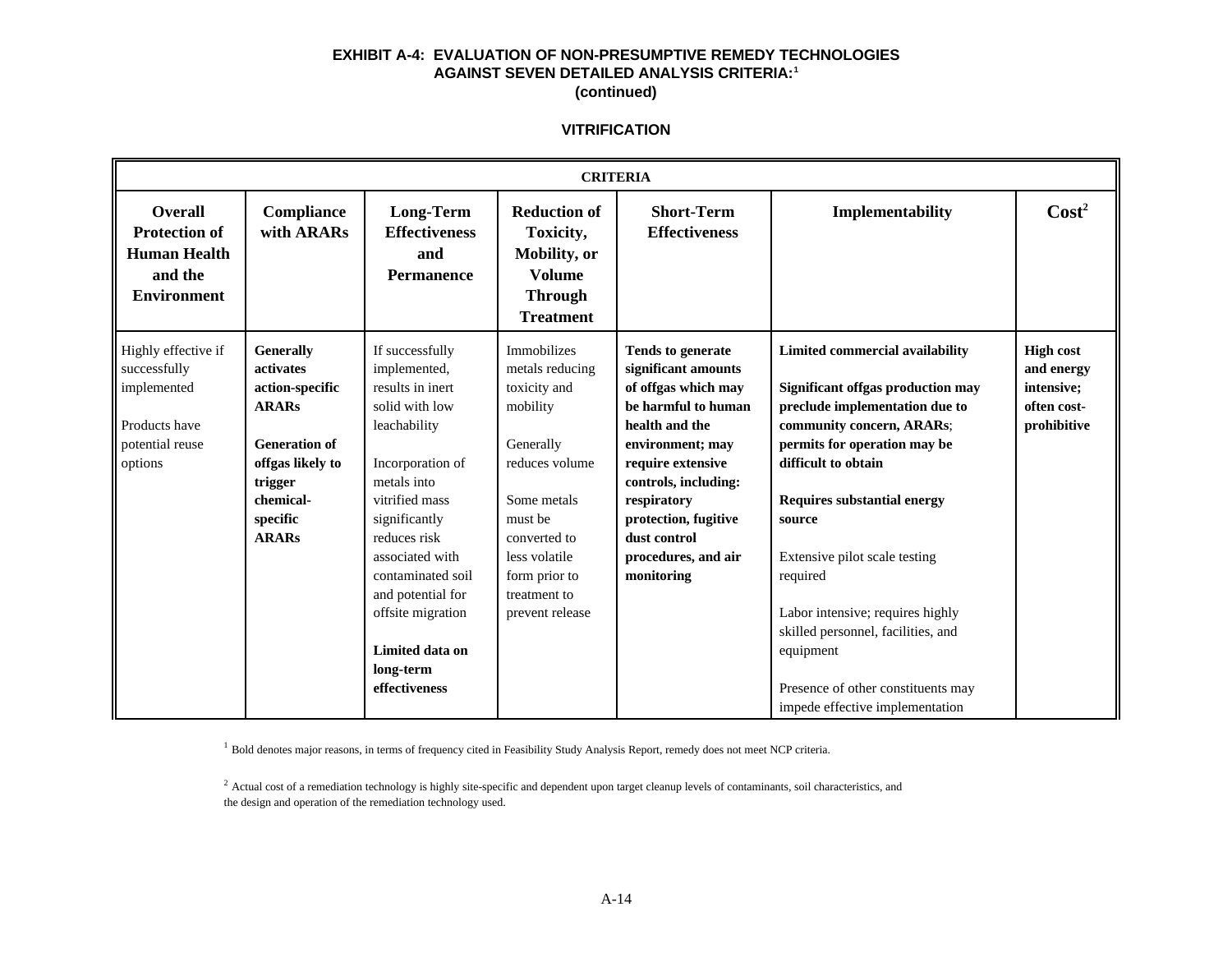## **EXHIBIT A-4: EVALUATION OF NON-PRESUMPTIVE REMEDY TECHNOLOGIES AGAINST SEVEN DETAILED ANALYSIS CRITERIA:<sup>1</sup> (continued)**

#### **VITRIFICATION**

|                                                                                                   | <b>CRITERIA</b>                                                                                                                                                  |                                                                                                                                                                                                                                                                                                                |                                                                                                                                                                                                          |                                                                                                                                                                                                                                                                              |                                                                                                                                                                                                                                                                                                                                                                                                                                                         |                                                                            |  |
|---------------------------------------------------------------------------------------------------|------------------------------------------------------------------------------------------------------------------------------------------------------------------|----------------------------------------------------------------------------------------------------------------------------------------------------------------------------------------------------------------------------------------------------------------------------------------------------------------|----------------------------------------------------------------------------------------------------------------------------------------------------------------------------------------------------------|------------------------------------------------------------------------------------------------------------------------------------------------------------------------------------------------------------------------------------------------------------------------------|---------------------------------------------------------------------------------------------------------------------------------------------------------------------------------------------------------------------------------------------------------------------------------------------------------------------------------------------------------------------------------------------------------------------------------------------------------|----------------------------------------------------------------------------|--|
| <b>Overall</b><br><b>Protection of</b><br><b>Human Health</b><br>and the<br><b>Environment</b>    | Compliance<br>with ARARs                                                                                                                                         | <b>Long-Term</b><br><b>Effectiveness</b><br>and<br>Permanence                                                                                                                                                                                                                                                  | <b>Reduction of</b><br>Toxicity,<br>Mobility, or<br><b>Volume</b><br><b>Through</b><br><b>Treatment</b>                                                                                                  | <b>Short-Term</b><br><b>Effectiveness</b>                                                                                                                                                                                                                                    | Implementability                                                                                                                                                                                                                                                                                                                                                                                                                                        | $\text{Cost}^2$                                                            |  |
| Highly effective if<br>successfully<br>implemented<br>Products have<br>potential reuse<br>options | <b>Generally</b><br>activates<br>action-specific<br><b>ARARs</b><br><b>Generation of</b><br>offgas likely to<br>trigger<br>chemical-<br>specific<br><b>ARARs</b> | If successfully<br>implemented,<br>results in inert<br>solid with low<br>leachability<br>Incorporation of<br>metals into<br>vitrified mass<br>significantly<br>reduces risk<br>associated with<br>contaminated soil<br>and potential for<br>offsite migration<br>Limited data on<br>long-term<br>effectiveness | Immobilizes<br>metals reducing<br>toxicity and<br>mobility<br>Generally<br>reduces volume<br>Some metals<br>must be<br>converted to<br>less volatile<br>form prior to<br>treatment to<br>prevent release | <b>Tends to generate</b><br>significant amounts<br>of offgas which may<br>be harmful to human<br>health and the<br>environment; may<br>require extensive<br>controls, including:<br>respiratory<br>protection, fugitive<br>dust control<br>procedures, and air<br>monitoring | Limited commercial availability<br>Significant offgas production may<br>preclude implementation due to<br>community concern, ARARs;<br>permits for operation may be<br>difficult to obtain<br><b>Requires substantial energy</b><br>source<br>Extensive pilot scale testing<br>required<br>Labor intensive; requires highly<br>skilled personnel, facilities, and<br>equipment<br>Presence of other constituents may<br>impede effective implementation | <b>High cost</b><br>and energy<br>intensive;<br>often cost-<br>prohibitive |  |

<sup>1</sup> Bold denotes major reasons, in terms of frequency cited in Feasibility Study Analysis Report, remedy does not meet NCP criteria.

 $^2$  Actual cost of a remediation technology is highly site-specific and dependent upon target cleanup levels of contaminants, soil characteristics, and the design and operation of the remediation technology used.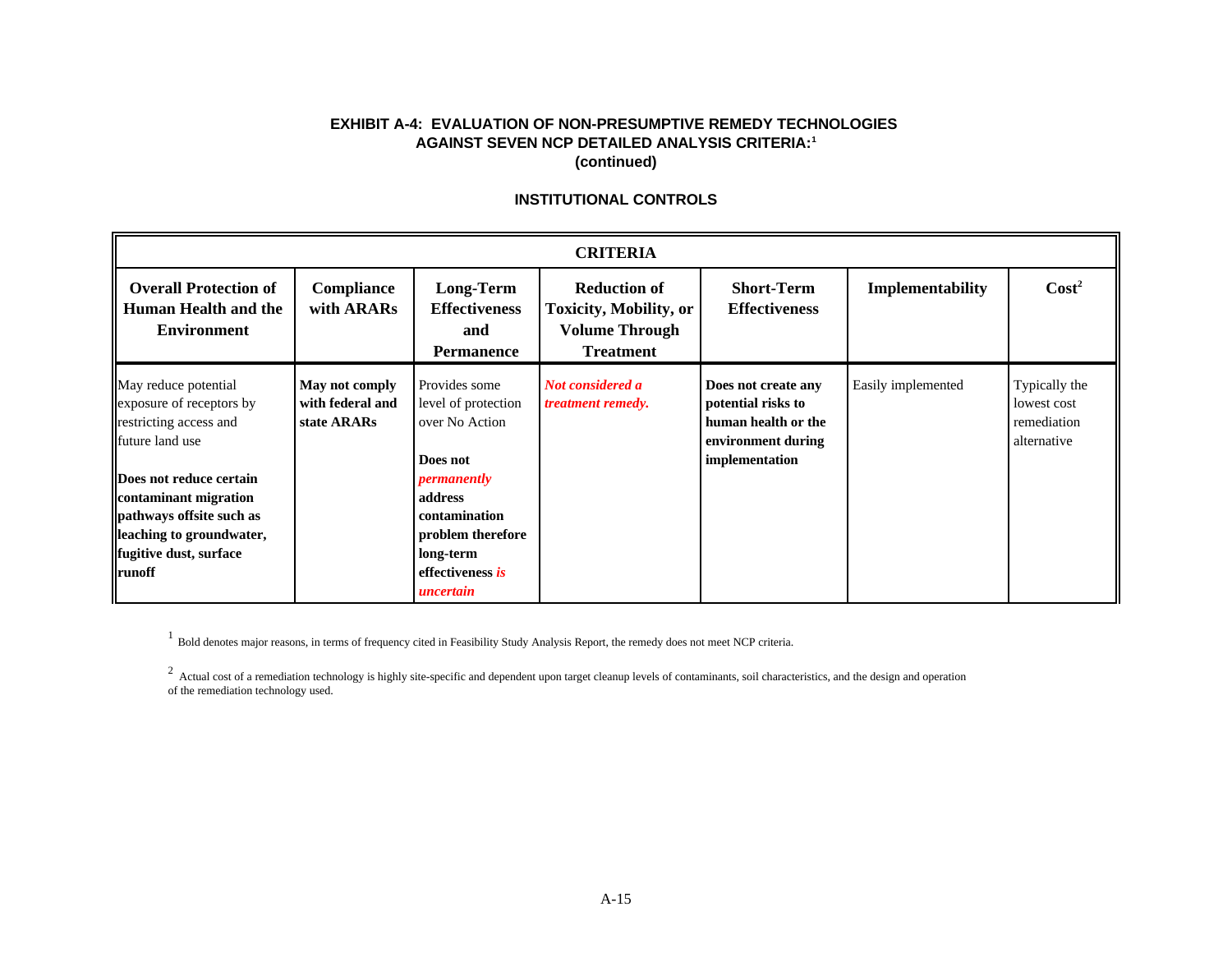# **EXHIBIT A-4: EVALUATION OF NON-PRESUMPTIVE REMEDY TECHNOLOGIES AGAINST SEVEN NCP DETAILED ANALYSIS CRITERIA:<sup>1</sup> (continued)**

# **INSTITUTIONAL CONTROLS**

| <b>CRITERIA</b>                                                                                                                                                                                                                                      |                                                   |                                                                                                                                                                                  |                                                                                                   |                                                                                                          |                    |                                                            |
|------------------------------------------------------------------------------------------------------------------------------------------------------------------------------------------------------------------------------------------------------|---------------------------------------------------|----------------------------------------------------------------------------------------------------------------------------------------------------------------------------------|---------------------------------------------------------------------------------------------------|----------------------------------------------------------------------------------------------------------|--------------------|------------------------------------------------------------|
| <b>Overall Protection of</b><br>Human Health and the<br><b>Environment</b>                                                                                                                                                                           | Compliance<br>with ARARs                          | Long-Term<br><b>Effectiveness</b><br>and<br><b>Permanence</b>                                                                                                                    | <b>Reduction of</b><br><b>Toxicity, Mobility, or</b><br><b>Volume Through</b><br><b>Treatment</b> | <b>Short-Term</b><br><b>Effectiveness</b>                                                                | Implementability   | $\text{Cost}^2$                                            |
| May reduce potential<br>exposure of receptors by<br>restricting access and<br>future land use<br>Does not reduce certain<br>contaminant migration<br>pathways offsite such as<br>leaching to groundwater,<br>fugitive dust, surface<br><b>runoff</b> | May not comply<br>with federal and<br>state ARARs | Provides some<br>level of protection<br>over No Action<br>Does not<br>permanently<br>address<br>contamination<br>problem therefore<br>long-term<br>effectiveness is<br>uncertain | Not considered a<br><i>treatment remedy.</i>                                                      | Does not create any<br>potential risks to<br>human health or the<br>environment during<br>implementation | Easily implemented | Typically the<br>lowest cost<br>remediation<br>alternative |

<sup>1</sup> Bold denotes major reasons, in terms of frequency cited in Feasibility Study Analysis Report, the remedy does not meet NCP criteria.

<sup>2</sup> Actual cost of a remediation technology is highly site-specific and dependent upon target cleanup levels of contaminants, soil characteristics, and the design and operation of the remediation technology used.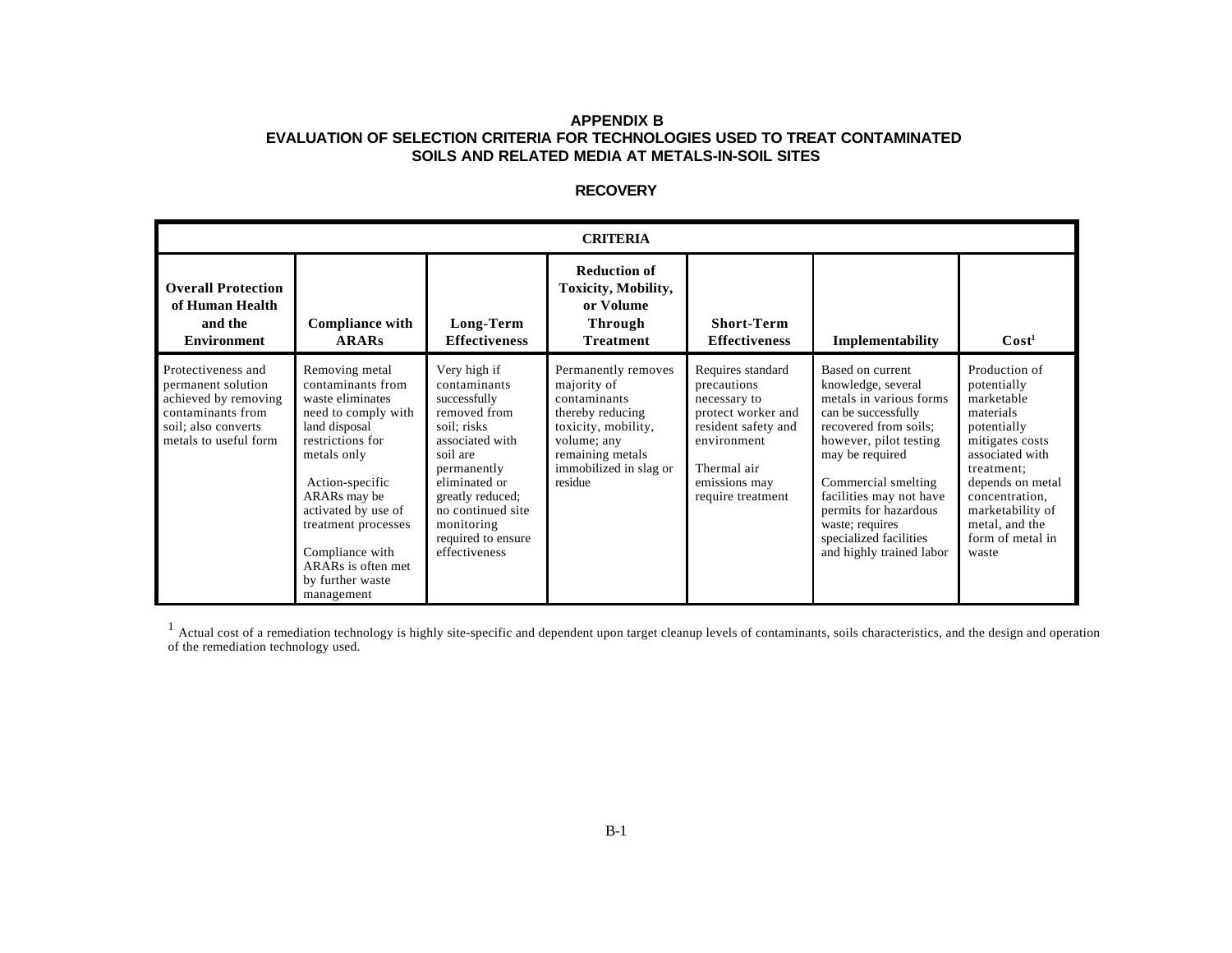## **APPENDIX B EVALUATION OF SELECTION CRITERIA FOR TECHNOLOGIES USED TO TREAT CONTAMINATED SOILS AND RELATED MEDIA AT METALS-IN-SOIL SITES**

# **RECOVERY**

| <b>CRITERIA</b>                                                                                                                       |                                                                                                                                                                                                                                                                                                |                                                                                                                                                                                                                                          |                                                                                                                                                                       |                                                                                                                                                                   |                                                                                                                                                                                                                                                                                                                    |                                                                                                                                                                                                                                     |
|---------------------------------------------------------------------------------------------------------------------------------------|------------------------------------------------------------------------------------------------------------------------------------------------------------------------------------------------------------------------------------------------------------------------------------------------|------------------------------------------------------------------------------------------------------------------------------------------------------------------------------------------------------------------------------------------|-----------------------------------------------------------------------------------------------------------------------------------------------------------------------|-------------------------------------------------------------------------------------------------------------------------------------------------------------------|--------------------------------------------------------------------------------------------------------------------------------------------------------------------------------------------------------------------------------------------------------------------------------------------------------------------|-------------------------------------------------------------------------------------------------------------------------------------------------------------------------------------------------------------------------------------|
| <b>Overall Protection</b><br>of Human Health<br>and the<br><b>Environment</b>                                                         | <b>Compliance with</b><br><b>ARARs</b>                                                                                                                                                                                                                                                         | Long-Term<br><b>Effectiveness</b>                                                                                                                                                                                                        | <b>Reduction of</b><br>Toxicity, Mobility,<br>or Volume<br><b>Through</b><br><b>Treatment</b>                                                                         | <b>Short-Term</b><br><b>Effectiveness</b>                                                                                                                         | Implementability                                                                                                                                                                                                                                                                                                   | $\text{Cost}^1$                                                                                                                                                                                                                     |
| Protectiveness and<br>permanent solution<br>achieved by removing<br>contaminants from<br>soil; also converts<br>metals to useful form | Removing metal<br>contaminants from<br>waste eliminates<br>need to comply with<br>land disposal<br>restrictions for<br>metals only<br>Action-specific<br>ARARs may be<br>activated by use of<br>treatment processes<br>Compliance with<br>ARARs is often met<br>by further waste<br>management | Very high if<br>contaminants<br>successfully<br>removed from<br>soil: risks<br>associated with<br>soil are<br>permanently<br>eliminated or<br>greatly reduced;<br>no continued site<br>monitoring<br>required to ensure<br>effectiveness | Permanently removes<br>majority of<br>contaminants<br>thereby reducing<br>toxicity, mobility,<br>volume; any<br>remaining metals<br>immobilized in slag or<br>residue | Requires standard<br>precautions<br>necessary to<br>protect worker and<br>resident safety and<br>environment<br>Thermal air<br>emissions may<br>require treatment | Based on current<br>knowledge, several<br>metals in various forms<br>can be successfully<br>recovered from soils;<br>however, pilot testing<br>may be required<br>Commercial smelting<br>facilities may not have<br>permits for hazardous<br>waste; requires<br>specialized facilities<br>and highly trained labor | Production of<br>potentially<br>marketable<br>materials<br>potentially<br>mitigates costs<br>associated with<br>treatment:<br>depends on metal<br>concentration,<br>marketability of<br>metal, and the<br>form of metal in<br>waste |

 $<sup>1</sup>$  Actual cost of a remediation technology is highly site-specific and dependent upon target cleanup levels of contaminants, soils characteristics, and the design and operation</sup> of the remediation technology used.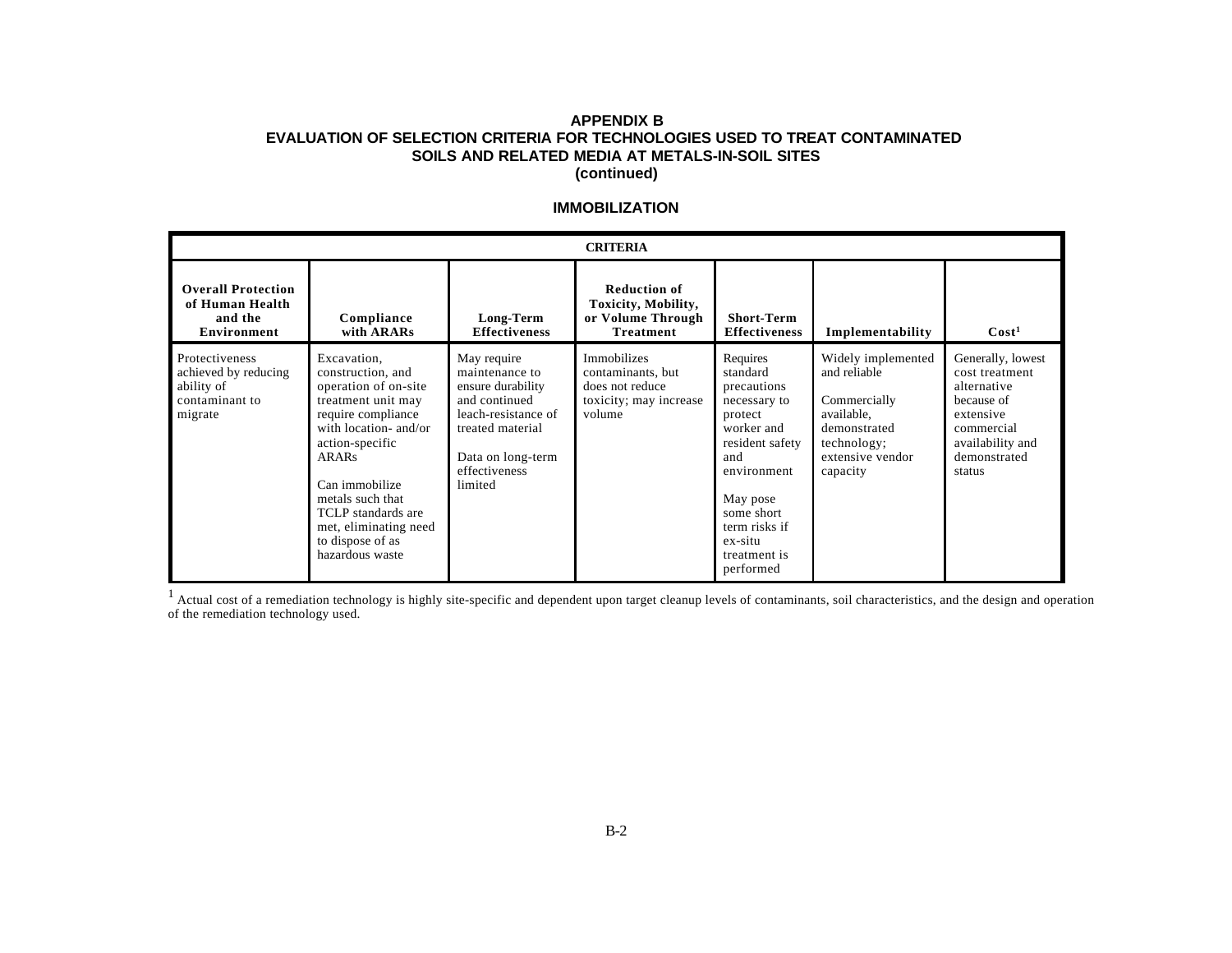### **APPENDIX B EVALUATION OF SELECTION CRITERIA FOR TECHNOLOGIES USED TO TREAT CONTAMINATED SOILS AND RELATED MEDIA AT METALS-IN-SOIL SITES (continued)**

### **IMMOBILIZATION**

|                                                                                   | <b>CRITERIA</b>                                                                                                                                                                                                                                                                              |                                                                                                                                                                 |                                                                                         |                                                                                                                                                                                                          |                                                                                                                                 |                                                                                                                                           |  |
|-----------------------------------------------------------------------------------|----------------------------------------------------------------------------------------------------------------------------------------------------------------------------------------------------------------------------------------------------------------------------------------------|-----------------------------------------------------------------------------------------------------------------------------------------------------------------|-----------------------------------------------------------------------------------------|----------------------------------------------------------------------------------------------------------------------------------------------------------------------------------------------------------|---------------------------------------------------------------------------------------------------------------------------------|-------------------------------------------------------------------------------------------------------------------------------------------|--|
| <b>Overall Protection</b><br>of Human Health<br>and the<br>Environment            | Compliance<br>with ARARs                                                                                                                                                                                                                                                                     | Long-Term<br><b>Effectiveness</b>                                                                                                                               | <b>Reduction of</b><br>Toxicity, Mobility,<br>or Volume Through<br><b>Treatment</b>     | <b>Short-Term</b><br><b>Effectiveness</b>                                                                                                                                                                | Implementability                                                                                                                | Cost <sup>1</sup>                                                                                                                         |  |
| Protectiveness<br>achieved by reducing<br>ability of<br>contaminant to<br>migrate | Excavation,<br>construction, and<br>operation of on-site<br>treatment unit may<br>require compliance<br>with location- and/or<br>action-specific<br><b>ARARs</b><br>Can immobilize<br>metals such that<br>TCLP standards are<br>met, eliminating need<br>to dispose of as<br>hazardous waste | May require<br>maintenance to<br>ensure durability<br>and continued<br>leach-resistance of<br>treated material<br>Data on long-term<br>effectiveness<br>limited | Immobilizes<br>contaminants, but<br>does not reduce<br>toxicity; may increase<br>volume | Requires<br>standard<br>precautions<br>necessary to<br>protect<br>worker and<br>resident safety<br>and<br>environment<br>May pose<br>some short<br>term risks if<br>ex-situ<br>treatment is<br>performed | Widely implemented<br>and reliable<br>Commercially<br>available,<br>demonstrated<br>technology;<br>extensive vendor<br>capacity | Generally, lowest<br>cost treatment<br>alternative<br>because of<br>extensive<br>commercial<br>availability and<br>demonstrated<br>status |  |

 $<sup>1</sup>$  Actual cost of a remediation technology is highly site-specific and dependent upon target cleanup levels of contaminants, soil characteristics, and the design and operation</sup> of the remediation technology used.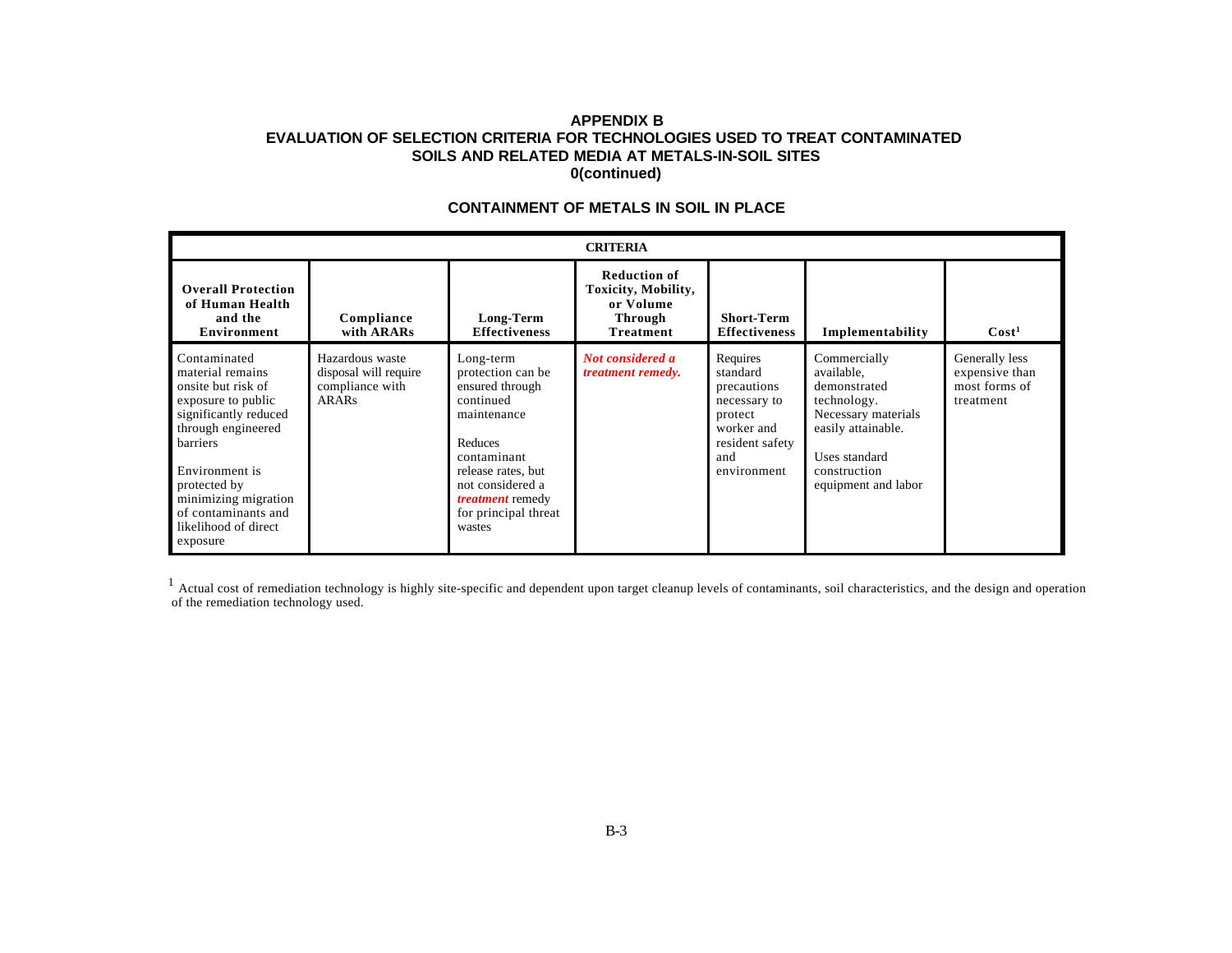### **APPENDIX B EVALUATION OF SELECTION CRITERIA FOR TECHNOLOGIES USED TO TREAT CONTAMINATED SOILS AND RELATED MEDIA AT METALS-IN-SOIL SITES 0(continued)**

|                                                                                                                                                                                                                                                              | <b>CRITERIA</b>                                                      |                                                                                                                                                                                                                |                                                                                               |                                                                                                                       |                                                                                                                                                                |                                                                |  |
|--------------------------------------------------------------------------------------------------------------------------------------------------------------------------------------------------------------------------------------------------------------|----------------------------------------------------------------------|----------------------------------------------------------------------------------------------------------------------------------------------------------------------------------------------------------------|-----------------------------------------------------------------------------------------------|-----------------------------------------------------------------------------------------------------------------------|----------------------------------------------------------------------------------------------------------------------------------------------------------------|----------------------------------------------------------------|--|
| <b>Overall Protection</b><br>of Human Health<br>and the<br>Environment                                                                                                                                                                                       | Compliance<br>with ARARs                                             | Long-Term<br><b>Effectiveness</b>                                                                                                                                                                              | <b>Reduction of</b><br>Toxicity, Mobility,<br>or Volume<br><b>Through</b><br><b>Treatment</b> | <b>Short-Term</b><br><b>Effectiveness</b>                                                                             | Implementability                                                                                                                                               | Cost <sup>1</sup>                                              |  |
| Contaminated<br>material remains<br>onsite but risk of<br>exposure to public<br>significantly reduced<br>through engineered<br>barriers<br>Environment is<br>protected by<br>minimizing migration<br>of contaminants and<br>likelihood of direct<br>exposure | Hazardous waste<br>disposal will require<br>compliance with<br>ARARS | Long-term<br>protection can be<br>ensured through<br>continued<br>maintenance<br>Reduces<br>contaminant<br>release rates, but<br>not considered a<br><i>treatment</i> remedy<br>for principal threat<br>wastes | Not considered a<br><i>treatment remedy.</i>                                                  | Requires<br>standard<br>precautions<br>necessary to<br>protect<br>worker and<br>resident safety<br>and<br>environment | Commercially<br>available,<br>demonstrated<br>technology.<br>Necessary materials<br>easily attainable.<br>Uses standard<br>construction<br>equipment and labor | Generally less<br>expensive than<br>most forms of<br>treatment |  |

# **CONTAINMENT OF METALS IN SOIL IN PLACE**

 $<sup>1</sup>$  Actual cost of remediation technology is highly site-specific and dependent upon target cleanup levels of contaminants, soil characteristics, and the design and operation</sup> of the remediation technology used.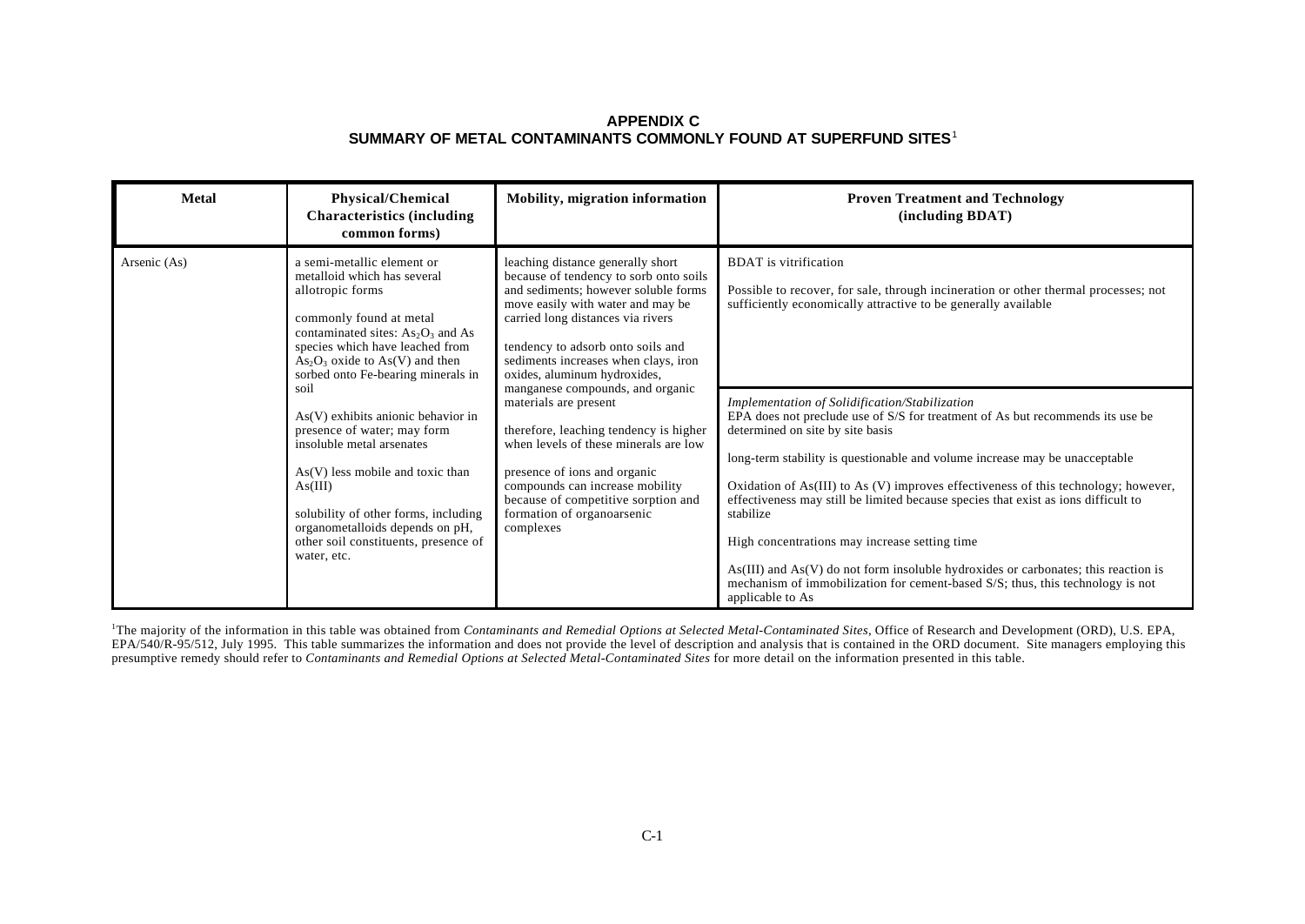| <b>Metal</b> | Physical/Chemical<br><b>Characteristics (including)</b><br>common forms)                                                                                                                                                                                                                                                                                                                                                                                                                                                                                                                         | Mobility, migration information                                                                                                                                                                                                                                                                                                                                                                                                                                                                                                                                                                                                                                                               | <b>Proven Treatment and Technology</b><br>(including BDAT)                                                                                                                            |
|--------------|--------------------------------------------------------------------------------------------------------------------------------------------------------------------------------------------------------------------------------------------------------------------------------------------------------------------------------------------------------------------------------------------------------------------------------------------------------------------------------------------------------------------------------------------------------------------------------------------------|-----------------------------------------------------------------------------------------------------------------------------------------------------------------------------------------------------------------------------------------------------------------------------------------------------------------------------------------------------------------------------------------------------------------------------------------------------------------------------------------------------------------------------------------------------------------------------------------------------------------------------------------------------------------------------------------------|---------------------------------------------------------------------------------------------------------------------------------------------------------------------------------------|
| Arsenic (As) | a semi-metallic element or<br>metalloid which has several<br>allotropic forms<br>commonly found at metal<br>contaminated sites: $As2O3$ and As<br>species which have leached from<br>$As_2O_3$ oxide to $As(V)$ and then<br>sorbed onto Fe-bearing minerals in                                                                                                                                                                                                                                                                                                                                   | leaching distance generally short<br>because of tendency to sorb onto soils<br>and sediments; however soluble forms<br>move easily with water and may be<br>carried long distances via rivers<br>tendency to adsorb onto soils and<br>sediments increases when clays, iron<br>oxides, aluminum hydroxides,                                                                                                                                                                                                                                                                                                                                                                                    | <b>BDAT</b> is vitrification<br>Possible to recover, for sale, through incineration or other thermal processes; not<br>sufficiently economically attractive to be generally available |
|              | manganese compounds, and organic<br>soil<br>materials are present<br>$As(V)$ exhibits anionic behavior in<br>therefore, leaching tendency is higher<br>presence of water; may form<br>insoluble metal arsenates<br>when levels of these minerals are low<br>$As(V)$ less mobile and toxic than<br>presence of ions and organic<br>compounds can increase mobility<br>As(III)<br>because of competitive sorption and<br>solubility of other forms, including<br>formation of organoarsenic<br>organometalloids depends on pH,<br>complexes<br>other soil constituents, presence of<br>water, etc. | Implementation of Solidification/Stabilization<br>EPA does not preclude use of S/S for treatment of As but recommends its use be<br>determined on site by site basis<br>long-term stability is questionable and volume increase may be unacceptable<br>Oxidation of As(III) to As (V) improves effectiveness of this technology; however,<br>effectiveness may still be limited because species that exist as ions difficult to<br>stabilize<br>High concentrations may increase setting time<br>$As(III)$ and $As(V)$ do not form insoluble hydroxides or carbonates; this reaction is<br>mechanism of immobilization for cement-based S/S; thus, this technology is not<br>applicable to As |                                                                                                                                                                                       |

<sup>1</sup>The majority of the information in this table was obtained from *Contaminants and Remedial Options at Selected Metal-Contaminated Sites*, Office of Research and Development (ORD), U.S. EPA, EPA/540/R-95/512, July 1995. This table summarizes the information and does not provide the level of description and analysis that is contained in the ORD document. Site managers employing this presumptive remedy should refer to *Contaminants and Remedial Options at Selected Metal-Contaminated Sites* for more detail on the information presented in this table.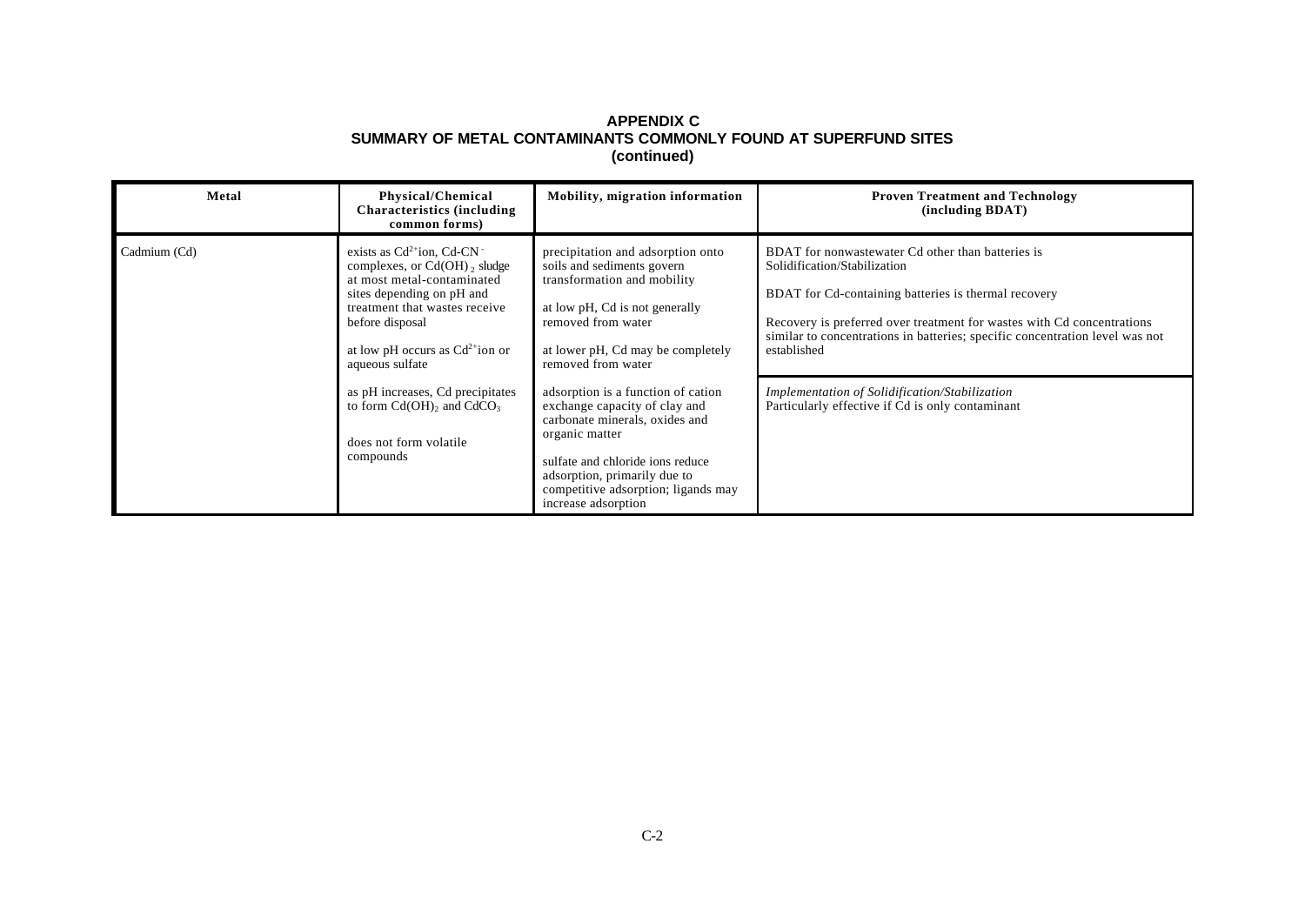| Metal        | Physical/Chemical<br><b>Characteristics (including)</b><br>common forms)                                                                                                                                                                          | Mobility, migration information                                                                                                                                                                                                                           | <b>Proven Treatment and Technology</b><br>(including BDAT)                                                                                                                                                                                                                                                         |
|--------------|---------------------------------------------------------------------------------------------------------------------------------------------------------------------------------------------------------------------------------------------------|-----------------------------------------------------------------------------------------------------------------------------------------------------------------------------------------------------------------------------------------------------------|--------------------------------------------------------------------------------------------------------------------------------------------------------------------------------------------------------------------------------------------------------------------------------------------------------------------|
| Cadmium (Cd) | exists as $Cd^{2+}$ ion, $Cd$ -CN $^{-}$<br>complexes, or $Cd(OH)$ , sludge<br>at most metal-contaminated<br>sites depending on pH and<br>treatment that wastes receive<br>before disposal<br>at low pH occurs as $Cd2+ion or$<br>aqueous sulfate | precipitation and adsorption onto<br>soils and sediments govern<br>transformation and mobility<br>at low pH, Cd is not generally<br>removed from water<br>at lower pH, Cd may be completely<br>removed from water                                         | BDAT for nonwastewater Cd other than batteries is<br>Solidification/Stabilization<br>BDAT for Cd-containing batteries is thermal recovery<br>Recovery is preferred over treatment for wastes with Cd concentrations<br>similar to concentrations in batteries; specific concentration level was not<br>established |
|              | as pH increases, Cd precipitates<br>to form $Cd(OH)$ , and $CdCO3$<br>does not form volatile<br>compounds                                                                                                                                         | adsorption is a function of cation<br>exchange capacity of clay and<br>carbonate minerals, oxides and<br>organic matter<br>sulfate and chloride ions reduce<br>adsorption, primarily due to<br>competitive adsorption; ligands may<br>increase adsorption | Implementation of Solidification/Stabilization<br>Particularly effective if Cd is only contaminant                                                                                                                                                                                                                 |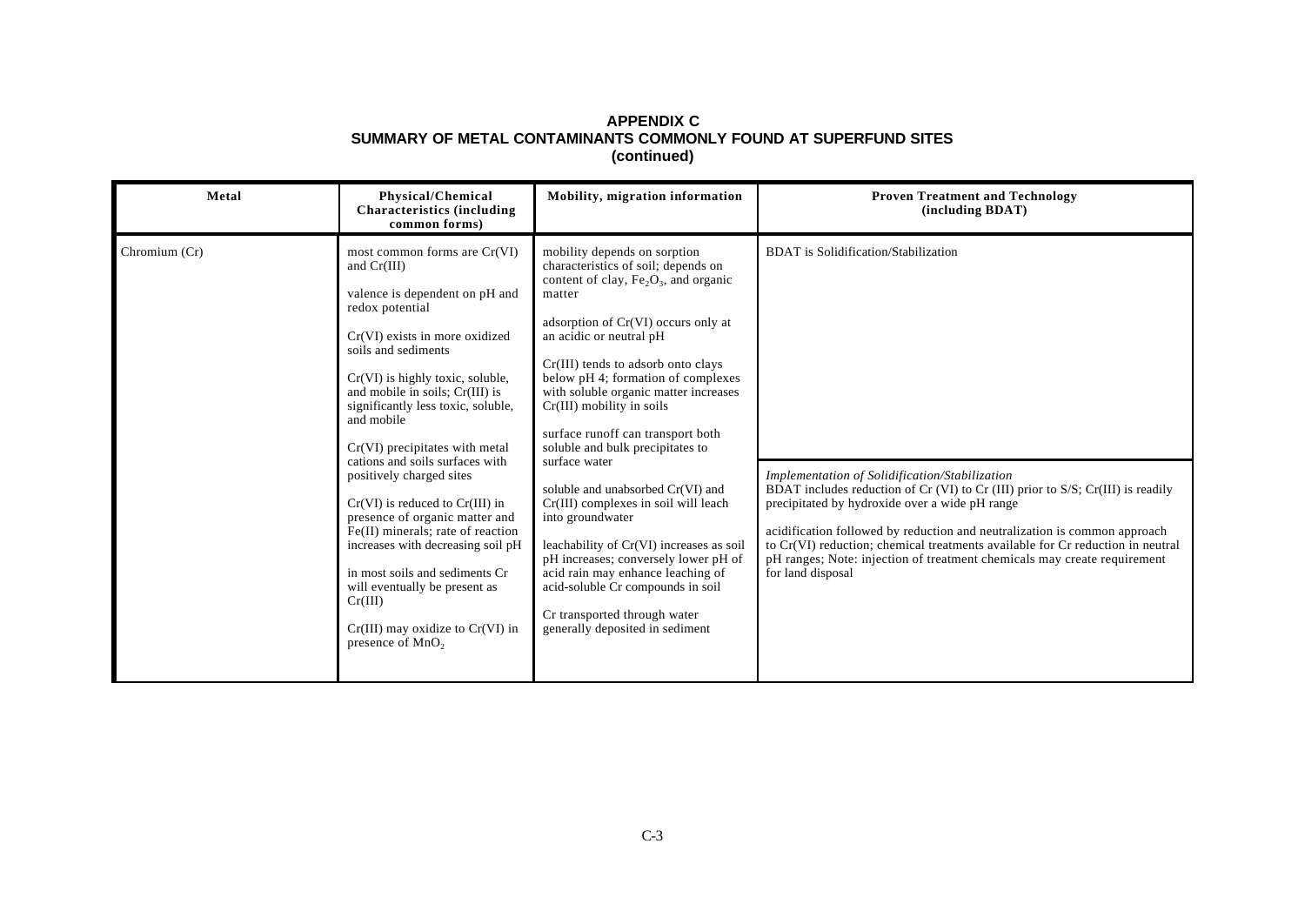| Metal         | <b>Physical/Chemical</b><br><b>Characteristics (including</b><br>common forms)                                                                                                                                                                                                                                                                                                                                                                                                                                                                                                                                                                                                                         | Mobility, migration information                                                                                                                                                                                                                                                                                                                                                                                                                                                                                                                                                                                                                                                                                                                                           | <b>Proven Treatment and Technology</b><br>(including BDAT)                                                                                                                                                                                                                                                                                                                                                                                                                                                  |
|---------------|--------------------------------------------------------------------------------------------------------------------------------------------------------------------------------------------------------------------------------------------------------------------------------------------------------------------------------------------------------------------------------------------------------------------------------------------------------------------------------------------------------------------------------------------------------------------------------------------------------------------------------------------------------------------------------------------------------|---------------------------------------------------------------------------------------------------------------------------------------------------------------------------------------------------------------------------------------------------------------------------------------------------------------------------------------------------------------------------------------------------------------------------------------------------------------------------------------------------------------------------------------------------------------------------------------------------------------------------------------------------------------------------------------------------------------------------------------------------------------------------|-------------------------------------------------------------------------------------------------------------------------------------------------------------------------------------------------------------------------------------------------------------------------------------------------------------------------------------------------------------------------------------------------------------------------------------------------------------------------------------------------------------|
| Chromium (Cr) | most common forms are Cr(VI)<br>and $Cr(III)$<br>valence is dependent on pH and<br>redox potential<br>$Cr(VI)$ exists in more oxidized<br>soils and sediments<br>$Cr(VI)$ is highly toxic, soluble,<br>and mobile in soils; Cr(III) is<br>significantly less toxic, soluble,<br>and mobile<br>Cr(VI) precipitates with metal<br>cations and soils surfaces with<br>positively charged sites<br>$Cr(VI)$ is reduced to $Cr(III)$ in<br>presence of organic matter and<br>$Fe(II)$ minerals; rate of reaction<br>increases with decreasing soil pH<br>in most soils and sediments Cr<br>will eventually be present as<br>Cr(III)<br>$Cr(III)$ may oxidize to $Cr(VI)$ in<br>presence of MnO <sub>2</sub> | mobility depends on sorption<br>characteristics of soil; depends on<br>content of clay, $Fe2O3$ , and organic<br>matter<br>adsorption of Cr(VI) occurs only at<br>an acidic or neutral pH<br>Cr(III) tends to adsorb onto clays<br>below pH 4; formation of complexes<br>with soluble organic matter increases<br>$Cr(III)$ mobility in soils<br>surface runoff can transport both<br>soluble and bulk precipitates to<br>surface water<br>soluble and unabsorbed Cr(VI) and<br>Cr(III) complexes in soil will leach<br>into groundwater<br>leachability of Cr(VI) increases as soil<br>pH increases; conversely lower pH of<br>acid rain may enhance leaching of<br>acid-soluble Cr compounds in soil<br>Cr transported through water<br>generally deposited in sediment | <b>BDAT</b> is Solidification/Stabilization<br>Implementation of Solidification/Stabilization<br>BDAT includes reduction of $Cr$ (VI) to $Cr$ (III) prior to $S/S$ ; $Cr(III)$ is readily<br>precipitated by hydroxide over a wide pH range<br>acidification followed by reduction and neutralization is common approach<br>to Cr(VI) reduction; chemical treatments available for Cr reduction in neutral<br>pH ranges; Note: injection of treatment chemicals may create requirement<br>for land disposal |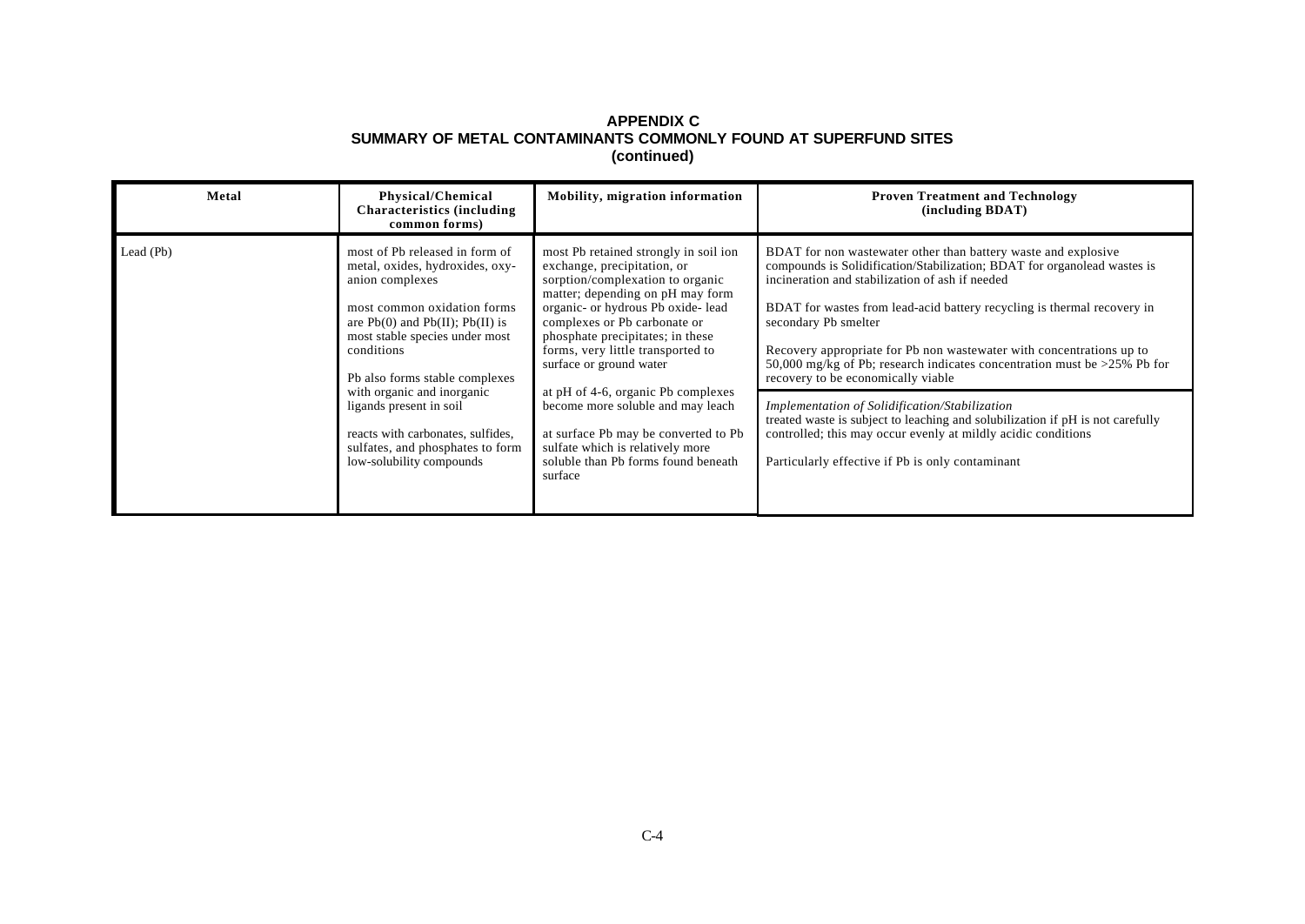| Metal                                                                             | Physical/Chemical<br><b>Characteristics (including)</b><br>common forms)                                                                                                                                                                        | Mobility, migration information                                                                                                                                                                                                                                                                                        | <b>Proven Treatment and Technology</b><br>(including BDAT)                                                                                                                                                                                                                                                                                                                                                                                                                                 |
|-----------------------------------------------------------------------------------|-------------------------------------------------------------------------------------------------------------------------------------------------------------------------------------------------------------------------------------------------|------------------------------------------------------------------------------------------------------------------------------------------------------------------------------------------------------------------------------------------------------------------------------------------------------------------------|--------------------------------------------------------------------------------------------------------------------------------------------------------------------------------------------------------------------------------------------------------------------------------------------------------------------------------------------------------------------------------------------------------------------------------------------------------------------------------------------|
| Lead (Pb)                                                                         | most of Pb released in form of<br>metal, oxides, hydroxides, oxy-<br>anion complexes<br>most common oxidation forms<br>are $Pb(0)$ and $Pb(II)$ ; $Pb(II)$ is<br>most stable species under most<br>conditions<br>Pb also forms stable complexes | most Pb retained strongly in soil ion<br>exchange, precipitation, or<br>sorption/complexation to organic<br>matter; depending on pH may form<br>organic- or hydrous Pb oxide- lead<br>complexes or Pb carbonate or<br>phosphate precipitates; in these<br>forms, very little transported to<br>surface or ground water | BDAT for non wastewater other than battery waste and explosive<br>compounds is Solidification/Stabilization; BDAT for organolead wastes is<br>incineration and stabilization of ash if needed<br>BDAT for wastes from lead-acid battery recycling is thermal recovery in<br>secondary Pb smelter<br>Recovery appropriate for Pb non wastewater with concentrations up to<br>50,000 mg/kg of Pb; research indicates concentration must be >25% Pb for<br>recovery to be economically viable |
| with organic and inorganic<br>ligands present in soil<br>low-solubility compounds | reacts with carbonates, sulfides,<br>sulfates, and phosphates to form                                                                                                                                                                           | at pH of 4-6, organic Pb complexes<br>become more soluble and may leach<br>at surface Pb may be converted to Pb<br>sulfate which is relatively more<br>soluble than Pb forms found beneath<br>surface                                                                                                                  | Implementation of Solidification/Stabilization<br>treated waste is subject to leaching and solubilization if pH is not carefully<br>controlled; this may occur evenly at mildly acidic conditions<br>Particularly effective if Pb is only contaminant                                                                                                                                                                                                                                      |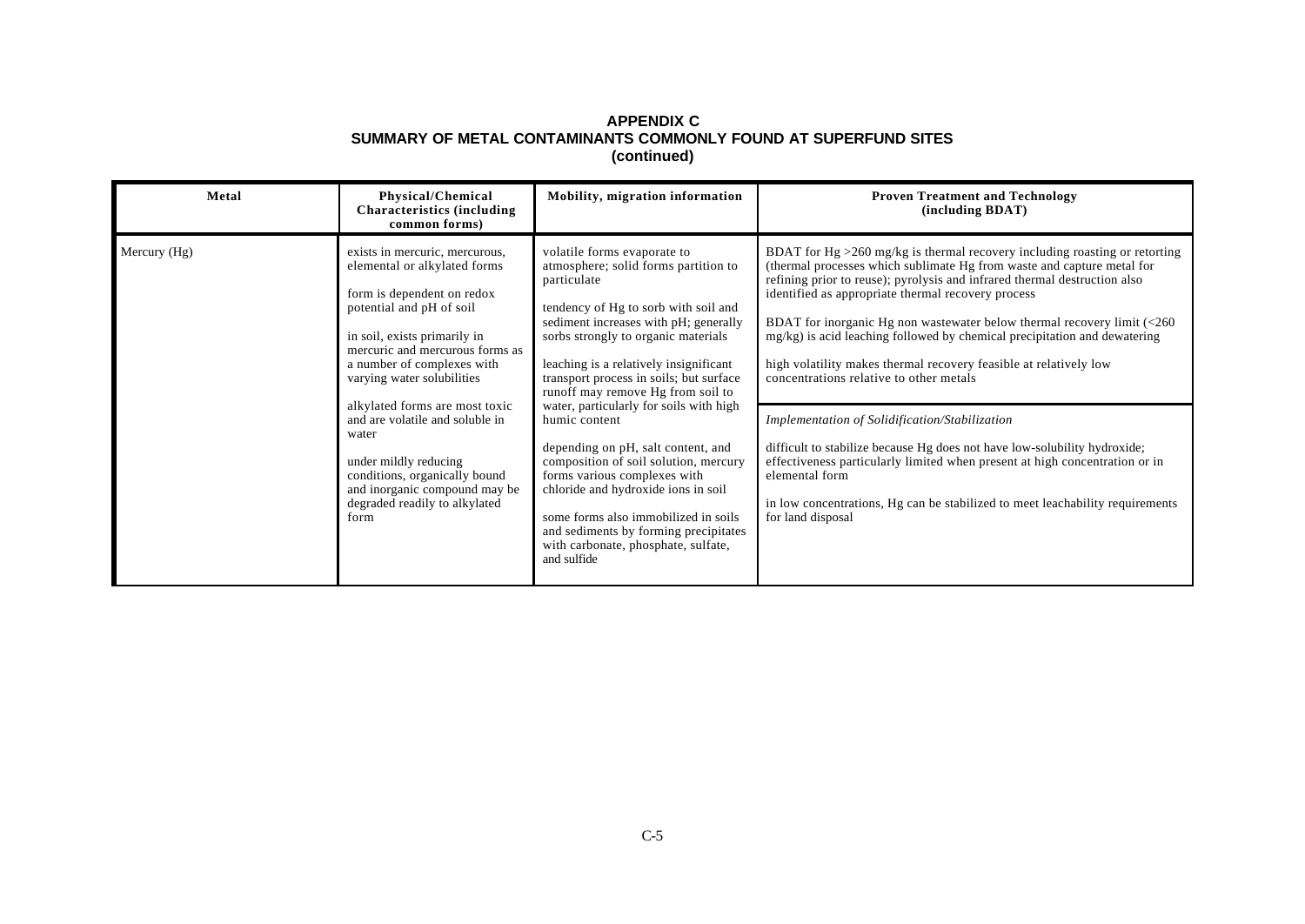| Metal        | Physical/Chemical<br><b>Characteristics</b> (including<br>common forms)                                                                                                                                                                                                                                                                                                                                                                                                   | Mobility, migration information                                                                                                                                                                                                                                                                                                                                                                                                                                                                                                                                                                                                                                                               | <b>Proven Treatment and Technology</b><br>(including BDAT)                                                                                                                                                                                                                                                                                                                                                                                                                                                                                                                                                                                                                                                                                                                                                                                                                                                       |
|--------------|---------------------------------------------------------------------------------------------------------------------------------------------------------------------------------------------------------------------------------------------------------------------------------------------------------------------------------------------------------------------------------------------------------------------------------------------------------------------------|-----------------------------------------------------------------------------------------------------------------------------------------------------------------------------------------------------------------------------------------------------------------------------------------------------------------------------------------------------------------------------------------------------------------------------------------------------------------------------------------------------------------------------------------------------------------------------------------------------------------------------------------------------------------------------------------------|------------------------------------------------------------------------------------------------------------------------------------------------------------------------------------------------------------------------------------------------------------------------------------------------------------------------------------------------------------------------------------------------------------------------------------------------------------------------------------------------------------------------------------------------------------------------------------------------------------------------------------------------------------------------------------------------------------------------------------------------------------------------------------------------------------------------------------------------------------------------------------------------------------------|
| Mercury (Hg) | exists in mercuric, mercurous,<br>elemental or alkylated forms<br>form is dependent on redox<br>potential and pH of soil<br>in soil, exists primarily in<br>mercuric and mercurous forms as<br>a number of complexes with<br>varying water solubilities<br>alkylated forms are most toxic<br>and are volatile and soluble in<br>water<br>under mildly reducing<br>conditions, organically bound<br>and inorganic compound may be<br>degraded readily to alkylated<br>form | volatile forms evaporate to<br>atmosphere; solid forms partition to<br>particulate<br>tendency of Hg to sorb with soil and<br>sediment increases with pH; generally<br>sorbs strongly to organic materials<br>leaching is a relatively insignificant<br>transport process in soils; but surface<br>runoff may remove Hg from soil to<br>water, particularly for soils with high<br>humic content<br>depending on pH, salt content, and<br>composition of soil solution, mercury<br>forms various complexes with<br>chloride and hydroxide ions in soil<br>some forms also immobilized in soils<br>and sediments by forming precipitates<br>with carbonate, phosphate, sulfate,<br>and sulfide | BDAT for Hg $>260$ mg/kg is thermal recovery including roasting or retorting<br>(thermal processes which sublimate Hg from waste and capture metal for<br>refining prior to reuse); pyrolysis and infrared thermal destruction also<br>identified as appropriate thermal recovery process<br>BDAT for inorganic Hg non wastewater below thermal recovery limit $\langle$ <260<br>mg/kg) is acid leaching followed by chemical precipitation and dewatering<br>high volatility makes thermal recovery feasible at relatively low<br>concentrations relative to other metals<br>Implementation of Solidification/Stabilization<br>difficult to stabilize because Hg does not have low-solubility hydroxide;<br>effectiveness particularly limited when present at high concentration or in<br>elemental form<br>in low concentrations, Hg can be stabilized to meet leachability requirements<br>for land disposal |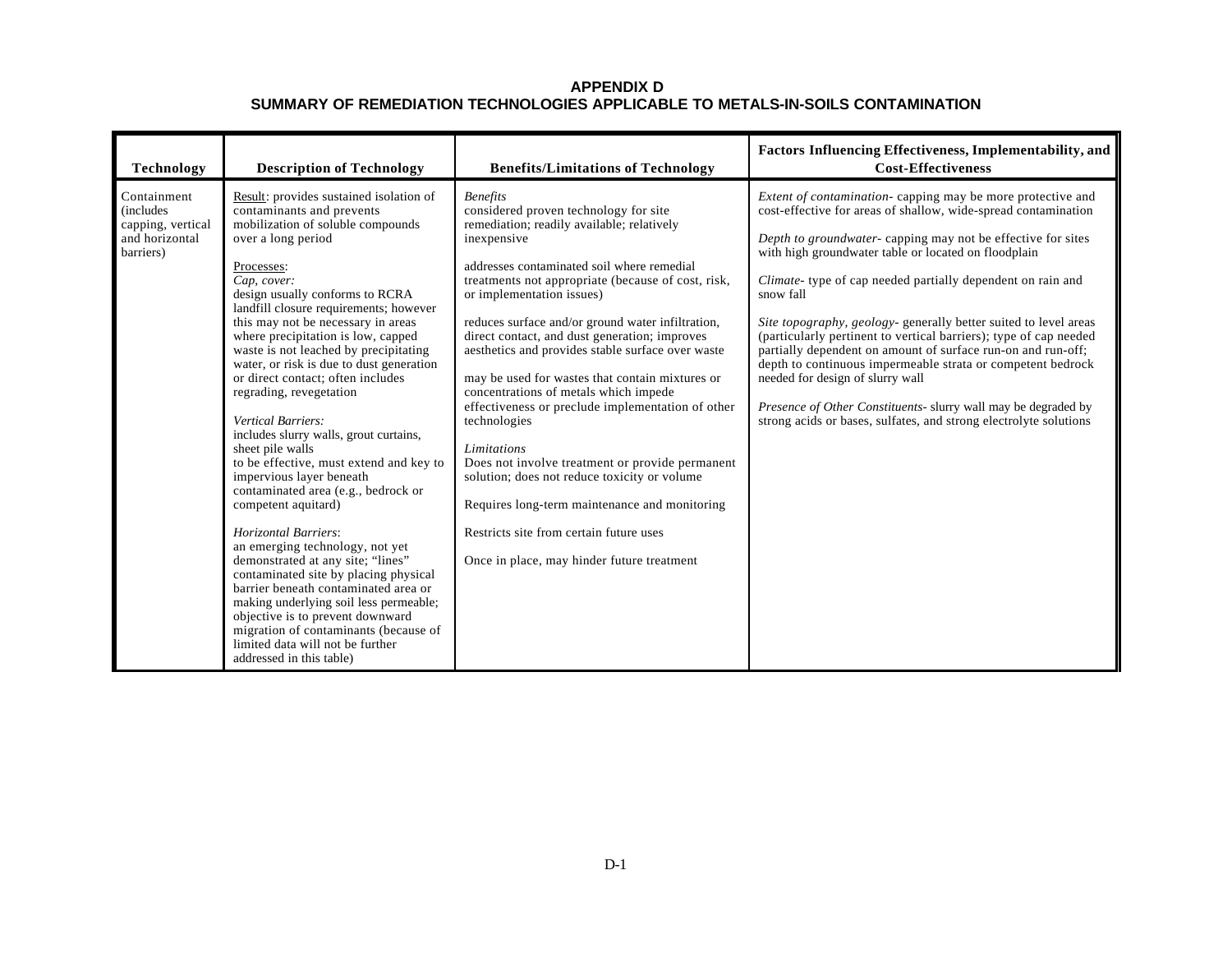| <b>Technology</b>                                                                    | <b>Description of Technology</b>                                                                                                                                                                                                                                                                                                                                                                                                                                                                                                                                                                                                                                                                                                                                                                                                                                                                                                                                                                                                                                                          | <b>Benefits/Limitations of Technology</b>                                                                                                                                                                                                                                                                                                                                                                                                                                                                                                                                                                                                                                                                                                                                                                                                      | <b>Factors Influencing Effectiveness, Implementability, and</b><br><b>Cost-Effectiveness</b>                                                                                                                                                                                                                                                                                                                                                                                                                                                                                                                                                                                                                                                                                         |
|--------------------------------------------------------------------------------------|-------------------------------------------------------------------------------------------------------------------------------------------------------------------------------------------------------------------------------------------------------------------------------------------------------------------------------------------------------------------------------------------------------------------------------------------------------------------------------------------------------------------------------------------------------------------------------------------------------------------------------------------------------------------------------------------------------------------------------------------------------------------------------------------------------------------------------------------------------------------------------------------------------------------------------------------------------------------------------------------------------------------------------------------------------------------------------------------|------------------------------------------------------------------------------------------------------------------------------------------------------------------------------------------------------------------------------------------------------------------------------------------------------------------------------------------------------------------------------------------------------------------------------------------------------------------------------------------------------------------------------------------------------------------------------------------------------------------------------------------------------------------------------------------------------------------------------------------------------------------------------------------------------------------------------------------------|--------------------------------------------------------------------------------------------------------------------------------------------------------------------------------------------------------------------------------------------------------------------------------------------------------------------------------------------------------------------------------------------------------------------------------------------------------------------------------------------------------------------------------------------------------------------------------------------------------------------------------------------------------------------------------------------------------------------------------------------------------------------------------------|
| Containment<br><i>(includes)</i><br>capping, vertical<br>and horizontal<br>barriers) | Result: provides sustained isolation of<br>contaminants and prevents<br>mobilization of soluble compounds<br>over a long period<br>Processes:<br>Cap, cover:<br>design usually conforms to RCRA<br>landfill closure requirements; however<br>this may not be necessary in areas<br>where precipitation is low, capped<br>waste is not leached by precipitating<br>water, or risk is due to dust generation<br>or direct contact: often includes<br>regrading, revegetation<br><b>Vertical Barriers:</b><br>includes slurry walls, grout curtains,<br>sheet pile walls<br>to be effective, must extend and key to<br>impervious layer beneath<br>contaminated area (e.g., bedrock or<br>competent aquitard)<br><b>Horizontal Barriers:</b><br>an emerging technology, not yet<br>demonstrated at any site; "lines"<br>contaminated site by placing physical<br>barrier beneath contaminated area or<br>making underlying soil less permeable;<br>objective is to prevent downward<br>migration of contaminants (because of<br>limited data will not be further<br>addressed in this table) | <b>Benefits</b><br>considered proven technology for site<br>remediation; readily available; relatively<br>inexpensive<br>addresses contaminated soil where remedial<br>treatments not appropriate (because of cost, risk,<br>or implementation issues)<br>reduces surface and/or ground water infiltration,<br>direct contact, and dust generation; improves<br>aesthetics and provides stable surface over waste<br>may be used for wastes that contain mixtures or<br>concentrations of metals which impede<br>effectiveness or preclude implementation of other<br>technologies<br>Limitations<br>Does not involve treatment or provide permanent<br>solution; does not reduce toxicity or volume<br>Requires long-term maintenance and monitoring<br>Restricts site from certain future uses<br>Once in place, may hinder future treatment | Extent of contamination- capping may be more protective and<br>cost-effective for areas of shallow, wide-spread contamination<br>Depth to groundwater- capping may not be effective for sites<br>with high groundwater table or located on floodplain<br>Climate- type of cap needed partially dependent on rain and<br>snow fall<br>Site topography, geology- generally better suited to level areas<br>(particularly pertinent to vertical barriers); type of cap needed<br>partially dependent on amount of surface run-on and run-off;<br>depth to continuous impermeable strata or competent bedrock<br>needed for design of slurry wall<br>Presence of Other Constituents- slurry wall may be degraded by<br>strong acids or bases, sulfates, and strong electrolyte solutions |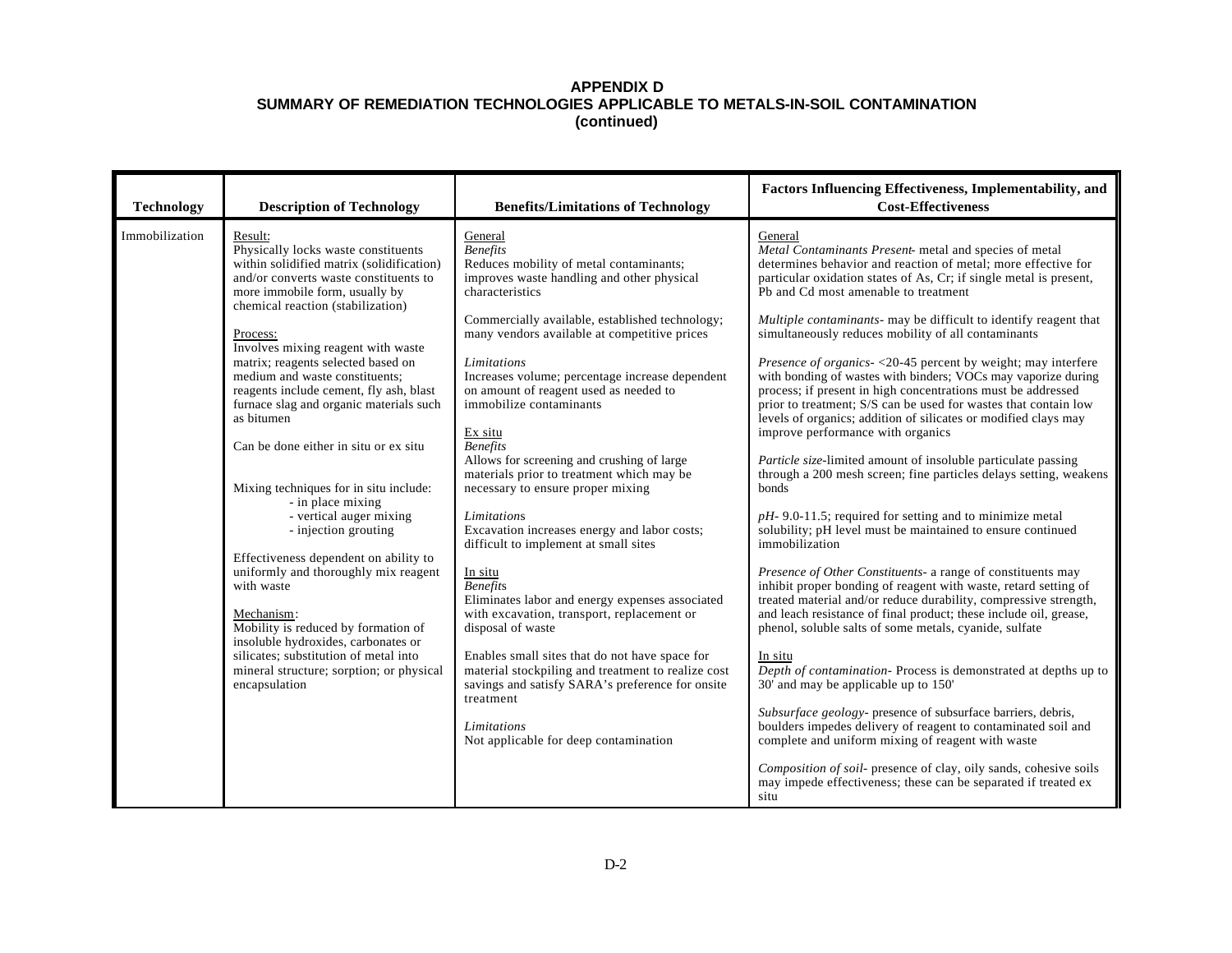| <b>Technology</b> | <b>Description of Technology</b>                                                                                                                                                                                                                                                                                                                                                                                                                                                                                                                                                                                                                                                                                                                                                                                                                                                                      | <b>Benefits/Limitations of Technology</b>                                                                                                                                                                                                                                                                                                                                                                                                                                                                                                                                                                                                                                                                                                                                                                                                                                                                                                                                                                                                   | Factors Influencing Effectiveness, Implementability, and<br><b>Cost-Effectiveness</b>                                                                                                                                                                                                                                                                                                                                                                                                                                                                                                                                                                                                                                                                                                                                                                                                                                                                                                                                                                                                                                                                                                                                                                                                                                                                                                                                                                                                                                                                                                                                                                                                                                                                                                                                                                        |
|-------------------|-------------------------------------------------------------------------------------------------------------------------------------------------------------------------------------------------------------------------------------------------------------------------------------------------------------------------------------------------------------------------------------------------------------------------------------------------------------------------------------------------------------------------------------------------------------------------------------------------------------------------------------------------------------------------------------------------------------------------------------------------------------------------------------------------------------------------------------------------------------------------------------------------------|---------------------------------------------------------------------------------------------------------------------------------------------------------------------------------------------------------------------------------------------------------------------------------------------------------------------------------------------------------------------------------------------------------------------------------------------------------------------------------------------------------------------------------------------------------------------------------------------------------------------------------------------------------------------------------------------------------------------------------------------------------------------------------------------------------------------------------------------------------------------------------------------------------------------------------------------------------------------------------------------------------------------------------------------|--------------------------------------------------------------------------------------------------------------------------------------------------------------------------------------------------------------------------------------------------------------------------------------------------------------------------------------------------------------------------------------------------------------------------------------------------------------------------------------------------------------------------------------------------------------------------------------------------------------------------------------------------------------------------------------------------------------------------------------------------------------------------------------------------------------------------------------------------------------------------------------------------------------------------------------------------------------------------------------------------------------------------------------------------------------------------------------------------------------------------------------------------------------------------------------------------------------------------------------------------------------------------------------------------------------------------------------------------------------------------------------------------------------------------------------------------------------------------------------------------------------------------------------------------------------------------------------------------------------------------------------------------------------------------------------------------------------------------------------------------------------------------------------------------------------------------------------------------------------|
| Immobilization    | Result:<br>Physically locks waste constituents<br>within solidified matrix (solidification)<br>and/or converts waste constituents to<br>more immobile form, usually by<br>chemical reaction (stabilization)<br>Process:<br>Involves mixing reagent with waste<br>matrix; reagents selected based on<br>medium and waste constituents;<br>reagents include cement, fly ash, blast<br>furnace slag and organic materials such<br>as bitumen<br>Can be done either in situ or ex situ<br>Mixing techniques for in situ include:<br>- in place mixing<br>- vertical auger mixing<br>- injection grouting<br>Effectiveness dependent on ability to<br>uniformly and thoroughly mix reagent<br>with waste<br>Mechanism:<br>Mobility is reduced by formation of<br>insoluble hydroxides, carbonates or<br>silicates; substitution of metal into<br>mineral structure; sorption; or physical<br>encapsulation | General<br><b>Benefits</b><br>Reduces mobility of metal contaminants;<br>improves waste handling and other physical<br>characteristics<br>Commercially available, established technology;<br>many vendors available at competitive prices<br>Limitations<br>Increases volume; percentage increase dependent<br>on amount of reagent used as needed to<br>immobilize contaminants<br>Ex situ<br><b>Benefits</b><br>Allows for screening and crushing of large<br>materials prior to treatment which may be<br>necessary to ensure proper mixing<br>Limitations<br>Excavation increases energy and labor costs;<br>difficult to implement at small sites<br>In situ<br><b>Benefits</b><br>Eliminates labor and energy expenses associated<br>with excavation, transport, replacement or<br>disposal of waste<br>Enables small sites that do not have space for<br>material stockpiling and treatment to realize cost<br>savings and satisfy SARA's preference for onsite<br>treatment<br>Limitations<br>Not applicable for deep contamination | General<br>Metal Contaminants Present- metal and species of metal<br>determines behavior and reaction of metal; more effective for<br>particular oxidation states of As, Cr; if single metal is present,<br>Pb and Cd most amenable to treatment<br>Multiple contaminants- may be difficult to identify reagent that<br>simultaneously reduces mobility of all contaminants<br><i>Presence of organics-</i> <20-45 percent by weight; may interfere<br>with bonding of wastes with binders; VOCs may vaporize during<br>process; if present in high concentrations must be addressed<br>prior to treatment; S/S can be used for wastes that contain low<br>levels of organics; addition of silicates or modified clays may<br>improve performance with organics<br>Particle size-limited amount of insoluble particulate passing<br>through a 200 mesh screen; fine particles delays setting, weakens<br>bonds<br>$pH-9.0-11.5$ ; required for setting and to minimize metal<br>solubility; pH level must be maintained to ensure continued<br>immobilization<br>Presence of Other Constituents- a range of constituents may<br>inhibit proper bonding of reagent with waste, retard setting of<br>treated material and/or reduce durability, compressive strength,<br>and leach resistance of final product; these include oil, grease,<br>phenol, soluble salts of some metals, cyanide, sulfate<br>In situ<br>Depth of contamination-Process is demonstrated at depths up to<br>30' and may be applicable up to 150'<br>Subsurface geology- presence of subsurface barriers, debris,<br>boulders impedes delivery of reagent to contaminated soil and<br>complete and uniform mixing of reagent with waste<br>Composition of soil- presence of clay, oily sands, cohesive soils<br>may impede effectiveness; these can be separated if treated ex<br>situ |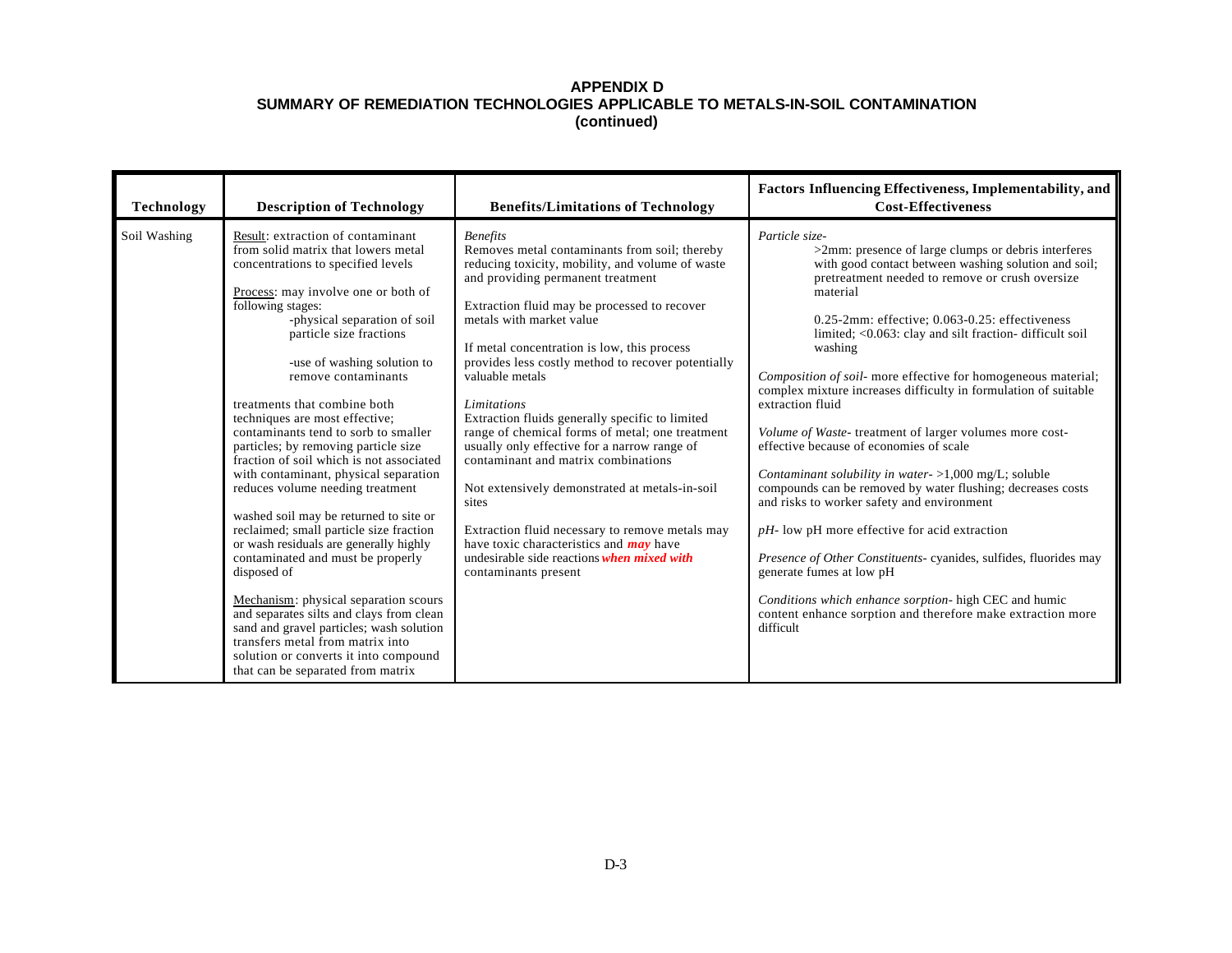| <b>Technology</b> | <b>Description of Technology</b>                                                                                                                                                                                                                                                                                                                                                                                                                                                                                                                                                                                                                                                                                                                                                                                                                                                                                                                                                                             | <b>Benefits/Limitations of Technology</b>                                                                                                                                                                                                                                                                                                                                                                                                                                                                                                                                                                                                                                                                                                                                                                       | Factors Influencing Effectiveness, Implementability, and<br><b>Cost-Effectiveness</b>                                                                                                                                                                                                                                                                                                                                                                                                                                                                                                                                                                                                                                                                                                                                                                                                                                                                                                                                                                          |
|-------------------|--------------------------------------------------------------------------------------------------------------------------------------------------------------------------------------------------------------------------------------------------------------------------------------------------------------------------------------------------------------------------------------------------------------------------------------------------------------------------------------------------------------------------------------------------------------------------------------------------------------------------------------------------------------------------------------------------------------------------------------------------------------------------------------------------------------------------------------------------------------------------------------------------------------------------------------------------------------------------------------------------------------|-----------------------------------------------------------------------------------------------------------------------------------------------------------------------------------------------------------------------------------------------------------------------------------------------------------------------------------------------------------------------------------------------------------------------------------------------------------------------------------------------------------------------------------------------------------------------------------------------------------------------------------------------------------------------------------------------------------------------------------------------------------------------------------------------------------------|----------------------------------------------------------------------------------------------------------------------------------------------------------------------------------------------------------------------------------------------------------------------------------------------------------------------------------------------------------------------------------------------------------------------------------------------------------------------------------------------------------------------------------------------------------------------------------------------------------------------------------------------------------------------------------------------------------------------------------------------------------------------------------------------------------------------------------------------------------------------------------------------------------------------------------------------------------------------------------------------------------------------------------------------------------------|
| Soil Washing      | Result: extraction of contaminant<br>from solid matrix that lowers metal<br>concentrations to specified levels<br>Process: may involve one or both of<br>following stages:<br>-physical separation of soil<br>particle size fractions<br>-use of washing solution to<br>remove contaminants<br>treatments that combine both<br>techniques are most effective;<br>contaminants tend to sorb to smaller<br>particles; by removing particle size<br>fraction of soil which is not associated<br>with contaminant, physical separation<br>reduces volume needing treatment<br>washed soil may be returned to site or<br>reclaimed; small particle size fraction<br>or wash residuals are generally highly<br>contaminated and must be properly<br>disposed of<br>Mechanism: physical separation scours<br>and separates silts and clays from clean<br>sand and gravel particles; wash solution<br>transfers metal from matrix into<br>solution or converts it into compound<br>that can be separated from matrix | <b>Benefits</b><br>Removes metal contaminants from soil; thereby<br>reducing toxicity, mobility, and volume of waste<br>and providing permanent treatment<br>Extraction fluid may be processed to recover<br>metals with market value<br>If metal concentration is low, this process<br>provides less costly method to recover potentially<br>valuable metals<br>Limitations<br>Extraction fluids generally specific to limited<br>range of chemical forms of metal; one treatment<br>usually only effective for a narrow range of<br>contaminant and matrix combinations<br>Not extensively demonstrated at metals-in-soil<br>sites<br>Extraction fluid necessary to remove metals may<br>have toxic characteristics and <b>may</b> have<br>undesirable side reactions when mixed with<br>contaminants present | Particle size-<br>>2mm: presence of large clumps or debris interferes<br>with good contact between washing solution and soil;<br>pretreatment needed to remove or crush oversize<br>material<br>$0.25$ -2mm: effective; $0.063$ - $0.25$ : effectiveness<br>limited; <0.063: clay and silt fraction- difficult soil<br>washing<br>Composition of soil- more effective for homogeneous material;<br>complex mixture increases difficulty in formulation of suitable<br>extraction fluid<br>Volume of Waste- treatment of larger volumes more cost-<br>effective because of economies of scale<br>Contaminant solubility in water- $>1,000$ mg/L; soluble<br>compounds can be removed by water flushing; decreases costs<br>and risks to worker safety and environment<br>$pH$ - low pH more effective for acid extraction<br>Presence of Other Constituents- cyanides, sulfides, fluorides may<br>generate fumes at low pH<br>Conditions which enhance sorption- high CEC and humic<br>content enhance sorption and therefore make extraction more<br>difficult |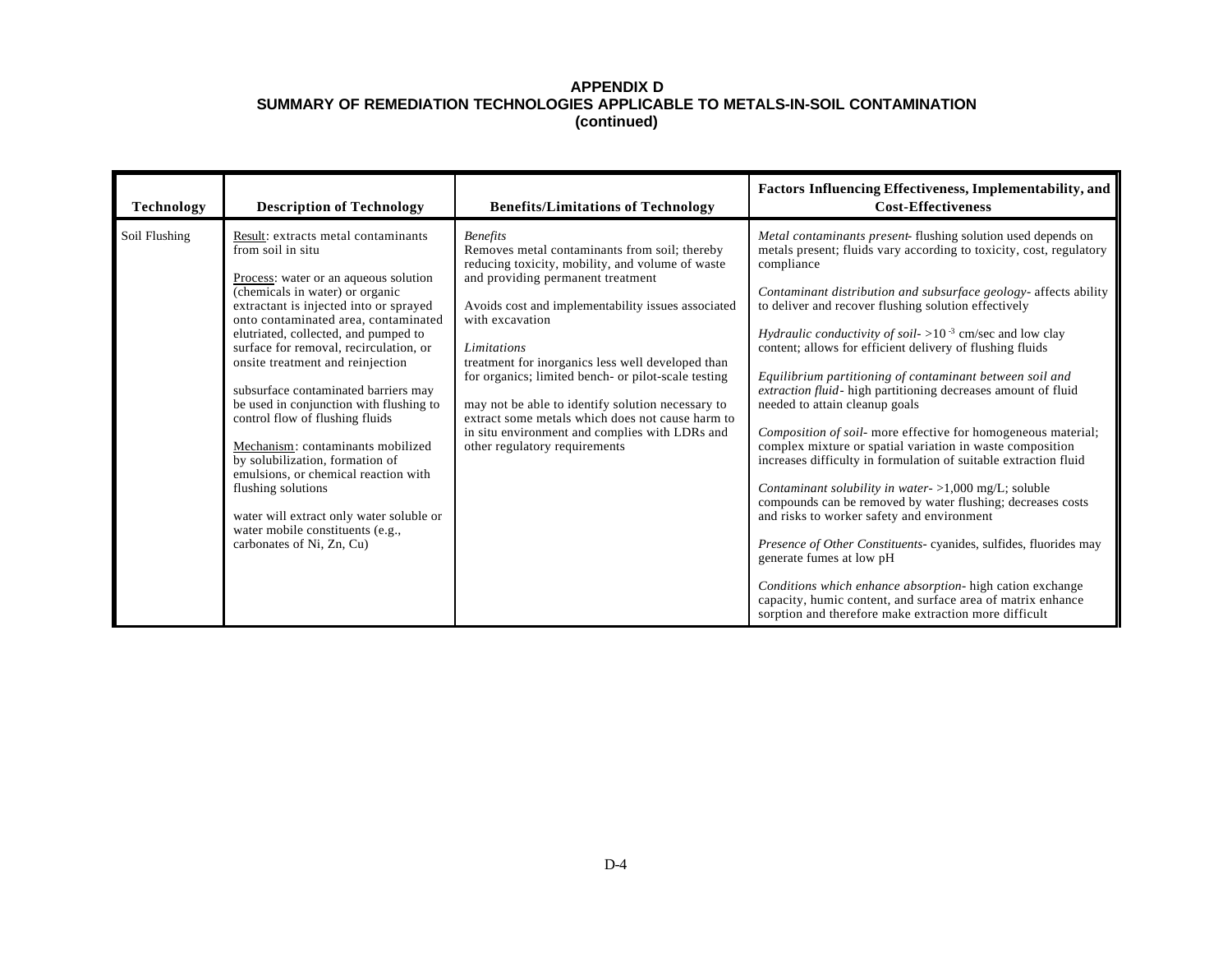| <b>Technology</b> | <b>Description of Technology</b>                                                                                                                                                                                                                                                                                                                                                                                                                                                                                                                                                                                                                                                                                      | <b>Benefits/Limitations of Technology</b>                                                                                                                                                                                                                                                                                                                                                                                                                                                                                                                 | Factors Influencing Effectiveness, Implementability, and<br><b>Cost-Effectiveness</b>                                                                                                                                                                                                                                                                                                                                                                                                                                                                                                                                                                                                                                                                                                                                                                                                                                                                                                                                                                                                                                                                                                                                                            |
|-------------------|-----------------------------------------------------------------------------------------------------------------------------------------------------------------------------------------------------------------------------------------------------------------------------------------------------------------------------------------------------------------------------------------------------------------------------------------------------------------------------------------------------------------------------------------------------------------------------------------------------------------------------------------------------------------------------------------------------------------------|-----------------------------------------------------------------------------------------------------------------------------------------------------------------------------------------------------------------------------------------------------------------------------------------------------------------------------------------------------------------------------------------------------------------------------------------------------------------------------------------------------------------------------------------------------------|--------------------------------------------------------------------------------------------------------------------------------------------------------------------------------------------------------------------------------------------------------------------------------------------------------------------------------------------------------------------------------------------------------------------------------------------------------------------------------------------------------------------------------------------------------------------------------------------------------------------------------------------------------------------------------------------------------------------------------------------------------------------------------------------------------------------------------------------------------------------------------------------------------------------------------------------------------------------------------------------------------------------------------------------------------------------------------------------------------------------------------------------------------------------------------------------------------------------------------------------------|
| Soil Flushing     | Result: extracts metal contaminants<br>from soil in situ<br>Process: water or an aqueous solution<br>(chemicals in water) or organic<br>extractant is injected into or sprayed<br>onto contaminated area, contaminated<br>elutriated, collected, and pumped to<br>surface for removal, recirculation, or<br>onsite treatment and reinjection<br>subsurface contaminated barriers may<br>be used in conjunction with flushing to<br>control flow of flushing fluids<br>Mechanism: contaminants mobilized<br>by solubilization, formation of<br>emulsions, or chemical reaction with<br>flushing solutions<br>water will extract only water soluble or<br>water mobile constituents (e.g.,<br>carbonates of Ni, Zn, Cu) | <b>Benefits</b><br>Removes metal contaminants from soil; thereby<br>reducing toxicity, mobility, and volume of waste<br>and providing permanent treatment<br>Avoids cost and implementability issues associated<br>with excavation<br>Limitations<br>treatment for inorganics less well developed than<br>for organics; limited bench- or pilot-scale testing<br>may not be able to identify solution necessary to<br>extract some metals which does not cause harm to<br>in situ environment and complies with LDRs and<br>other regulatory requirements | Metal contaminants present- flushing solution used depends on<br>metals present; fluids vary according to toxicity, cost, regulatory<br>compliance<br>Contaminant distribution and subsurface geology- affects ability<br>to deliver and recover flushing solution effectively<br><i>Hydraulic conductivity of soil-</i> $>10^{-3}$ cm/sec and low clay<br>content; allows for efficient delivery of flushing fluids<br>Equilibrium partitioning of contaminant between soil and<br>extraction fluid-high partitioning decreases amount of fluid<br>needed to attain cleanup goals<br>Composition of soil- more effective for homogeneous material;<br>complex mixture or spatial variation in waste composition<br>increases difficulty in formulation of suitable extraction fluid<br>Contaminant solubility in water- >1,000 mg/L; soluble<br>compounds can be removed by water flushing; decreases costs<br>and risks to worker safety and environment<br>Presence of Other Constituents- cyanides, sulfides, fluorides may<br>generate fumes at low pH<br>Conditions which enhance absorption- high cation exchange<br>capacity, humic content, and surface area of matrix enhance<br>sorption and therefore make extraction more difficult |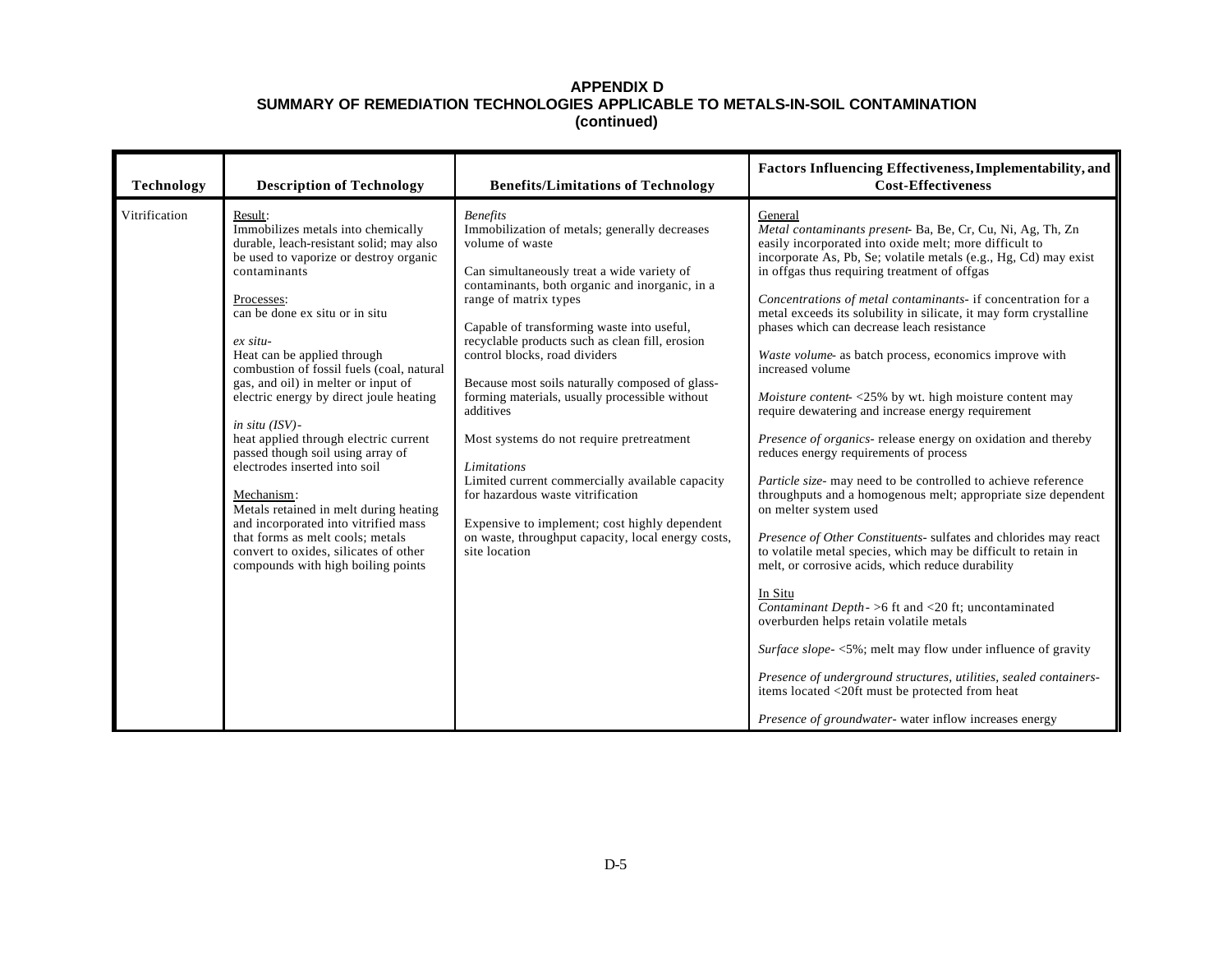| Technology    | <b>Description of Technology</b>                                                                                                                                                                                                                                                                                                                                                                                                                                                                                                                                                                                                                                                                                                        | <b>Benefits/Limitations of Technology</b>                                                                                                                                                                                                                                                                                                                                                                                                                                                                                                                                                                                                                                                                                                   | Factors Influencing Effectiveness, Implementability, and<br><b>Cost-Effectiveness</b>                                                                                                                                                                                                                                                                                                                                                                                                                                                                                                                                                                                                                                                                                                                                                                                                                                                                                                                                                                                                                                                                                                                                                                                                                                                                                                                                                                                                    |
|---------------|-----------------------------------------------------------------------------------------------------------------------------------------------------------------------------------------------------------------------------------------------------------------------------------------------------------------------------------------------------------------------------------------------------------------------------------------------------------------------------------------------------------------------------------------------------------------------------------------------------------------------------------------------------------------------------------------------------------------------------------------|---------------------------------------------------------------------------------------------------------------------------------------------------------------------------------------------------------------------------------------------------------------------------------------------------------------------------------------------------------------------------------------------------------------------------------------------------------------------------------------------------------------------------------------------------------------------------------------------------------------------------------------------------------------------------------------------------------------------------------------------|------------------------------------------------------------------------------------------------------------------------------------------------------------------------------------------------------------------------------------------------------------------------------------------------------------------------------------------------------------------------------------------------------------------------------------------------------------------------------------------------------------------------------------------------------------------------------------------------------------------------------------------------------------------------------------------------------------------------------------------------------------------------------------------------------------------------------------------------------------------------------------------------------------------------------------------------------------------------------------------------------------------------------------------------------------------------------------------------------------------------------------------------------------------------------------------------------------------------------------------------------------------------------------------------------------------------------------------------------------------------------------------------------------------------------------------------------------------------------------------|
| Vitrification | Result:<br>Immobilizes metals into chemically<br>durable, leach-resistant solid; may also<br>be used to vaporize or destroy organic<br>contaminants<br>Processes:<br>can be done ex situ or in situ<br>$ex\, situ$<br>Heat can be applied through<br>combustion of fossil fuels (coal, natural<br>gas, and oil) in melter or input of<br>electric energy by direct joule heating<br>in situ $(ISV)$ -<br>heat applied through electric current<br>passed though soil using array of<br>electrodes inserted into soil<br>Mechanism:<br>Metals retained in melt during heating<br>and incorporated into vitrified mass<br>that forms as melt cools; metals<br>convert to oxides, silicates of other<br>compounds with high boiling points | <b>Benefits</b><br>Immobilization of metals; generally decreases<br>volume of waste<br>Can simultaneously treat a wide variety of<br>contaminants, both organic and inorganic, in a<br>range of matrix types<br>Capable of transforming waste into useful,<br>recyclable products such as clean fill, erosion<br>control blocks, road dividers<br>Because most soils naturally composed of glass-<br>forming materials, usually processible without<br>additives<br>Most systems do not require pretreatment<br>Limitations<br>Limited current commercially available capacity<br>for hazardous waste vitrification<br>Expensive to implement; cost highly dependent<br>on waste, throughput capacity, local energy costs,<br>site location | General<br>Metal contaminants present- Ba, Be, Cr, Cu, Ni, Ag, Th, Zn<br>easily incorporated into oxide melt; more difficult to<br>incorporate As, Pb, Se; volatile metals (e.g., Hg, Cd) may exist<br>in offgas thus requiring treatment of offgas<br>Concentrations of metal contaminants- if concentration for a<br>metal exceeds its solubility in silicate, it may form crystalline<br>phases which can decrease leach resistance<br>Waste volume- as batch process, economics improve with<br>increased volume<br><i>Moisture content-</i> $\langle 25\%$ by wt. high moisture content may<br>require dewatering and increase energy requirement<br>Presence of organics- release energy on oxidation and thereby<br>reduces energy requirements of process<br>Particle size- may need to be controlled to achieve reference<br>throughputs and a homogenous melt; appropriate size dependent<br>on melter system used<br>Presence of Other Constituents- sulfates and chlorides may react<br>to volatile metal species, which may be difficult to retain in<br>melt, or corrosive acids, which reduce durability<br>In Situ<br>Contaminant Depth - > 6 ft and < 20 ft; uncontaminated<br>overburden helps retain volatile metals<br>Surface slope-<5%; melt may flow under influence of gravity<br>Presence of underground structures, utilities, sealed containers-<br>items located <20ft must be protected from heat<br>Presence of groundwater- water inflow increases energy |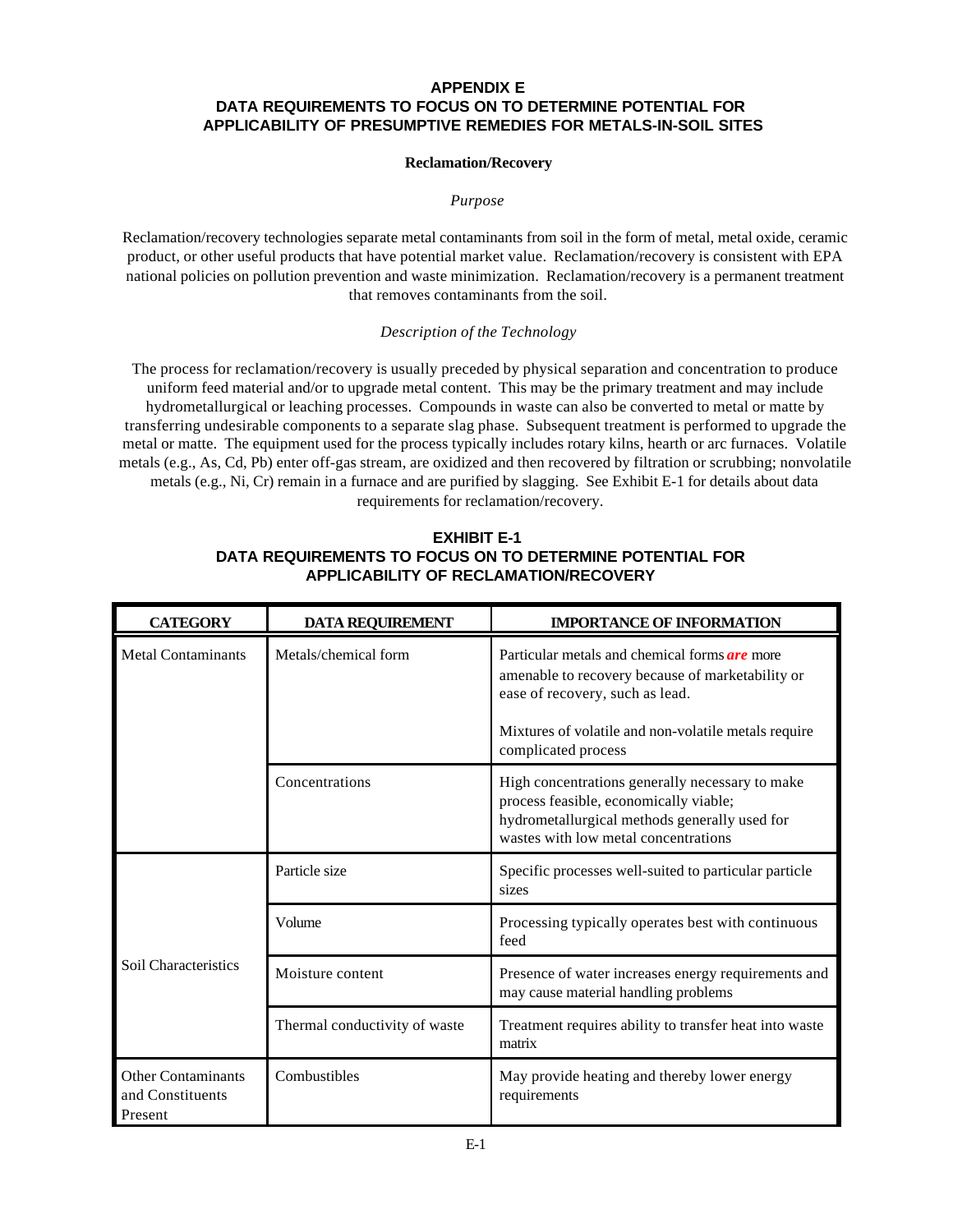# **APPENDIX E DATA REQUIREMENTS TO FOCUS ON TO DETERMINE POTENTIAL FOR APPLICABILITY OF PRESUMPTIVE REMEDIES FOR METALS-IN-SOIL SITES**

## **Reclamation/Recovery**

### *Purpose*

Reclamation/recovery technologies separate metal contaminants from soil in the form of metal, metal oxide, ceramic product, or other useful products that have potential market value. Reclamation/recovery is consistent with EPA national policies on pollution prevention and waste minimization. Reclamation/recovery is a permanent treatment that removes contaminants from the soil.

# *Description of the Technology*

The process for reclamation/recovery is usually preceded by physical separation and concentration to produce uniform feed material and/or to upgrade metal content. This may be the primary treatment and may include hydrometallurgical or leaching processes. Compounds in waste can also be converted to metal or matte by transferring undesirable components to a separate slag phase. Subsequent treatment is performed to upgrade the metal or matte. The equipment used for the process typically includes rotary kilns, hearth or arc furnaces. Volatile metals (e.g., As, Cd, Pb) enter off-gas stream, are oxidized and then recovered by filtration or scrubbing; nonvolatile metals (e.g., Ni, Cr) remain in a furnace and are purified by slagging. See Exhibit E-1 for details about data requirements for reclamation/recovery.

# **EXHIBIT E-1 DATA REQUIREMENTS TO FOCUS ON TO DETERMINE POTENTIAL FOR APPLICABILITY OF RECLAMATION/RECOVERY**

| <b>CATEGORY</b>                                          | <b>DATA REQUIREMENT</b>       | <b>IMPORTANCE OF INFORMATION</b>                                                                                                                                                   |
|----------------------------------------------------------|-------------------------------|------------------------------------------------------------------------------------------------------------------------------------------------------------------------------------|
| <b>Metal Contaminants</b>                                | Metals/chemical form          | Particular metals and chemical forms <i>are</i> more<br>amenable to recovery because of marketability or<br>ease of recovery, such as lead.                                        |
|                                                          |                               | Mixtures of volatile and non-volatile metals require<br>complicated process                                                                                                        |
|                                                          | Concentrations                | High concentrations generally necessary to make<br>process feasible, economically viable;<br>hydrometallurgical methods generally used for<br>wastes with low metal concentrations |
|                                                          | Particle size                 | Specific processes well-suited to particular particle<br>sizes                                                                                                                     |
|                                                          | Volume                        | Processing typically operates best with continuous<br>feed                                                                                                                         |
| Soil Characteristics                                     | Moisture content              | Presence of water increases energy requirements and<br>may cause material handling problems                                                                                        |
|                                                          | Thermal conductivity of waste | Treatment requires ability to transfer heat into waste<br>matrix                                                                                                                   |
| <b>Other Contaminants</b><br>and Constituents<br>Present | Combustibles                  | May provide heating and thereby lower energy<br>requirements                                                                                                                       |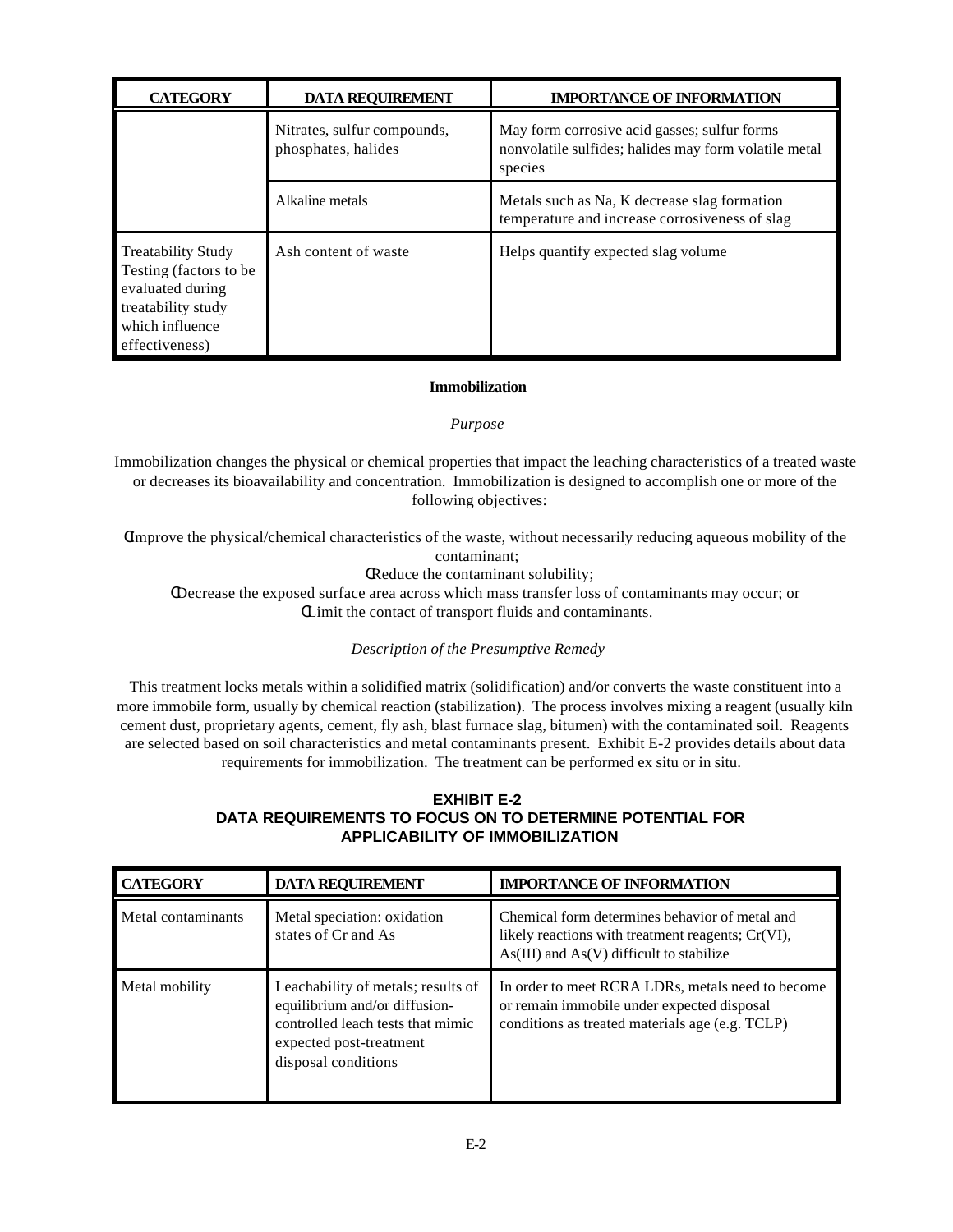| <b>CATEGORY</b>                                                                                                                    | <b>DATA REOUIREMENT</b>                            | <b>IMPORTANCE OF INFORMATION</b>                                                                                 |
|------------------------------------------------------------------------------------------------------------------------------------|----------------------------------------------------|------------------------------------------------------------------------------------------------------------------|
|                                                                                                                                    | Nitrates, sulfur compounds,<br>phosphates, halides | May form corrosive acid gasses; sulfur forms<br>nonvolatile sulfides; halides may form volatile metal<br>species |
|                                                                                                                                    | Alkaline metals                                    | Metals such as Na, K decrease slag formation<br>temperature and increase corrosiveness of slag                   |
| <b>Treatability Study</b><br>Testing (factors to be<br>evaluated during<br>treatability study<br>which influence<br>effectiveness) | Ash content of waste                               | Helps quantify expected slag volume                                                                              |

# **Immobilization**

## *Purpose*

Immobilization changes the physical or chemical properties that impact the leaching characteristics of a treated waste or decreases its bioavailability and concentration. Immobilization is designed to accomplish one or more of the following objectives:

CImprove the physical/chemical characteristics of the waste, without necessarily reducing aqueous mobility of the contaminant;

CReduce the contaminant solubility;

CDecrease the exposed surface area across which mass transfer loss of contaminants may occur; or CLimit the contact of transport fluids and contaminants.

*Description of the Presumptive Remedy* 

This treatment locks metals within a solidified matrix (solidification) and/or converts the waste constituent into a more immobile form, usually by chemical reaction (stabilization). The process involves mixing a reagent (usually kiln cement dust, proprietary agents, cement, fly ash, blast furnace slag, bitumen) with the contaminated soil. Reagents are selected based on soil characteristics and metal contaminants present. Exhibit E-2 provides details about data requirements for immobilization. The treatment can be performed ex situ or in situ.

# **EXHIBIT E-2 DATA REQUIREMENTS TO FOCUS ON TO DETERMINE POTENTIAL FOR APPLICABILITY OF IMMOBILIZATION**

| <b>CATEGORY</b>    | <b>DATA REQUIREMENT</b>                                                                                                                                    | <b>IMPORTANCE OF INFORMATION</b>                                                                                                                    |
|--------------------|------------------------------------------------------------------------------------------------------------------------------------------------------------|-----------------------------------------------------------------------------------------------------------------------------------------------------|
| Metal contaminants | Metal speciation: oxidation<br>states of Cr and As                                                                                                         | Chemical form determines behavior of metal and<br>likely reactions with treatment reagents; Cr(VI),<br>$As(III)$ and $As(V)$ difficult to stabilize |
| Metal mobility     | Leachability of metals; results of<br>equilibrium and/or diffusion-<br>controlled leach tests that mimic<br>expected post-treatment<br>disposal conditions | In order to meet RCRA LDRs, metals need to become<br>or remain immobile under expected disposal<br>conditions as treated materials age (e.g. TCLP)  |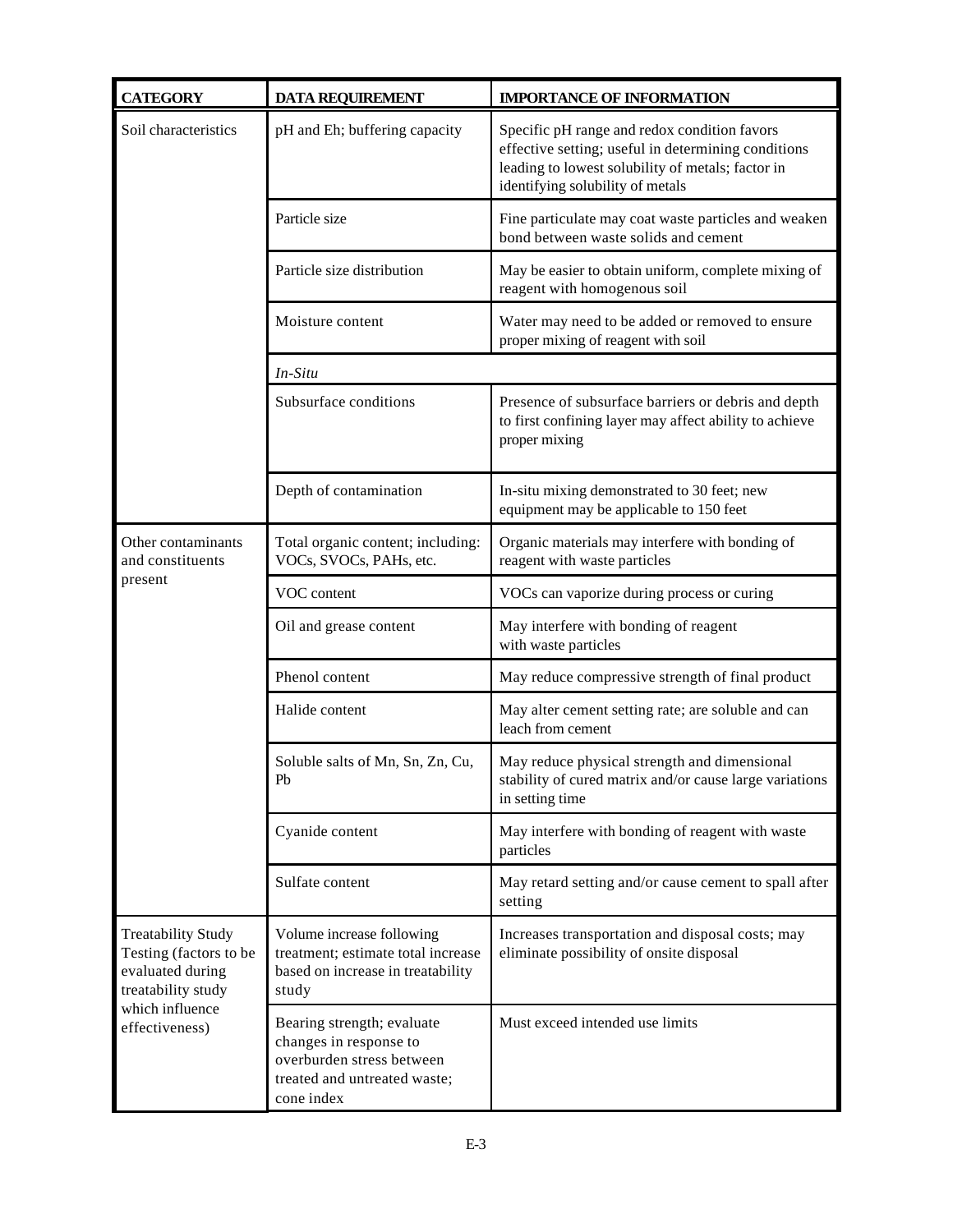| <b>CATEGORY</b>                                                                               | <b>DATA REQUIREMENT</b>                                                                                                         | <b>IMPORTANCE OF INFORMATION</b>                                                                                                                                                             |
|-----------------------------------------------------------------------------------------------|---------------------------------------------------------------------------------------------------------------------------------|----------------------------------------------------------------------------------------------------------------------------------------------------------------------------------------------|
| Soil characteristics                                                                          | pH and Eh; buffering capacity                                                                                                   | Specific pH range and redox condition favors<br>effective setting; useful in determining conditions<br>leading to lowest solubility of metals; factor in<br>identifying solubility of metals |
|                                                                                               | Particle size                                                                                                                   | Fine particulate may coat waste particles and weaken<br>bond between waste solids and cement                                                                                                 |
|                                                                                               | Particle size distribution                                                                                                      | May be easier to obtain uniform, complete mixing of<br>reagent with homogenous soil                                                                                                          |
|                                                                                               | Moisture content                                                                                                                | Water may need to be added or removed to ensure<br>proper mixing of reagent with soil                                                                                                        |
|                                                                                               | In-Situ                                                                                                                         |                                                                                                                                                                                              |
|                                                                                               | Subsurface conditions                                                                                                           | Presence of subsurface barriers or debris and depth<br>to first confining layer may affect ability to achieve<br>proper mixing                                                               |
|                                                                                               | Depth of contamination                                                                                                          | In-situ mixing demonstrated to 30 feet; new<br>equipment may be applicable to 150 feet                                                                                                       |
| Other contaminants<br>and constituents                                                        | Total organic content; including:<br>VOCs, SVOCs, PAHs, etc.                                                                    | Organic materials may interfere with bonding of<br>reagent with waste particles                                                                                                              |
| present                                                                                       | VOC content                                                                                                                     | VOCs can vaporize during process or curing                                                                                                                                                   |
|                                                                                               | Oil and grease content                                                                                                          | May interfere with bonding of reagent<br>with waste particles                                                                                                                                |
|                                                                                               | Phenol content                                                                                                                  | May reduce compressive strength of final product                                                                                                                                             |
|                                                                                               | Halide content                                                                                                                  | May alter cement setting rate; are soluble and can<br>leach from cement                                                                                                                      |
|                                                                                               | Soluble salts of Mn, Sn, Zn, Cu,<br>Pb                                                                                          | May reduce physical strength and dimensional<br>stability of cured matrix and/or cause large variations<br>in setting time                                                                   |
|                                                                                               | Cyanide content                                                                                                                 | May interfere with bonding of reagent with waste<br>particles                                                                                                                                |
|                                                                                               | Sulfate content                                                                                                                 | May retard setting and/or cause cement to spall after<br>setting                                                                                                                             |
| <b>Treatability Study</b><br>Testing (factors to be<br>evaluated during<br>treatability study | Volume increase following<br>treatment; estimate total increase<br>based on increase in treatability<br>study                   | Increases transportation and disposal costs; may<br>eliminate possibility of onsite disposal                                                                                                 |
| which influence<br>effectiveness)                                                             | Bearing strength; evaluate<br>changes in response to<br>overburden stress between<br>treated and untreated waste;<br>cone index | Must exceed intended use limits                                                                                                                                                              |